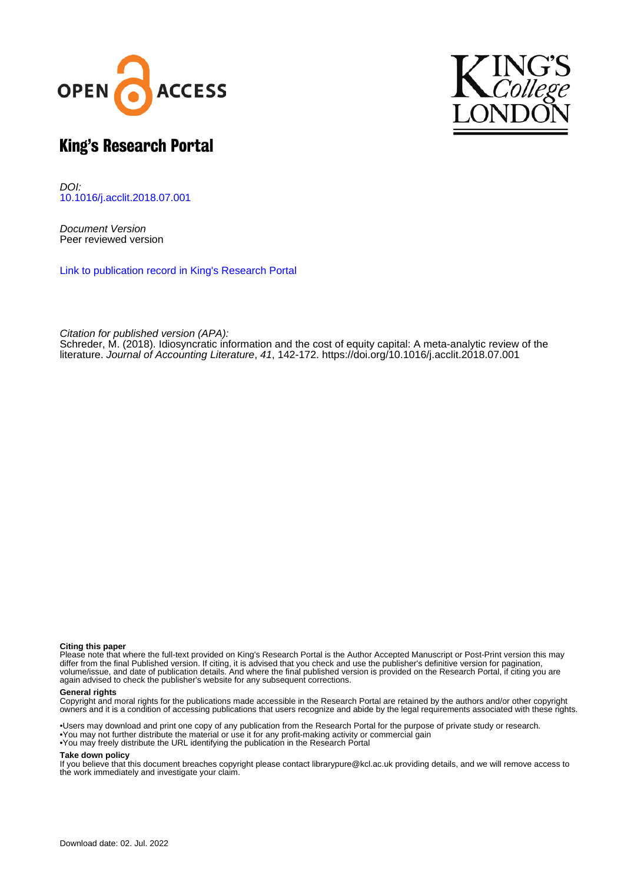



# King's Research Portal

DOI: [10.1016/j.acclit.2018.07.001](https://doi.org/10.1016/j.acclit.2018.07.001)

Document Version Peer reviewed version

[Link to publication record in King's Research Portal](https://kclpure.kcl.ac.uk/portal/en/publications/idiosyncratic-information-and-the-cost-of-equity-capital(5178078e-9768-4e9d-8945-2e0d45c7fbc0).html)

Citation for published version (APA):

[Schreder, M.](https://kclpure.kcl.ac.uk/portal/en/persons/max-schreder(e77f81ba-a8b2-4c24-a17f-ecf72f54c143).html) (2018). [Idiosyncratic information and the cost of equity capital: A meta-analytic review of the](https://kclpure.kcl.ac.uk/portal/en/publications/idiosyncratic-information-and-the-cost-of-equity-capital(5178078e-9768-4e9d-8945-2e0d45c7fbc0).html) [literature.](https://kclpure.kcl.ac.uk/portal/en/publications/idiosyncratic-information-and-the-cost-of-equity-capital(5178078e-9768-4e9d-8945-2e0d45c7fbc0).html) [Journal of Accounting Literature](https://kclpure.kcl.ac.uk/portal/en/journals/journal-of-accounting-literature(9d490dd0-ad98-4370-9a28-fe22bb0ced50).html), 41, 142-172.<https://doi.org/10.1016/j.acclit.2018.07.001>

### **Citing this paper**

Please note that where the full-text provided on King's Research Portal is the Author Accepted Manuscript or Post-Print version this may differ from the final Published version. If citing, it is advised that you check and use the publisher's definitive version for pagination, volume/issue, and date of publication details. And where the final published version is provided on the Research Portal, if citing you are again advised to check the publisher's website for any subsequent corrections.

### **General rights**

Copyright and moral rights for the publications made accessible in the Research Portal are retained by the authors and/or other copyright owners and it is a condition of accessing publications that users recognize and abide by the legal requirements associated with these rights.

•Users may download and print one copy of any publication from the Research Portal for the purpose of private study or research. •You may not further distribute the material or use it for any profit-making activity or commercial gain •You may freely distribute the URL identifying the publication in the Research Portal

### **Take down policy**

If you believe that this document breaches copyright please contact librarypure@kcl.ac.uk providing details, and we will remove access to the work immediately and investigate your claim.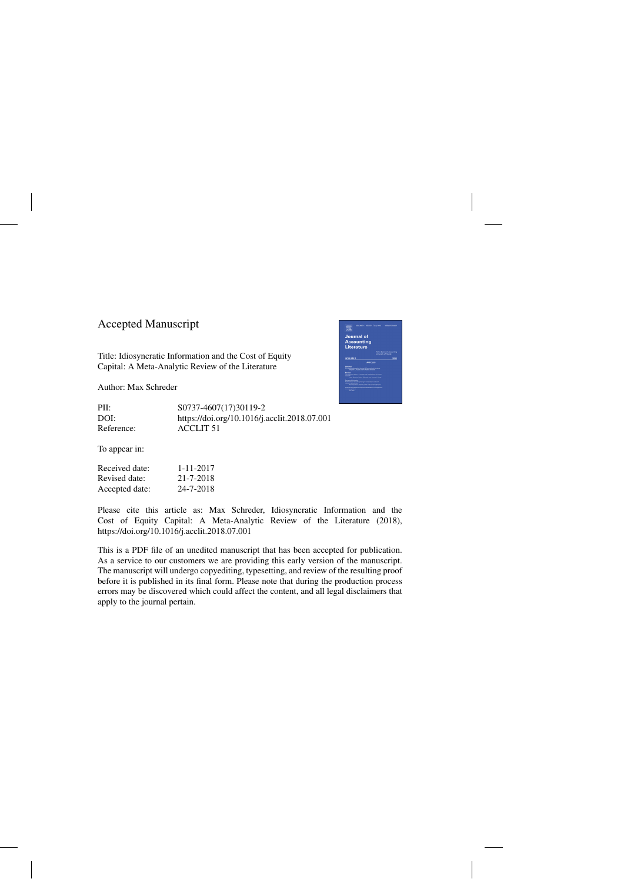## Accepted Manuscript

Title: Idiosyncratic Information and the Cost of Equity Capital: A Meta-Analytic Review of the Literature

Author: Max Schreder



PII: S0737-4607(17)30119-2 DOI:<https://doi.org/10.1016/j.acclit.2018.07.001> Reference: ACCLIT 51

To appear in:

| Received date: | 1-11-2017 |
|----------------|-----------|
| Revised date:  | 21-7-2018 |
| Accepted date: | 24-7-2018 |

Please cite this article as: Max Schreder, Idiosyncratic Information and the Cost of Equity Capital: A Meta-Analytic Review of the Literature (2018), <https://doi.org/10.1016/j.acclit.2018.07.001>

This is a PDF file of an unedited manuscript that has been accepted for publication. As a service to our customers we are providing this early version of the manuscript. The manuscript will undergo copyediting, typesetting, and review of the resulting proof before it is published in its final form. Please note that during the production process errors may be discovered which could affect the content, and all legal disclaimers that apply to the journal pertain.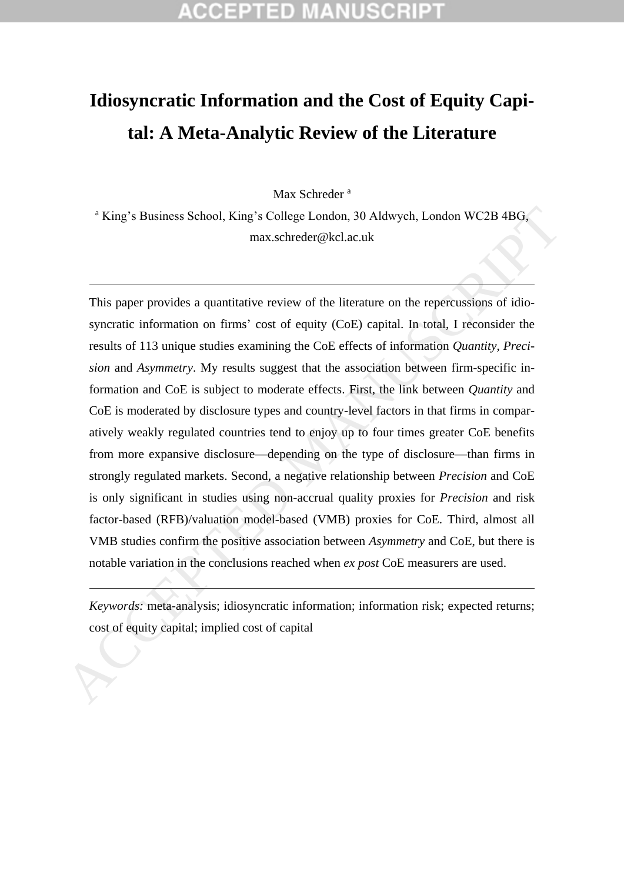# **Idiosyncratic Information and the Cost of Equity Capital: A Meta-Analytic Review of the Literature**

Max Schreder<sup>a</sup>

<sup>a</sup> King's Business School, King's College London, 30 Aldwych, London WC2B 4BG, max.schreder@kcl.ac.uk

This paper provides a quantitative review of the literature on the repercussions of idiosyncratic information on firms' cost of equity (CoE) capital. In total, I reconsider the results of 113 unique studies examining the CoE effects of information *Quantity*, *Precision* and *Asymmetry*. My results suggest that the association between firm-specific information and CoE is subject to moderate effects. First, the link between *Quantity* and CoE is moderated by disclosure types and country-level factors in that firms in comparatively weakly regulated countries tend to enjoy up to four times greater CoE benefits from more expansive disclosure—depending on the type of disclosure—than firms in strongly regulated markets. Second, a negative relationship between *Precision* and CoE is only significant in studies using non-accrual quality proxies for *Precision* and risk factor-based (RFB)/valuation model-based (VMB) proxies for CoE. Third, almost all VMB studies confirm the positive association between *Asymmetry* and CoE, but there is notable variation in the conclusions reached when *ex post* CoE measurers are used. <sup>a</sup> King's Busincss School, King's College London, 30 Aldwych, London WC2B 4BG,<br>
max.schreder@kcl.ac.uk<br>
This paper provides a quantitative review of the literature on the repercussions of ido-<br>
syncratic information on f

*Keywords:* meta-analysis; idiosyncratic information; information risk; expected returns;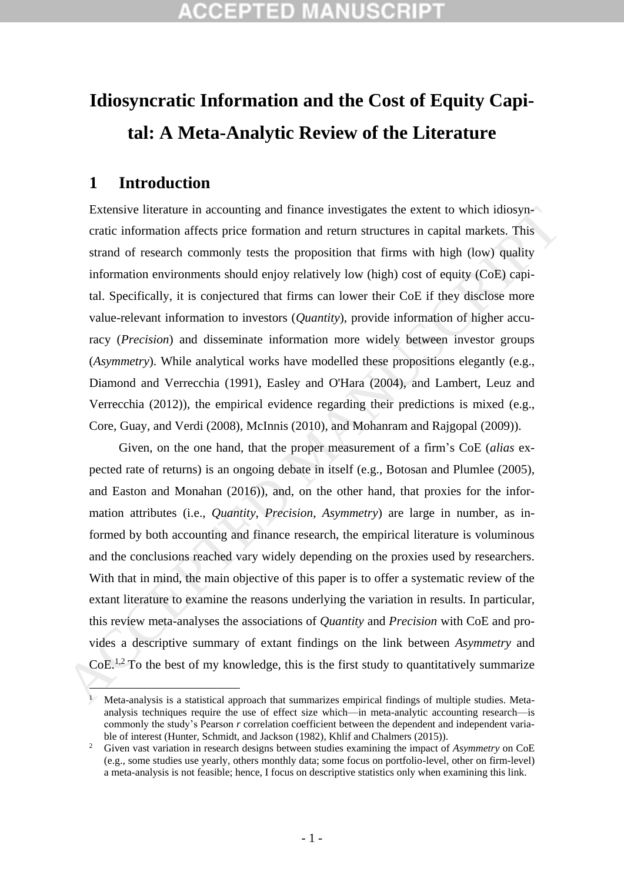# **Idiosyncratic Information and the Cost of Equity Capital: A Meta-Analytic Review of the Literature**

## **1 Introduction**

Extensive literature in accounting and finance investigates the extent to which idiosyncratic information affects price formation and return structures in capital markets. This strand of research commonly tests the proposition that firms with high (low) quality information environments should enjoy relatively low (high) cost of equity (CoE) capital. Specifically, it is conjectured that firms can lower their CoE if they disclose more value-relevant information to investors (*Quantity*), provide information of higher accuracy (*Precision*) and disseminate information more widely between investor groups (*Asymmetry*). While analytical works have modelled these propositions elegantly (e.g., Diamond and Verrecchia (1991), Easley and O'Hara (2004), and Lambert, Leuz and Verrecchia (2012)), the empirical evidence regarding their predictions is mixed (e.g., Core, Guay, and Verdi (2008), McInnis (2010), and Mohanram and Rajgopal (2009)).

Given, on the one hand, that the proper measurement of a firm's CoE (*alias* expected rate of returns) is an ongoing debate in itself (e.g., Botosan and Plumlee (2005), and Easton and Monahan (2016)), and, on the other hand, that proxies for the information attributes (i.e., *Quantity, Precision*, *Asymmetry*) are large in number, as informed by both accounting and finance research, the empirical literature is voluminous and the conclusions reached vary widely depending on the proxies used by researchers. With that in mind, the main objective of this paper is to offer a systematic review of the extant literature to examine the reasons underlying the variation in results. In particular, this review meta-analyses the associations of *Quantity* and *Precision* with CoE and provides a descriptive summary of extant findings on the link between *Asymmetry* and  $CoE<sup>1,2</sup>$  To the best of my knowledge, this is the first study to quantitatively summarize Extensive literature in accounting and finance investigates the extent to which idiosyp-<br>cratic information affects price formation and return structures in capital markets, This<br>strand of research commonly tests the prop

 $\overline{a}$ <sup>1</sup> Meta-analysis is a statistical approach that summarizes empirical findings of multiple studies. Metaanalysis techniques require the use of effect size which—in meta-analytic accounting research—is commonly the study's Pearson *r* correlation coefficient between the dependent and independent variable of interest (Hunter, Schmidt, and Jackson (1982), Khlif and Chalmers (2015)).

<sup>2</sup> Given vast variation in research designs between studies examining the impact of *Asymmetry* on CoE (e.g., some studies use yearly, others monthly data; some focus on portfolio-level, other on firm-level) a meta-analysis is not feasible; hence, I focus on descriptive statistics only when examining this link.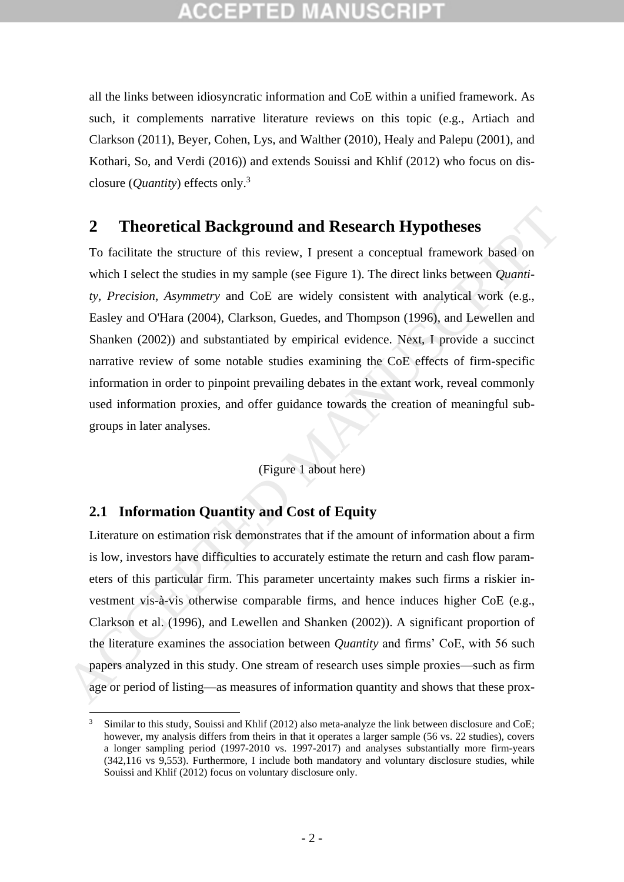all the links between idiosyncratic information and CoE within a unified framework. As such, it complements narrative literature reviews on this topic (e.g., Artiach and Clarkson (2011), Beyer, Cohen, Lys, and Walther (2010), Healy and Palepu (2001), and Kothari, So, and Verdi (2016)) and extends Souissi and Khlif (2012) who focus on disclosure (*Quantity*) effects only. 3

## **2 Theoretical Background and Research Hypotheses**

To facilitate the structure of this review, I present a conceptual framework based on which I select the studies in my sample (see Figure 1). The direct links between *Quantity, Precision*, *Asymmetry* and CoE are widely consistent with analytical work (e.g., Easley and O'Hara (2004), Clarkson, Guedes, and Thompson (1996), and Lewellen and Shanken (2002)) and substantiated by empirical evidence. Next, I provide a succinct narrative review of some notable studies examining the CoE effects of firm-specific information in order to pinpoint prevailing debates in the extant work, reveal commonly used information proxies, and offer guidance towards the creation of meaningful subgroups in later analyses. **2 Theoretical Background and Research Hypotheses**<br>
To facilitate the structure of this review. I present a conceptual framework based on<br>
which I select the studies in my sample (see Figure 1). The direct links between

(Figure 1 about here)

## **2.1 Information Quantity and Cost of Equity**

.<br>-

Literature on estimation risk demonstrates that if the amount of information about a firm is low, investors have difficulties to accurately estimate the return and cash flow parameters of this particular firm. This parameter uncertainty makes such firms a riskier investment vis-à-vis otherwise comparable firms, and hence induces higher CoE (e.g., Clarkson et al. (1996), and Lewellen and Shanken (2002)). A significant proportion of the literature examines the association between *Quantity* and firms' CoE, with 56 such papers analyzed in this study. One stream of research uses simple proxies—such as firm age or period of listing—as measures of information quantity and shows that these prox-

<sup>3</sup> Similar to this study, Souissi and Khlif (2012) also meta-analyze the link between disclosure and CoE; however, my analysis differs from theirs in that it operates a larger sample (56 vs. 22 studies), covers a longer sampling period (1997-2010 vs. 1997-2017) and analyses substantially more firm-years (342,116 vs 9,553). Furthermore, I include both mandatory and voluntary disclosure studies, while Souissi and Khlif (2012) focus on voluntary disclosure only.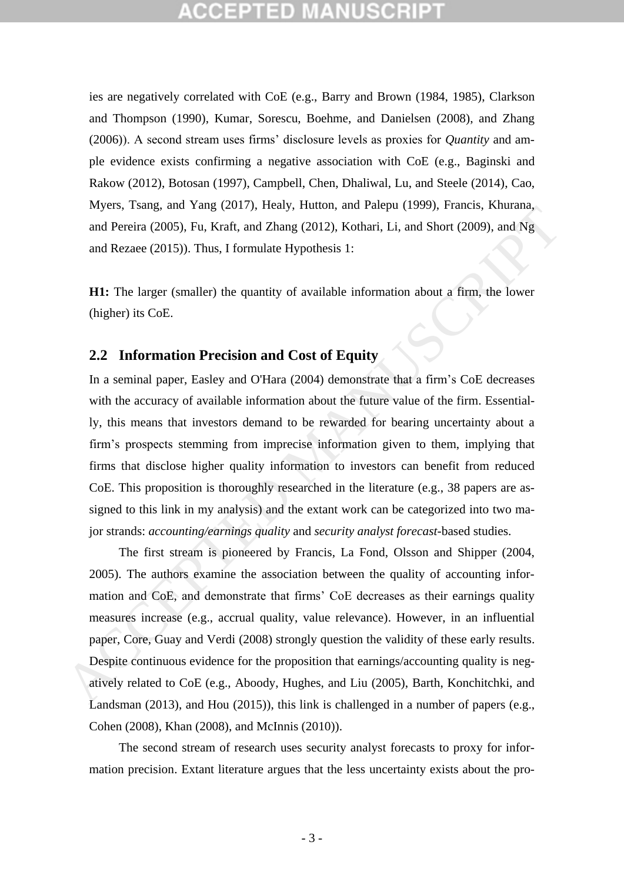# CEPTED

ies are negatively correlated with CoE (e.g., Barry and Brown (1984, 1985), Clarkson and Thompson (1990), Kumar, Sorescu, Boehme, and Danielsen (2008), and Zhang (2006)). A second stream uses firms' disclosure levels as proxies for *Quantity* and ample evidence exists confirming a negative association with CoE (e.g., Baginski and Rakow (2012), Botosan (1997), Campbell, Chen, Dhaliwal, Lu, and Steele (2014), Cao, Myers, Tsang, and Yang (2017), Healy, Hutton, and Palepu (1999), Francis, Khurana, and Pereira (2005), Fu, Kraft, and Zhang (2012), Kothari, Li, and Short (2009), and Ng and Rezaee (2015)). Thus, I formulate Hypothesis 1:

**H1:** The larger (smaller) the quantity of available information about a firm, the lower (higher) its CoE.

## **2.2 Information Precision and Cost of Equity**

In a seminal paper, Easley and O'Hara (2004) demonstrate that a firm's CoE decreases with the accuracy of available information about the future value of the firm. Essentially, this means that investors demand to be rewarded for bearing uncertainty about a firm's prospects stemming from imprecise information given to them, implying that firms that disclose higher quality information to investors can benefit from reduced CoE. This proposition is thoroughly researched in the literature (e.g., 38 papers are assigned to this link in my analysis) and the extant work can be categorized into two major strands: *accounting/earnings quality* and *security analyst forecast*-based studies. anyts, same, and range (2017), then, rundom, and a capital (2008), Branch, capital<br>and Pereira (2005), Fu, Kraft, and Zhang (2012), Kothari, Li, and Short (2009), and Ng<br>and Rezaee (2015). Thus, I formulate Hypothesis 1:<br>

The first stream is pioneered by Francis, La Fond, Olsson and Shipper (2004, 2005). The authors examine the association between the quality of accounting information and CoE, and demonstrate that firms' CoE decreases as their earnings quality measures increase (e.g., accrual quality, value relevance). However, in an influential paper, Core, Guay and Verdi (2008) strongly question the validity of these early results. Despite continuous evidence for the proposition that earnings/accounting quality is negatively related to CoE (e.g., Aboody, Hughes, and Liu (2005), Barth, Konchitchki, and Landsman (2013), and Hou (2015)), this link is challenged in a number of papers (e.g., Cohen (2008), Khan (2008), and McInnis (2010)).

The second stream of research uses security analyst forecasts to proxy for information precision. Extant literature argues that the less uncertainty exists about the pro-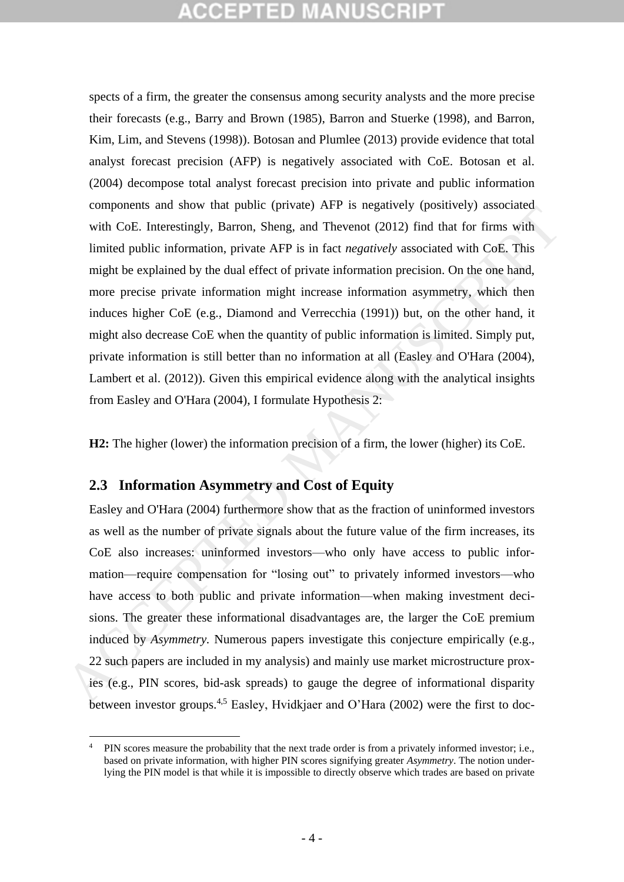# 12 T 2D

spects of a firm, the greater the consensus among security analysts and the more precise their forecasts (e.g., Barry and Brown (1985), Barron and Stuerke (1998), and Barron, Kim, Lim, and Stevens (1998)). Botosan and Plumlee (2013) provide evidence that total analyst forecast precision (AFP) is negatively associated with CoE. Botosan et al. (2004) decompose total analyst forecast precision into private and public information components and show that public (private) AFP is negatively (positively) associated with CoE. Interestingly, Barron, Sheng, and Thevenot (2012) find that for firms with limited public information, private AFP is in fact *negatively* associated with CoE. This might be explained by the dual effect of private information precision. On the one hand, more precise private information might increase information asymmetry, which then induces higher CoE (e.g., Diamond and Verrecchia (1991)) but, on the other hand, it might also decrease CoE when the quantity of public information is limited. Simply put, private information is still better than no information at all (Easley and O'Hara (2004), Lambert et al. (2012)). Given this empirical evidence along with the analytical insights from Easley and O'Hara (2004), I formulate Hypothesis 2: with CoE. Interestingly, Barron, Steng, and Thevenot (2012) find that for firms with<br>with CoE. Interestingly, Barron, Sheng, and Thevenot (2012) find that for firms with<br>limited public information, private AFP is in fact

**H2:** The higher (lower) the information precision of a firm, the lower (higher) its CoE.

## **2.3 Information Asymmetry and Cost of Equity**

Easley and O'Hara (2004) furthermore show that as the fraction of uninformed investors as well as the number of private signals about the future value of the firm increases, its CoE also increases: uninformed investors—who only have access to public information—require compensation for "losing out" to privately informed investors—who have access to both public and private information—when making investment decisions. The greater these informational disadvantages are, the larger the CoE premium induced by *Asymmetry.* Numerous papers investigate this conjecture empirically (e.g., 22 such papers are included in my analysis) and mainly use market microstructure proxies (e.g., PIN scores, bid-ask spreads) to gauge the degree of informational disparity between investor groups.<sup>4,5</sup> Easley, Hvidkjaer and O'Hara (2002) were the first to doc-

<sup>&</sup>lt;u>.</u> <sup>4</sup> PIN scores measure the probability that the next trade order is from a privately informed investor; i.e., based on private information, with higher PIN scores signifying greater *Asymmetry*. The notion underlying the PIN model is that while it is impossible to directly observe which trades are based on private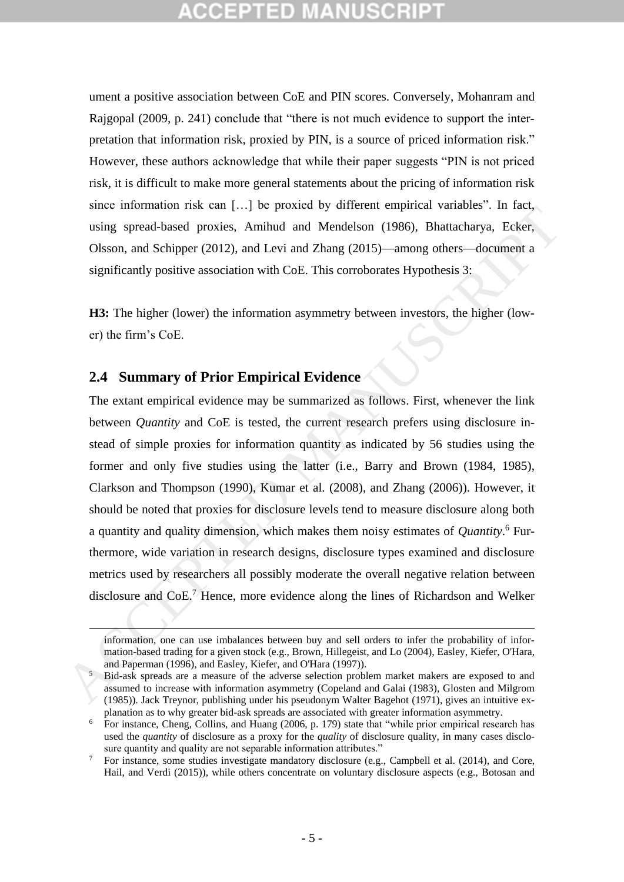ument a positive association between CoE and PIN scores. Conversely, Mohanram and Rajgopal (2009, p. 241) conclude that "there is not much evidence to support the interpretation that information risk, proxied by PIN, is a source of priced information risk." However, these authors acknowledge that while their paper suggests "PIN is not priced risk, it is difficult to make more general statements about the pricing of information risk since information risk can […] be proxied by different empirical variables". In fact, using spread-based proxies, Amihud and Mendelson (1986), Bhattacharya, Ecker, Olsson, and Schipper (2012), and Levi and Zhang (2015)—among others—document a significantly positive association with CoE. This corroborates Hypothesis 3:

**H3:** The higher (lower) the information asymmetry between investors, the higher (lower) the firm's CoE.

## **2.4 Summary of Prior Empirical Evidence**

<u>.</u>

The extant empirical evidence may be summarized as follows. First, whenever the link between *Quantity* and CoE is tested, the current research prefers using disclosure instead of simple proxies for information quantity as indicated by 56 studies using the former and only five studies using the latter (i.e., Barry and Brown (1984, 1985), Clarkson and Thompson (1990), Kumar et al. (2008), and Zhang (2006)). However, it should be noted that proxies for disclosure levels tend to measure disclosure along both a quantity and quality dimension, which makes them noisy estimates of *Quantity*. <sup>6</sup> Furthermore, wide variation in research designs, disclosure types examined and disclosure metrics used by researchers all possibly moderate the overall negative relation between disclosure and CoE.<sup>7</sup> Hence, more evidence along the lines of Richardson and Welker since information in secure 11....) by poach of valued to uniformation and the same than the same of the same of the same of the same of the same of the same of the same of the same of the same of the same of the same of

information, one can use imbalances between buy and sell orders to infer the probability of information-based trading for a given stock (e.g., Brown, Hillegeist, and Lo (2004), Easley, Kiefer, O'Hara, and Paperman (1996), and Easley, Kiefer, and O'Hara (1997)).

<sup>5</sup> Bid-ask spreads are a measure of the adverse selection problem market makers are exposed to and assumed to increase with information asymmetry (Copeland and Galai (1983), Glosten and Milgrom (1985)). Jack Treynor, publishing under his pseudonym Walter Bagehot (1971), gives an intuitive explanation as to why greater bid-ask spreads are associated with greater information asymmetry.

<sup>6</sup> For instance, Cheng, Collins, and Huang (2006, p. 179) state that "while prior empirical research has used the *quantity* of disclosure as a proxy for the *quality* of disclosure quality, in many cases disclosure quantity and quality are not separable information attributes."

<sup>&</sup>lt;sup>7</sup> For instance, some studies investigate mandatory disclosure (e.g., Campbell et al. (2014), and Core, Hail, and Verdi (2015)), while others concentrate on voluntary disclosure aspects (e.g., Botosan and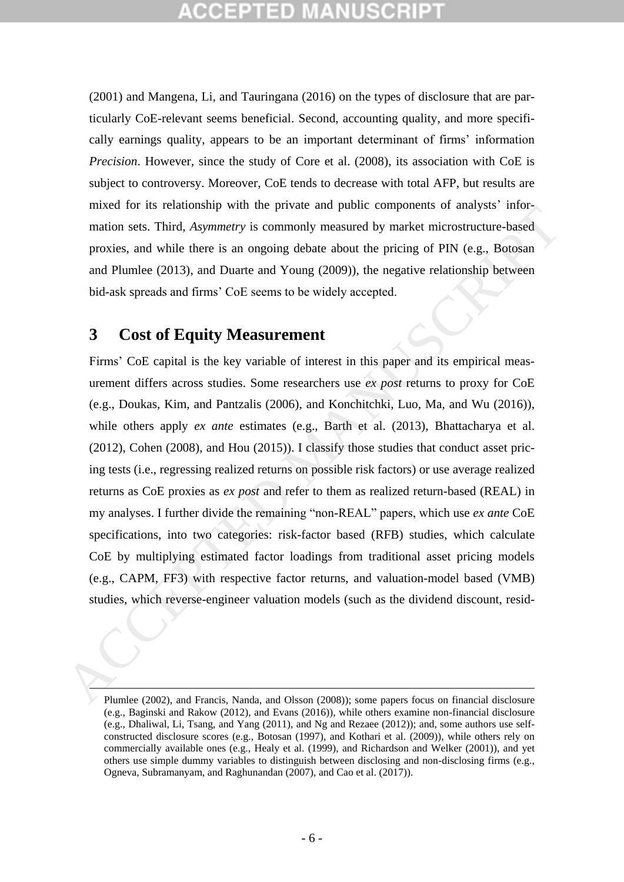(2001) and Mangena, Li, and Tauringana (2016) on the types of disclosure that are particularly CoE-relevant seems beneficial. Second, accounting quality, and more specifically earnings quality, appears to be an important determinant of firms' information *Precision*. However, since the study of Core et al. (2008), its association with CoE is subject to controversy. Moreover, CoE tends to decrease with total AFP, but results are mixed for its relationship with the private and public components of analysts' information sets. Third, *Asymmetry* is commonly measured by market microstructure-based proxies, and while there is an ongoing debate about the pricing of PIN (e.g., Botosan and Plumlee (2013), and Duarte and Young (2009)), the negative relationship between bid-ask spreads and firms' CoE seems to be widely accepted.

## **3 Cost of Equity Measurement**

 $\overline{a}$ 

Firms' CoE capital is the key variable of interest in this paper and its empirical measurement differs across studies. Some researchers use *ex post* returns to proxy for CoE (e.g., Doukas, Kim, and Pantzalis (2006), and Konchitchki, Luo, Ma, and Wu (2016)), while others apply *ex ante* estimates (e.g., Barth et al. (2013), Bhattacharya et al. (2012), Cohen (2008), and Hou (2015)). I classify those studies that conduct asset pricing tests (i.e., regressing realized returns on possible risk factors) or use average realized returns as CoE proxies as *ex post* and refer to them as realized return-based (REAL) in my analyses. I further divide the remaining "non-REAL" papers, which use *ex ante* CoE specifications, into two categories: risk-factor based (RFB) studies, which calculate CoE by multiplying estimated factor loadings from traditional asset pricing models (e.g., CAPM, FF3) with respective factor returns, and valuation-model based (VMB) studies, which reverse-engineer valuation models (such as the dividend discount, resid mator or is transuous point une private and point components or analysis more<br>mation sets. Third, *Asymmetry* is commonly measured by market microstructure-hased<br>proxies, and while there is an ongoing debate about the pri

Plumlee (2002), and Francis, Nanda, and Olsson (2008)); some papers focus on financial disclosure (e.g., Baginski and Rakow (2012), and Evans (2016)), while others examine non-financial disclosure (e.g., Dhaliwal, Li, Tsang, and Yang (2011), and Ng and Rezaee (2012)); and, some authors use selfconstructed disclosure scores (e.g., Botosan (1997), and Kothari et al. (2009)), while others rely on commercially available ones (e.g., Healy et al. (1999), and Richardson and Welker (2001)), and yet others use simple dummy variables to distinguish between disclosing and non-disclosing firms (e.g., Ogneva, Subramanyam, and Raghunandan (2007), and Cao et al. (2017)).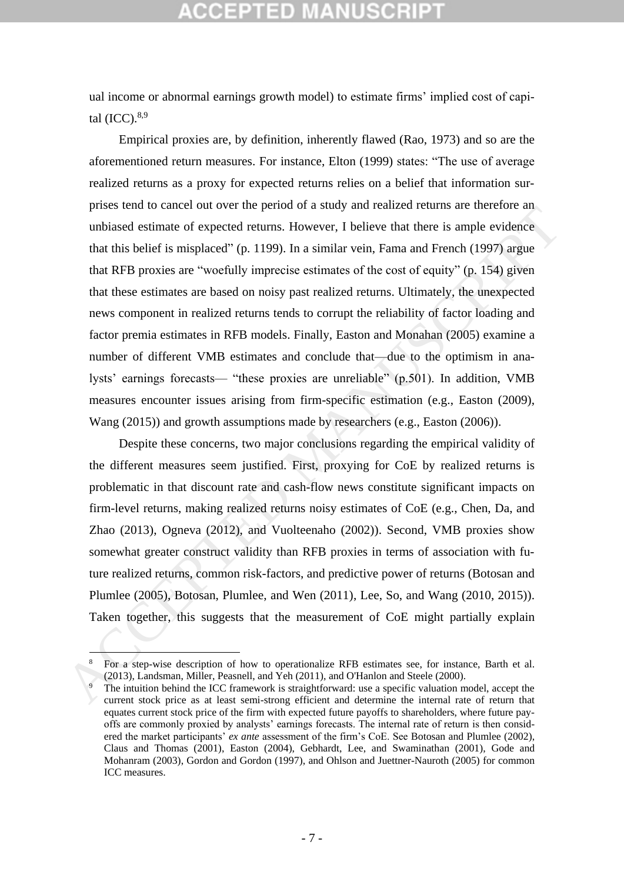ual income or abnormal earnings growth model) to estimate firms' implied cost of capital  $(ICC).^{8,9}$ 

Empirical proxies are, by definition, inherently flawed (Rao, 1973) and so are the aforementioned return measures. For instance, Elton (1999) states: "The use of average realized returns as a proxy for expected returns relies on a belief that information surprises tend to cancel out over the period of a study and realized returns are therefore an unbiased estimate of expected returns. However, I believe that there is ample evidence that this belief is misplaced" (p. 1199). In a similar vein, Fama and French (1997) argue that RFB proxies are "woefully imprecise estimates of the cost of equity" (p. 154) given that these estimates are based on noisy past realized returns. Ultimately, the unexpected news component in realized returns tends to corrupt the reliability of factor loading and factor premia estimates in RFB models. Finally, Easton and Monahan (2005) examine a number of different VMB estimates and conclude that—due to the optimism in analysts' earnings forecasts— "these proxies are unreliable" (p.501). In addition, VMB measures encounter issues arising from firm-specific estimation (e.g., Easton (2009), Wang (2015)) and growth assumptions made by researchers (e.g., Easton (2006)). puso can o cancer on o occur puso a suory and variate o tomas are tentero can<br>unbiased estimate of expected returns. However, I helieve that here is ample evidence<br>that this belief is misplaced" (p. 1199). In a similar ve

Despite these concerns, two major conclusions regarding the empirical validity of the different measures seem justified. First, proxying for CoE by realized returns is problematic in that discount rate and cash-flow news constitute significant impacts on firm-level returns, making realized returns noisy estimates of CoE (e.g., Chen, Da, and Zhao (2013), Ogneva (2012), and Vuolteenaho (2002)). Second, VMB proxies show somewhat greater construct validity than RFB proxies in terms of association with future realized returns, common risk-factors, and predictive power of returns (Botosan and Plumlee (2005), Botosan, Plumlee, and Wen (2011), Lee, So, and Wang (2010, 2015)). Taken together, this suggests that the measurement of CoE might partially explain

1

<sup>8</sup> For a step-wise description of how to operationalize RFB estimates see, for instance, Barth et al. (2013), Landsman, Miller, Peasnell, and Yeh (2011), and O'Hanlon and Steele (2000).

The intuition behind the ICC framework is straightforward: use a specific valuation model, accept the current stock price as at least semi-strong efficient and determine the internal rate of return that equates current stock price of the firm with expected future payoffs to shareholders, where future payoffs are commonly proxied by analysts' earnings forecasts. The internal rate of return is then considered the market participants' *ex ante* assessment of the firm's CoE. See Botosan and Plumlee (2002), Claus and Thomas (2001), Easton (2004), Gebhardt, Lee, and Swaminathan (2001), Gode and Mohanram (2003), Gordon and Gordon (1997), and Ohlson and Juettner-Nauroth (2005) for common ICC measures.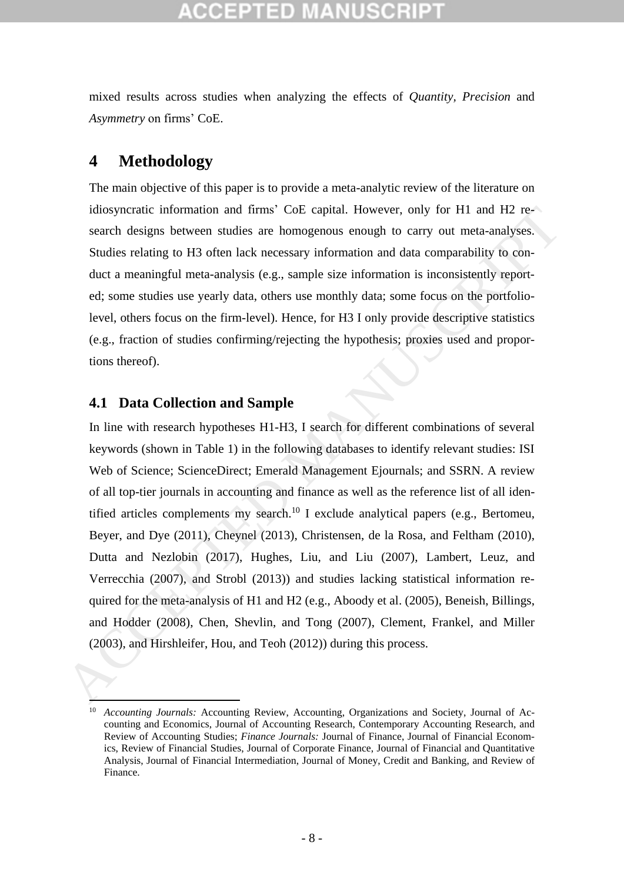mixed results across studies when analyzing the effects of *Quantity, Precision* and *Asymmetry* on firms' CoE.

## **4 Methodology**

The main objective of this paper is to provide a meta-analytic review of the literature on idiosyncratic information and firms' CoE capital. However, only for H1 and H2 research designs between studies are homogenous enough to carry out meta-analyses. Studies relating to H3 often lack necessary information and data comparability to conduct a meaningful meta-analysis (e.g., sample size information is inconsistently reported; some studies use yearly data, others use monthly data; some focus on the portfoliolevel, others focus on the firm-level). Hence, for H3 I only provide descriptive statistics (e.g., fraction of studies confirming/rejecting the hypothesis; proxies used and proportions thereof).

## **4.1 Data Collection and Sample**

 $\frac{1}{\sqrt{2}}$ 

In line with research hypotheses H1-H3, I search for different combinations of several keywords (shown in Table 1) in the following databases to identify relevant studies: ISI Web of Science; ScienceDirect; Emerald Management Ejournals; and SSRN. A review of all top-tier journals in accounting and finance as well as the reference list of all identified articles complements my search.<sup>10</sup> I exclude analytical papers (e.g., Bertomeu, Beyer, and Dye (2011), Cheynel (2013), Christensen, de la Rosa, and Feltham (2010), Dutta and Nezlobin (2017), Hughes, Liu, and Liu (2007), Lambert, Leuz, and Verrecchia (2007), and Strobl (2013)) and studies lacking statistical information required for the meta-analysis of H1 and H2 (e.g., Aboody et al. (2005), Beneish, Billings, and Hodder (2008), Chen, Shevlin, and Tong (2007), Clement, Frankel, and Miller (2003), and Hirshleifer, Hou, and Teoh (2012)) during this process. idiosyncratic information and firms' CoE capital. However, only for HI and H2 re-<br>search designs between studies are homogenous enough to carry out meta-analyses.<br>Studies relating to H3 often lack necessary information an

<sup>&</sup>lt;sup>10</sup> *Accounting Journals: Accounting Review, Accounting, Organizations and Society, Journal of Ac*counting and Economics, Journal of Accounting Research, Contemporary Accounting Research, and Review of Accounting Studies; *Finance Journals:* Journal of Finance, Journal of Financial Economics, Review of Financial Studies, Journal of Corporate Finance, Journal of Financial and Quantitative Analysis, Journal of Financial Intermediation, Journal of Money, Credit and Banking, and Review of Finance.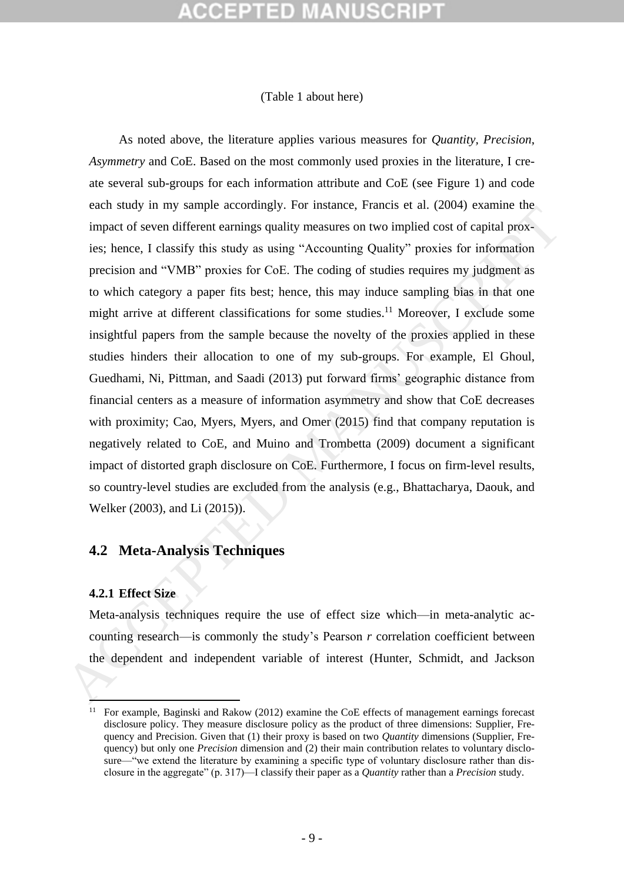### [\(Table 1](#page-47-0) about here)

As noted above, the literature applies various measures for *Quantity, Precision*, *Asymmetry* and CoE. Based on the most commonly used proxies in the literature, I create several sub-groups for each information attribute and CoE (see [Figure 1\)](#page-64-0) and code each study in my sample accordingly. For instance, Francis et al. (2004) examine the impact of seven different earnings quality measures on two implied cost of capital proxies; hence, I classify this study as using "Accounting Quality" proxies for information precision and "VMB" proxies for CoE. The coding of studies requires my judgment as to which category a paper fits best; hence, this may induce sampling bias in that one might arrive at different classifications for some studies.<sup>11</sup> Moreover, I exclude some insightful papers from the sample because the novelty of the proxies applied in these studies hinders their allocation to one of my sub-groups. For example, El Ghoul, Guedhami, Ni, Pittman, and Saadi (2013) put forward firms' geographic distance from financial centers as a measure of information asymmetry and show that CoE decreases with proximity; Cao, Myers, Myers, and Omer (2015) find that company reputation is negatively related to CoE, and Muino and Trombetta (2009) document a significant impact of distorted graph disclosure on CoE. Furthermore, I focus on firm-level results, so country-level studies are excluded from the analysis (e.g., Bhattacharya, Daouk, and Welker (2003), and Li (2015)). exain story in its stage accountingly. The instance, Frankist can, (2004) casaning timped of sever different enaming quality measures on two implied cost of capital provies; hence, I classify this study as using "Accountin

## **4.2 Meta-Analysis Techniques**

## **4.2.1 Effect Size**

 $\frac{1}{\sqrt{2}}$ 

Meta-analysis techniques require the use of effect size which—in meta-analytic accounting research—is commonly the study's Pearson *r* correlation coefficient between the dependent and independent variable of interest (Hunter, Schmidt, and Jackson

 $11$  For example, Baginski and Rakow (2012) examine the CoE effects of management earnings forecast disclosure policy. They measure disclosure policy as the product of three dimensions: Supplier, Frequency and Precision. Given that (1) their proxy is based on two *Quantity* dimensions (Supplier, Frequency) but only one *Precision* dimension and (2) their main contribution relates to voluntary disclosure—"we extend the literature by examining a specific type of voluntary disclosure rather than disclosure in the aggregate" (p. 317)—I classify their paper as a *Quantity* rather than a *Precision* study.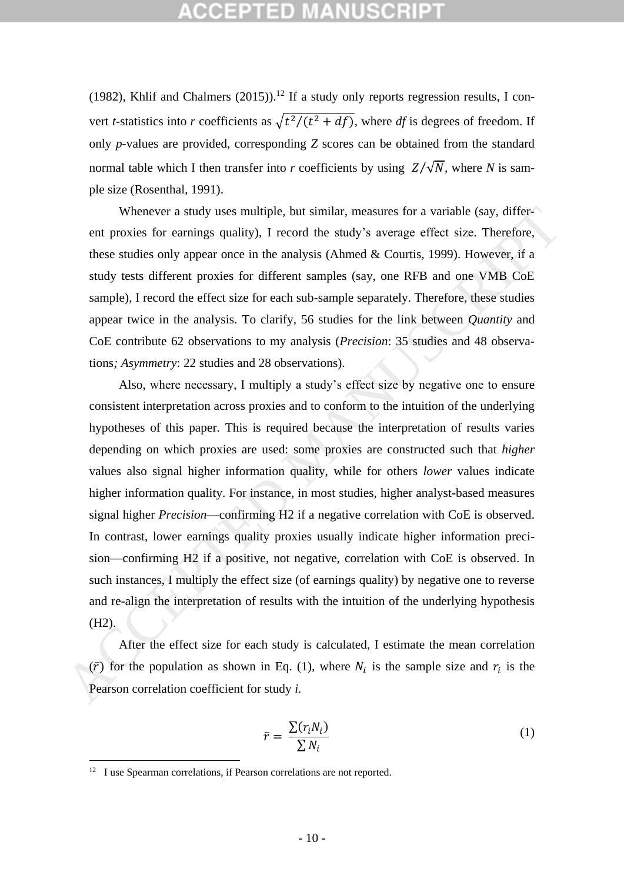# GEPTED

(1982), Khlif and Chalmers (2015)).<sup>12</sup> If a study only reports regression results, I convert *t*-statistics into *r* coefficients as  $\sqrt{t^2/(t^2 + df)}$ , where *df* is degrees of freedom. If only *p*-values are provided, corresponding *Z* scores can be obtained from the standard normal table which I then transfer into *r* coefficients by using  $Z/\sqrt{N}$ , where *N* is sample size (Rosenthal, 1991).

Whenever a study uses multiple, but similar, measures for a variable (say, different proxies for earnings quality), I record the study's average effect size. Therefore, these studies only appear once in the analysis (Ahmed & Courtis, 1999). However, if a study tests different proxies for different samples (say, one RFB and one VMB CoE sample), I record the effect size for each sub-sample separately. Therefore, these studies appear twice in the analysis. To clarify, 56 studies for the link between *Quantity* and CoE contribute 62 observations to my analysis (*Precision*: 35 studies and 48 observations*; Asymmetry*: 22 studies and 28 observations).

Also, where necessary, I multiply a study's effect size by negative one to ensure consistent interpretation across proxies and to conform to the intuition of the underlying hypotheses of this paper. This is required because the interpretation of results varies depending on which proxies are used: some proxies are constructed such that *higher* values also signal higher information quality, while for others *lower* values indicate higher information quality. For instance, in most studies, higher analyst-based measures signal higher *Precision*—confirming H2 if a negative correlation with CoE is observed. In contrast, lower earnings quality proxies usually indicate higher information precision—confirming H2 if a positive, not negative, correlation with CoE is observed. In such instances, I multiply the effect size (of earnings quality) by negative one to reverse and re-align the interpretation of results with the intuition of the underlying hypothesis (H2). Whenever a study uses multiple, but similar, measures for a variable (say, different proxis for earnings quality), 1 record the study's average effect size. Therefore, these studies only appear once in the unallysis (Ahmo

After the effect size for each study is calculated, I estimate the mean correlation  $(\bar{r})$  for the population as shown in Eq. (1), where  $N_i$  is the sample size and  $r_i$  is the Pearson correlation coefficient for study *i.*

<span id="page-12-0"></span>
$$
\bar{r} = \frac{\sum (r_i N_i)}{\sum N_i} \tag{1}
$$

1

<sup>&</sup>lt;sup>12</sup> I use Spearman correlations, if Pearson correlations are not reported.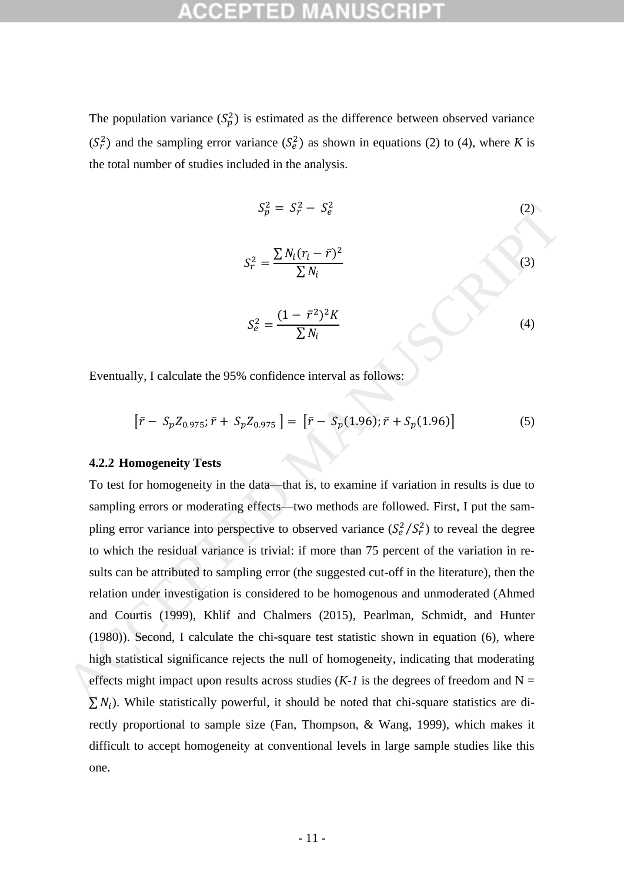The population variance  $(S_p^2)$  is estimated as the difference between observed variance  $(S_r^2)$  and the sampling error variance  $(S_e^2)$  as shown in equations [\(2\)](#page-13-0) to [\(4\),](#page-13-1) where *K* is the total number of studies included in the analysis.

<span id="page-13-1"></span><span id="page-13-0"></span>
$$
S_p^2 = S_r^2 - S_e^2
$$
\n
$$
S_r^2 = \frac{\sum N_i (r_i - \bar{r})^2}{\sum N_i}
$$
\n
$$
S_e^2 = \frac{(1 - \bar{r}^2)^2 K}{\sum N_i}
$$
\n(3)

Eventually, I calculate the 95% confidence interval as follows:

$$
[\bar{r} - S_p Z_{0.975}; \bar{r} + S_p Z_{0.975}] = [\bar{r} - S_p(1.96); \bar{r} + S_p(1.96)] \tag{5}
$$

### **4.2.2 Homogeneity Tests**

To test for homogeneity in the data—that is, to examine if variation in results is due to sampling errors or moderating effects—two methods are followed. First, I put the sampling error variance into perspective to observed variance  $(S_e^2/S_r^2)$  to reveal the degree to which the residual variance is trivial: if more than 75 percent of the variation in results can be attributed to sampling error (the suggested cut-off in the literature), then the relation under investigation is considered to be homogenous and unmoderated (Ahmed and Courtis (1999), Khlif and Chalmers (2015), Pearlman, Schmidt, and Hunter (1980)). Second, I calculate the chi-square test statistic shown in equation (6), where high statistical significance rejects the null of homogeneity, indicating that moderating effects might impact upon results across studies  $(K-1)$  is the degrees of freedom and N =  $\sum N_i$ ). While statistically powerful, it should be noted that chi-square statistics are directly proportional to sample size (Fan, Thompson, & Wang, 1999), which makes it difficult to accept homogeneity at conventional levels in large sample studies like this one.  $S_p^2 = S_p^2 - S_q^2$  (2)<br>  $S_p^2 = \frac{\sum N_i (r_i - \bar{r})^2}{\sum N_i}$  (3)<br>  $S_q^2 = \frac{(1 - \bar{r}^2)^2 K}{\sum N_i}$  (4)<br>
Eventually, I calculate the 95% confidence interval as follows:<br>  $[\bar{r} - S_p Z_{0.975}; \bar{r} + S_p Z_{0.975}] = [\bar{r} - S_p (1.96); \bar{r} + S_p (1.96)]$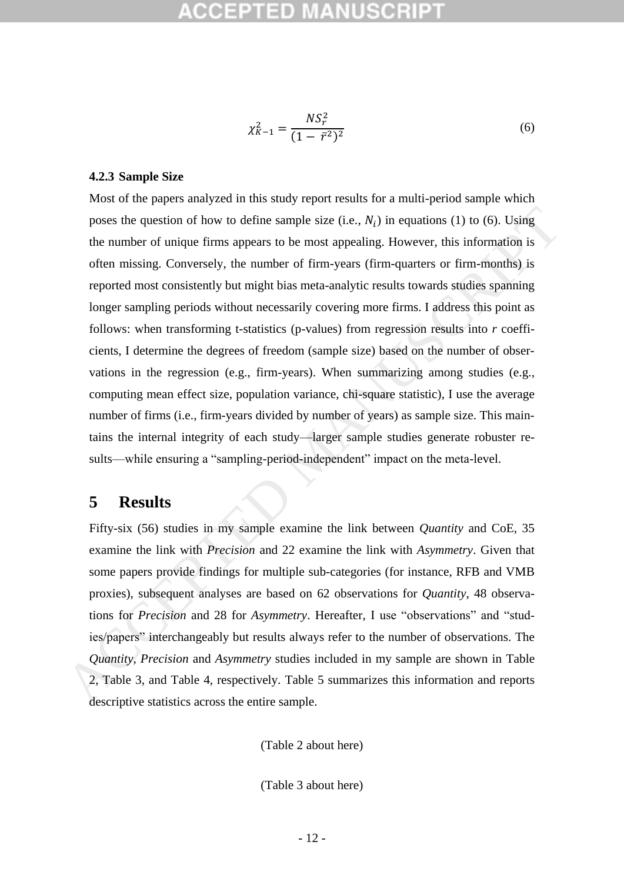<span id="page-14-0"></span>
$$
\chi_{K-1}^2 = \frac{NS_r^2}{(1 - \bar{r}^2)^2} \tag{6}
$$

### **4.2.3 Sample Size**

Most of the papers analyzed in this study report results for a multi-period sample which poses the question of how to define sample size (i.e.,  $N_i$ ) in equations (1) to (6). Using the number of unique firms appears to be most appealing. However, this information is often missing. Conversely, the number of firm-years (firm-quarters or firm-months) is reported most consistently but might bias meta-analytic results towards studies spanning longer sampling periods without necessarily covering more firms. I address this point as follows: when transforming t-statistics (p-values) from regression results into *r* coefficients, I determine the degrees of freedom (sample size) based on the number of observations in the regression (e.g., firm-years). When summarizing among studies (e.g., computing mean effect size, population variance, chi-square statistic), I use the average number of firms (i.e., firm-years divided by number of years) as sample size. This maintains the internal integrity of each study—larger sample studies generate robuster results—while ensuring a "sampling-period-independent" impact on the meta-level. poses the question of how to define sample size (i.e.,  $N_l$ ) in equations (1) to (6). Using<br>the number of unique firms appears to be most appealing. However, this information is<br>often missing. Conversely, the number of fi

## **5 Results**

Fifty-six (56) studies in my sample examine the link between *Quantity* and CoE, 35 examine the link with *Precision* and 22 examine the link with *Asymmetry*. Given that some papers provide findings for multiple sub-categories (for instance, RFB and VMB proxies), subsequent analyses are based on 62 observations for *Quantity*, 48 observations for *Precision* and 28 for *Asymmetry*. Hereafter, I use "observations" and "studies/papers" interchangeably but results always refer to the number of observations. The *Quantity*, *Precision* and *Asymmetry* studies included in my sample are shown in Table 2, Table 3, and Table 4, respectively. Table 5 summarizes this information and reports descriptive statistics across the entire sample.

[\(Table 2](#page-48-0) about here)

[\(Table 3](#page-51-0) about here)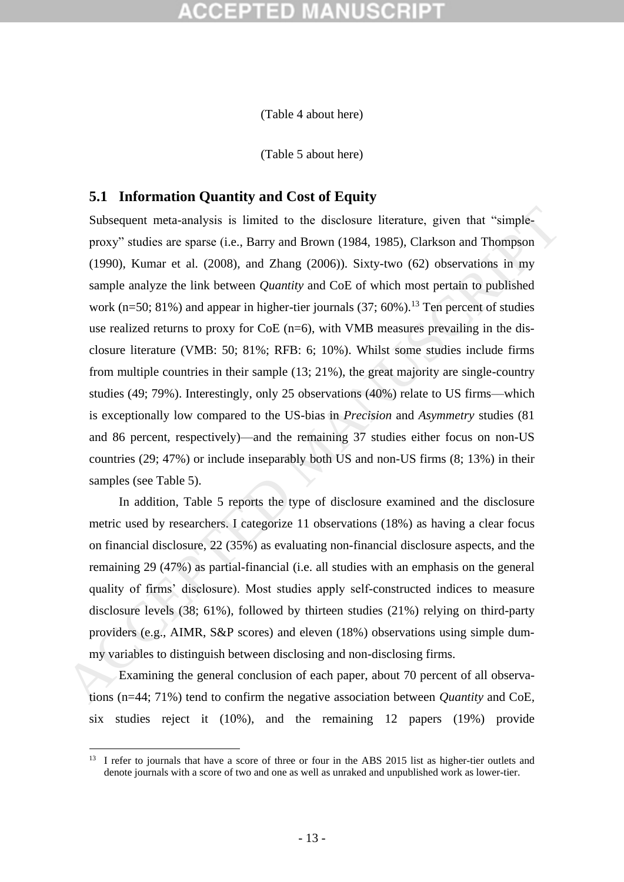[\(Table 4](#page-53-0) about here)

[\(Table 5](#page-55-0) about here)

## **5.1 Information Quantity and Cost of Equity**

Subsequent meta-analysis is limited to the disclosure literature, given that "simpleproxy" studies are sparse (i.e., Barry and Brown (1984, 1985), Clarkson and Thompson (1990), Kumar et al. (2008), and Zhang (2006)). Sixty-two (62) observations in my sample analyze the link between *Quantity* and CoE of which most pertain to published work (n=50; 81%) and appear in higher-tier journals  $(37; 60\%)$ <sup>13</sup>. Ten percent of studies use realized returns to proxy for  $CoE$  (n=6), with VMB measures prevailing in the disclosure literature (VMB: 50; 81%; RFB: 6; 10%). Whilst some studies include firms from multiple countries in their sample (13; 21%), the great majority are single-country studies (49; 79%). Interestingly, only 25 observations (40%) relate to US firms—which is exceptionally low compared to the US-bias in *Precision* and *Asymmetry* studies (81 and 86 percent, respectively)—and the remaining 37 studies either focus on non-US countries (29; 47%) or include inseparably both US and non-US firms (8; 13%) in their samples (see Table 5). Subsequent meta-analysis is limited to the disclosure literature, given that "simple-<br>proxy" studics arc spars: (i.e., Barry and Brown (1984, 1985), Clarkson and Thompson<br>(1990), Kumar et al. (2008), and Zhang (2006)). Si

In addition, Table 5 reports the type of disclosure examined and the disclosure metric used by researchers. I categorize 11 observations (18%) as having a clear focus on financial disclosure, 22 (35%) as evaluating non-financial disclosure aspects, and the remaining 29 (47%) as partial-financial (i.e. all studies with an emphasis on the general quality of firms' disclosure). Most studies apply self-constructed indices to measure disclosure levels (38; 61%), followed by thirteen studies (21%) relying on third-party providers (e.g., AIMR, S&P scores) and eleven (18%) observations using simple dummy variables to distinguish between disclosing and non-disclosing firms.

Examining the general conclusion of each paper, about 70 percent of all observations (n=44; 71%) tend to confirm the negative association between *Quantity* and CoE*,*  six studies reject it (10%), and the remaining 12 papers (19%) provide

1

<sup>&</sup>lt;sup>13</sup> I refer to journals that have a score of three or four in the ABS 2015 list as higher-tier outlets and denote journals with a score of two and one as well as unraked and unpublished work as lower-tier.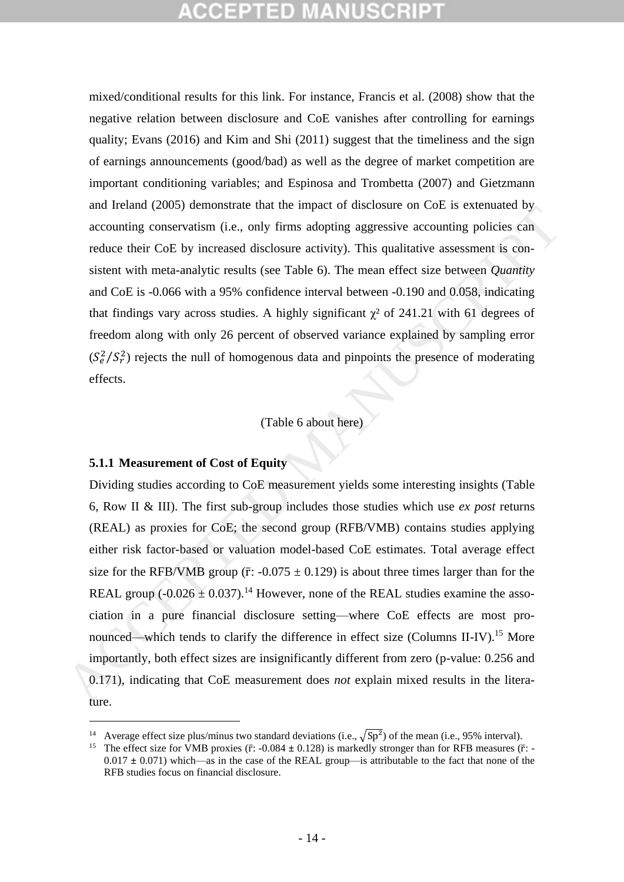mixed/conditional results for this link. For instance, Francis et al. (2008) show that the negative relation between disclosure and CoE vanishes after controlling for earnings quality; Evans (2016) and Kim and Shi (2011) suggest that the timeliness and the sign of earnings announcements (good/bad) as well as the degree of market competition are important conditioning variables; and Espinosa and Trombetta (2007) and Gietzmann and Ireland (2005) demonstrate that the impact of disclosure on CoE is extenuated by accounting conservatism (i.e., only firms adopting aggressive accounting policies can reduce their CoE by increased disclosure activity). This qualitative assessment is consistent with meta-analytic results (see Table 6). The mean effect size between *Quantity* and CoE is -0.066 with a 95% confidence interval between -0.190 and 0.058, indicating that findings vary across studies. A highly significant  $\gamma^2$  of 241.21 with 61 degrees of freedom along with only 26 percent of observed variance explained by sampling error  $(S_e^2/S_r^2)$  rejects the null of homogenous data and pinpoints the presence of moderating effects.

## (Table 6 about here)

## **5.1.1 Measurement of Cost of Equity**

1

Dividing studies according to CoE measurement yields some interesting insights (Table 6, Row II & III). The first sub-group includes those studies which use *ex post* returns (REAL) as proxies for CoE; the second group (RFB/VMB) contains studies applying either risk factor-based or valuation model-based CoE estimates. Total average effect size for the RFB/VMB group ( $\bar{r}$ : -0.075  $\pm$  0.129) is about three times larger than for the REAL group ( $-0.026 \pm 0.037$ ).<sup>14</sup> However, none of the REAL studies examine the association in a pure financial disclosure setting—where CoE effects are most pronounced—which tends to clarify the difference in effect size (Columns II-IV).<sup>15</sup> More importantly, both effect sizes are insignificantly different from zero (p-value: 0.256 and 0.171), indicating that CoE measurement does *not* explain mixed results in the literature. and tradity (2005) vurtures take the timest of values of vectorination of the state of the technomic ones that the difference in error of the REAL studies example eiter CoH is paper.<br>The difference interval and the state

<sup>&</sup>lt;sup>14</sup> Average effect size plus/minus two standard deviations (i.e.,  $\sqrt{Sp^2}$ ) of the mean (i.e., 95% interval).

<sup>&</sup>lt;sup>15</sup> The effect size for VMB proxies ( $\bar{r}$ : -0.084  $\pm$  0.128) is markedly stronger than for RFB measures ( $\bar{r}$ : -0.017 **±** 0.071) which—as in the case of the REAL group—is attributable to the fact that none of the RFB studies focus on financial disclosure.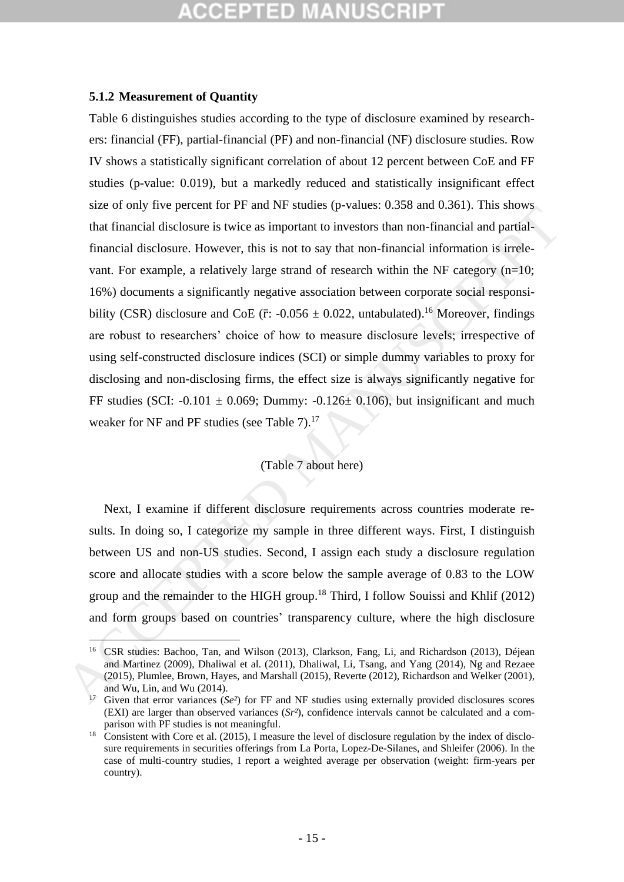### **5.1.2 Measurement of Quantity**

[Table 6](#page-56-0) distinguishes studies according to the type of disclosure examined by researchers: financial (FF), partial-financial (PF) and non-financial (NF) disclosure studies. Row IV shows a statistically significant correlation of about 12 percent between CoE and FF studies (p-value: 0.019), but a markedly reduced and statistically insignificant effect size of only five percent for PF and NF studies (p-values: 0.358 and 0.361). This shows that financial disclosure is twice as important to investors than non-financial and partialfinancial disclosure. However, this is not to say that non-financial information is irrelevant. For example, a relatively large strand of research within the NF category  $(n=10;$ 16%) documents a significantly negative association between corporate social responsibility (CSR) disclosure and CoE ( $\bar{r}$ : -0.056  $\pm$  0.022, untabulated).<sup>16</sup> Moreover, findings are robust to researchers' choice of how to measure disclosure levels; irrespective of using self-constructed disclosure indices (SCI) or simple dummy variables to proxy for disclosing and non-disclosing firms, the effect size is always significantly negative for FF studies (SCI: -0.101  $\pm$  0.069; Dummy: -0.126 $\pm$  0.106), but insignificant and much weaker for NF and PF studies (see Table 7).<sup>17</sup> size of tuny two percent in T if and is a society because  $y$ -vances because  $0.502$  and  $0.502$  and  $0.502$  and  $0.502$  and  $0.502$  and  $0.502$  and  $0.502$  and  $0.502$  and  $0.502$  and  $0.502$  and  $0.502$  and  $0.502$  and

## (Table 7 about here)

Next, I examine if different disclosure requirements across countries moderate results. In doing so, I categorize my sample in three different ways. First, I distinguish between US and non-US studies. Second, I assign each study a disclosure regulation score and allocate studies with a score below the sample average of 0.83 to the LOW group and the remainder to the HIGH group.<sup>18</sup> Third, I follow Souissi and Khlif (2012) and form groups based on countries' transparency culture, where the high disclosure

<sup>1</sup> <sup>16</sup> CSR studies: Bachoo, Tan, and Wilson (2013), Clarkson, Fang, Li, and Richardson (2013), Déjean and Martinez (2009), Dhaliwal et al. (2011), Dhaliwal, Li, Tsang, and Yang (2014), Ng and Rezaee (2015), Plumlee, Brown, Hayes, and Marshall (2015), Reverte (2012), Richardson and Welker (2001), and Wu, Lin, and Wu (2014).

<sup>&</sup>lt;sup>17</sup> Given that error variances (*Se<sup>2</sup>*) for FF and NF studies using externally provided disclosures scores (EXI) are larger than observed variances (*Sr²*), confidence intervals cannot be calculated and a comparison with PF studies is not meaningful.

<sup>&</sup>lt;sup>18</sup> Consistent with Core et al. (2015), I measure the level of disclosure regulation by the index of disclosure requirements in securities offerings from La Porta, Lopez-De-Silanes, and Shleifer (2006). In the case of multi-country studies, I report a weighted average per observation (weight: firm-years per country).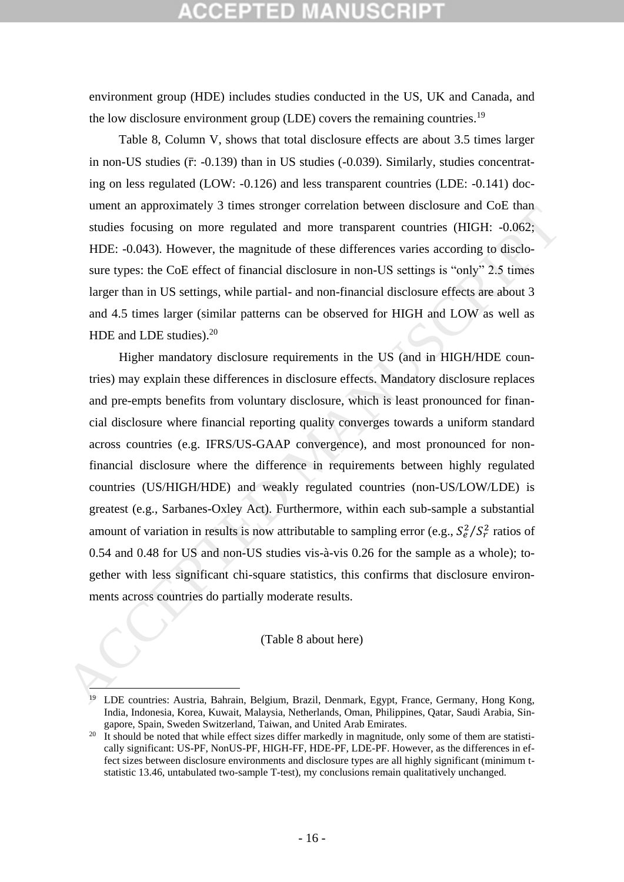environment group (HDE) includes studies conducted in the US, UK and Canada, and the low disclosure environment group (LDE) covers the remaining countries.<sup>19</sup>

[Table 8,](#page-58-0) Column V, shows that total disclosure effects are about 3.5 times larger in non-US studies  $(\bar{r}: -0.139)$  than in US studies  $(-0.039)$ . Similarly, studies concentrating on less regulated (LOW: -0.126) and less transparent countries (LDE: -0.141) document an approximately 3 times stronger correlation between disclosure and CoE than studies focusing on more regulated and more transparent countries (HIGH: -0.062; HDE: -0.043). However, the magnitude of these differences varies according to disclosure types: the CoE effect of financial disclosure in non-US settings is "only" 2.5 times larger than in US settings, while partial- and non-financial disclosure effects are about 3 and 4.5 times larger (similar patterns can be observed for HIGH and LOW as well as HDE and LDE studies).<sup>20</sup>

Higher mandatory disclosure requirements in the US (and in HIGH/HDE countries) may explain these differences in disclosure effects. Mandatory disclosure replaces and pre-empts benefits from voluntary disclosure, which is least pronounced for financial disclosure where financial reporting quality converges towards a uniform standard across countries (e.g. IFRS/US-GAAP convergence), and most pronounced for nonfinancial disclosure where the difference in requirements between highly regulated countries (US/HIGH/HDE) and weakly regulated countries (non-US/LOW/LDE) is greatest (e.g., Sarbanes-Oxley Act). Furthermore, within each sub-sample a substantial amount of variation in results is now attributable to sampling error (e.g.,  $S_e^2/S_r^2$  ratios of 0.54 and 0.48 for US and non-US studies vis-à-vis 0.26 for the sample as a whole); together with less significant chi-square statistics, this confirms that disclosure environments across countries do partially moderate results. uniera an approximately of units suringe coluciator between unscolute and co.e una<br>sudies focusing on more regulated and more transparent countries (HIGH: -0.062;<br>HDE: -0.043). However, the magnitude of these differences

### (Table 8 about here)

 $\overline{a}$ 

<sup>&</sup>lt;sup>19</sup> LDE countries: Austria, Bahrain, Belgium, Brazil, Denmark, Egypt, France, Germany, Hong Kong, India, Indonesia, Korea, Kuwait, Malaysia, Netherlands, Oman, Philippines, Qatar, Saudi Arabia, Singapore, Spain, Sweden Switzerland, Taiwan, and United Arab Emirates.

<sup>&</sup>lt;sup>20</sup> It should be noted that while effect sizes differ markedly in magnitude, only some of them are statistically significant: US-PF, NonUS-PF, HIGH-FF, HDE-PF, LDE-PF. However, as the differences in effect sizes between disclosure environments and disclosure types are all highly significant (minimum tstatistic 13.46, untabulated two-sample T-test), my conclusions remain qualitatively unchanged.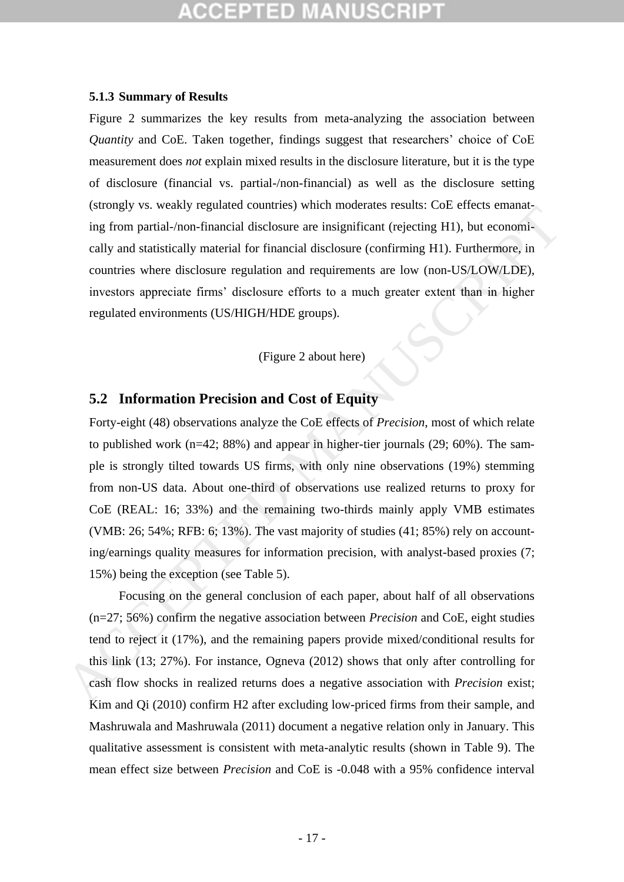# CEPTED

### **5.1.3 Summary of Results**

[Figure 2](#page-65-0) summarizes the key results from meta-analyzing the association between *Quantity* and CoE. Taken together, findings suggest that researchers' choice of CoE measurement does *not* explain mixed results in the disclosure literature, but it is the type of disclosure (financial vs. partial-/non-financial) as well as the disclosure setting (strongly vs. weakly regulated countries) which moderates results: CoE effects emanating from partial-/non-financial disclosure are insignificant (rejecting H1), but economically and statistically material for financial disclosure (confirming H1). Furthermore, in countries where disclosure regulation and requirements are low (non-US/LOW/LDE), investors appreciate firms' disclosure efforts to a much greater extent than in higher regulated environments (US/HIGH/HDE groups).

### (Figure 2 about here)

## **5.2 Information Precision and Cost of Equity**

Forty-eight (48) observations analyze the CoE effects of *Precision*, most of which relate to published work (n=42; 88%) and appear in higher-tier journals (29; 60%). The sample is strongly tilted towards US firms, with only nine observations (19%) stemming from non-US data. About one-third of observations use realized returns to proxy for CoE (REAL: 16; 33%) and the remaining two-thirds mainly apply VMB estimates (VMB: 26; 54%; RFB: 6; 13%). The vast majority of studies (41; 85%) rely on accounting/earnings quality measures for information precision, with analyst-based proxies (7; 15%) being the exception (see Table 5). Assumptives, weakly regulated counters) was interactions stessors. Controllated the conomically and statistically material for financial disclosure are insignificant (rejecting HI), but economically and statistically mate

Focusing on the general conclusion of each paper, about half of all observations (n=27; 56%) confirm the negative association between *Precision* and CoE*,* eight studies tend to reject it (17%), and the remaining papers provide mixed/conditional results for this link (13; 27%). For instance, Ogneva (2012) shows that only after controlling for cash flow shocks in realized returns does a negative association with *Precision* exist; Kim and Qi (2010) confirm H2 after excluding low-priced firms from their sample, and Mashruwala and Mashruwala (2011) document a negative relation only in January. This qualitative assessment is consistent with meta-analytic results (shown in [Table 9\)](#page-60-0). The mean effect size between *Precision* and CoE is -0.048 with a 95% confidence interval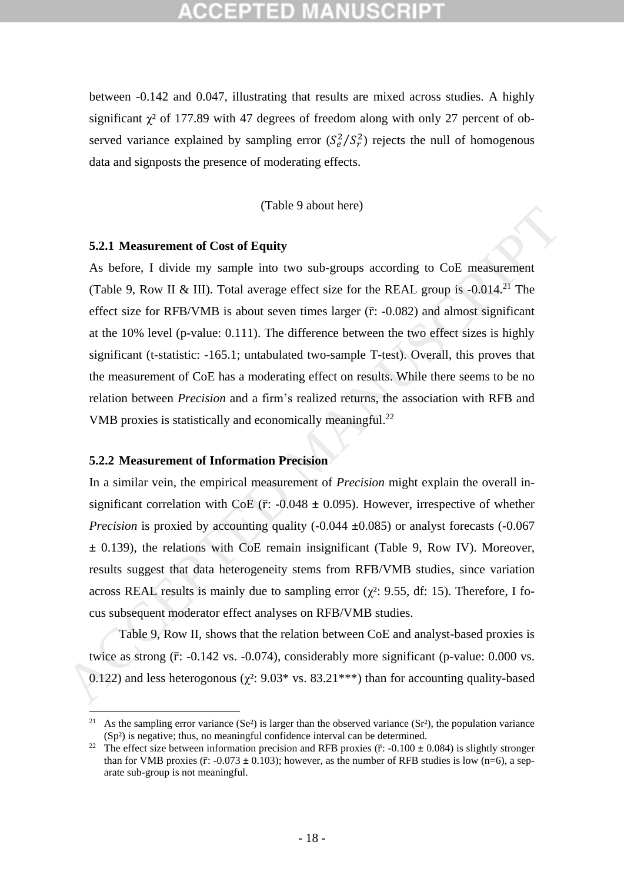between -0.142 and 0.047, illustrating that results are mixed across studies. A highly significant  $\chi^2$  of 177.89 with 47 degrees of freedom along with only 27 percent of observed variance explained by sampling error  $(S_e^2/S_r^2)$  rejects the null of homogenous data and signposts the presence of moderating effects.

(Table 9 about here)

## **5.2.1 Measurement of Cost of Equity**

As before, I divide my sample into two sub-groups according to CoE measurement (Table 9, Row II & III). Total average effect size for the REAL group is  $-0.014$ <sup>21</sup> The effect size for RFB/VMB is about seven times larger  $(\bar{r}$ : -0.082) and almost significant at the 10% level (p-value: 0.111). The difference between the two effect sizes is highly significant (t-statistic: -165.1; untabulated two-sample T-test). Overall, this proves that the measurement of CoE has a moderating effect on results. While there seems to be no relation between *Precision* and a firm's realized returns, the association with RFB and VMB proxies is statistically and economically meaningful.<sup>22</sup> 5.2.1 Measurement of Cost of Equity<br>
As before, 1 divide my sample into two sub-groups according to CoE measurement<br>
(Table 9, Row II & III). Total average effect size for the REAL group is -0.014.<sup>21</sup> The<br>
effect size fo

## **5.2.2 Measurement of Information Precision**

 $\overline{a}$ 

In a similar vein, the empirical measurement of *Precision* might explain the overall insignificant correlation with CoE ( $\bar{r}$ : -0.048  $\pm$  0.095). However, irrespective of whether *Precision* is proxied by accounting quality (-0.044 **±**0.085) or analyst forecasts (-0.067 **±** 0.139), the relations with CoE remain insignificant (Table 9, Row IV). Moreover, results suggest that data heterogeneity stems from RFB/VMB studies, since variation across REAL results is mainly due to sampling error ( $\gamma^2$ : 9.55, df: 15). Therefore, I focus subsequent moderator effect analyses on RFB/VMB studies.

Table 9, Row II, shows that the relation between CoE and analyst-based proxies is twice as strong  $(\bar{r}$ : -0.142 vs. -0.074), considerably more significant (p-value: 0.000 vs. 0.122) and less heterogonous ( $\chi^2$ : 9.03\* vs. 83.21\*\*\*) than for accounting quality-based

<sup>&</sup>lt;sup>21</sup> As the sampling error variance (Se<sup>2</sup>) is larger than the observed variance (Sr<sup>2</sup>), the population variance  $(Sp<sup>2</sup>)$  is negative; thus, no meaningful confidence interval can be determined.

<sup>&</sup>lt;sup>22</sup> The effect size between information precision and RFB proxies ( $\bar{r}$ : -0.100  $\pm$  0.084) is slightly stronger than for VMB proxies ( $\bar{r}$ : -0.073  $\pm$  0.103); however, as the number of RFB studies is low (n=6), a separate sub-group is not meaningful.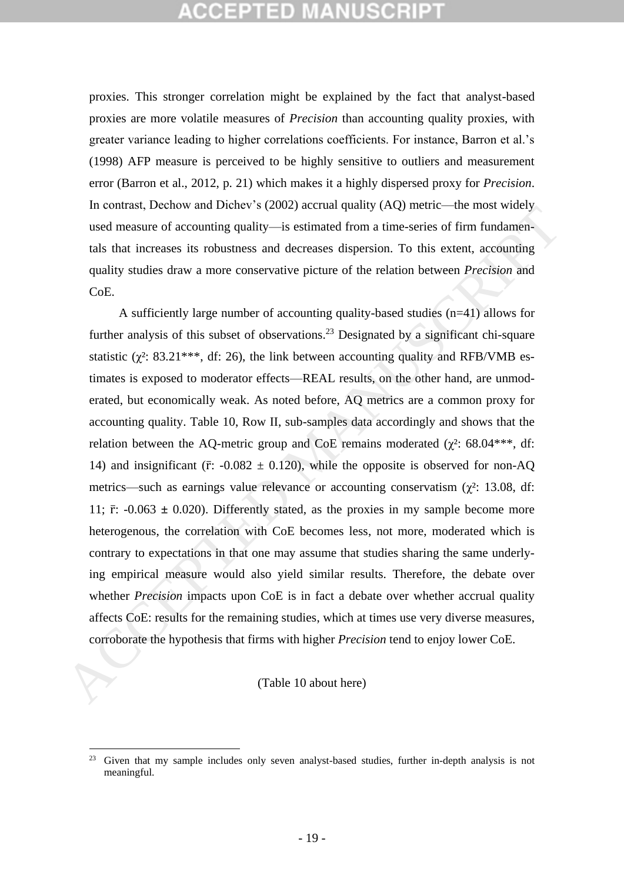# CEPTED.

proxies. This stronger correlation might be explained by the fact that analyst-based proxies are more volatile measures of *Precision* than accounting quality proxies, with greater variance leading to higher correlations coefficients. For instance, Barron et al.'s (1998) AFP measure is perceived to be highly sensitive to outliers and measurement error (Barron et al., 2012, p. 21) which makes it a highly dispersed proxy for *Precision*. In contrast, Dechow and Dichev's (2002) accrual quality (AQ) metric—the most widely used measure of accounting quality—is estimated from a time-series of firm fundamentals that increases its robustness and decreases dispersion. To this extent, accounting quality studies draw a more conservative picture of the relation between *Precision* and CoE.

A sufficiently large number of accounting quality-based studies (n=41) allows for further analysis of this subset of observations.<sup>23</sup> Designated by a significant chi-square statistic ( $\chi^2$ : 83.21<sup>\*\*\*</sup>, df: 26), the link between accounting quality and RFB/VMB estimates is exposed to moderator effects—REAL results, on the other hand, are unmoderated, but economically weak. As noted before, AQ metrics are a common proxy for accounting quality. Table 10, Row II, sub-samples data accordingly and shows that the relation between the AQ-metric group and CoE remains moderated ( $\chi^2$ : 68.04\*\*\*, df: 14) and insignificant ( $\bar{r}$ : -0.082  $\pm$  0.120), while the opposite is observed for non-AQ metrics—such as earnings value relevance or accounting conservatism ( $\gamma^2$ : 13.08, df: 11;  $\bar{r}$ : -0.063  $\pm$  0.020). Differently stated, as the proxies in my sample become more heterogenous, the correlation with CoE becomes less, not more, moderated which is contrary to expectations in that one may assume that studies sharing the same underlying empirical measure would also yield similar results. Therefore, the debate over whether *Precision* impacts upon CoE is in fact a debate over whether accrual quality affects CoE: results for the remaining studies, which at times use very diverse measures, corroborate the hypothesis that firms with higher *Precision* tend to enjoy lower CoE. and means, because the two sects of course of exercises of firm fundamentals and measure of accounting quality-is estimated from a time-series of firm fundamentals that increases its robustness and decreases dispersion. T

## (Table 10 about here)

1

<sup>&</sup>lt;sup>23</sup> Given that my sample includes only seven analyst-based studies, further in-depth analysis is not meaningful.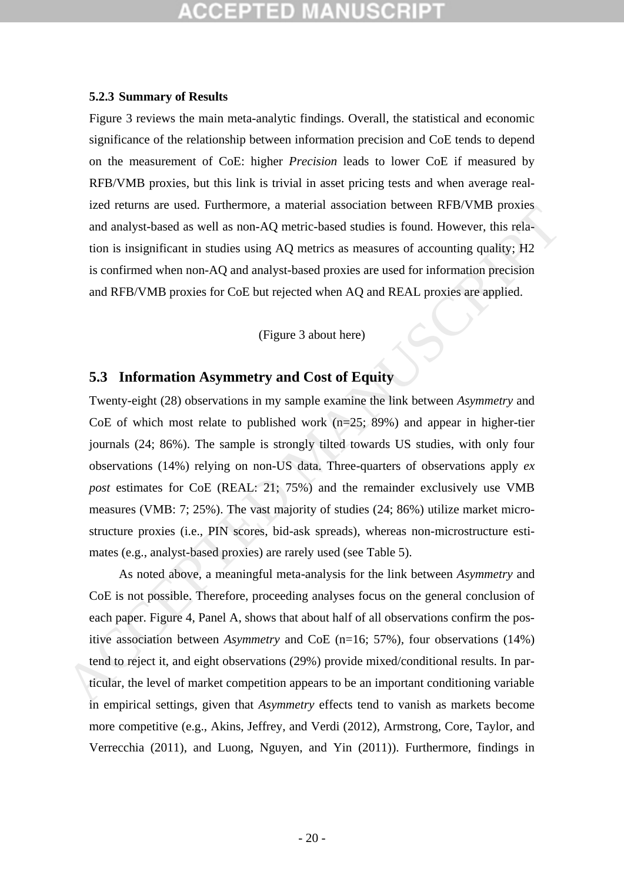### **5.2.3 Summary of Results**

[Figure 3](#page-66-0) reviews the main meta-analytic findings. Overall, the statistical and economic significance of the relationship between information precision and CoE tends to depend on the measurement of CoE: higher *Precision* leads to lower CoE if measured by RFB/VMB proxies, but this link is trivial in asset pricing tests and when average realized returns are used. Furthermore, a material association between RFB/VMB proxies and analyst-based as well as non-AQ metric-based studies is found. However, this relation is insignificant in studies using AQ metrics as measures of accounting quality; H2 is confirmed when non-AQ and analyst-based proxies are used for information precision and RFB/VMB proxies for CoE but rejected when AQ and REAL proxies are applied.

(Figure 3 about here)

## **5.3 Information Asymmetry and Cost of Equity**

Twenty-eight (28) observations in my sample examine the link between *Asymmetry* and CoE of which most relate to published work  $(n=25; 89%)$  and appear in higher-tier journals (24; 86%). The sample is strongly tilted towards US studies, with only four observations (14%) relying on non-US data. Three-quarters of observations apply *ex post* estimates for CoE (REAL: 21; 75%) and the remainder exclusively use VMB measures (VMB: 7; 25%). The vast majority of studies (24; 86%) utilize market microstructure proxies (i.e., PIN scores, bid-ask spreads), whereas non-microstructure estimates (e.g., analyst-based proxies) are rarely used (see Table 5). Exercitation can use to a matrimolon, a material associator of every this relation is insignificant in studies using AQ metric-hased studies is found. However, this relation is insignificant in studies using AQ metric-has

As noted above, a meaningful meta-analysis for the link between *Asymmetry* and CoE is not possible. Therefore, proceeding analyses focus on the general conclusion of each paper. Figure 4, Panel A, shows that about half of all observations confirm the positive association between *Asymmetry* and CoE (n=16; 57%)*,* four observations (14%) tend to reject it, and eight observations (29%) provide mixed/conditional results. In particular, the level of market competition appears to be an important conditioning variable in empirical settings, given that *Asymmetry* effects tend to vanish as markets become more competitive (e.g., Akins, Jeffrey, and Verdi (2012), Armstrong, Core, Taylor, and Verrecchia (2011), and Luong, Nguyen, and Yin (2011)). Furthermore, findings in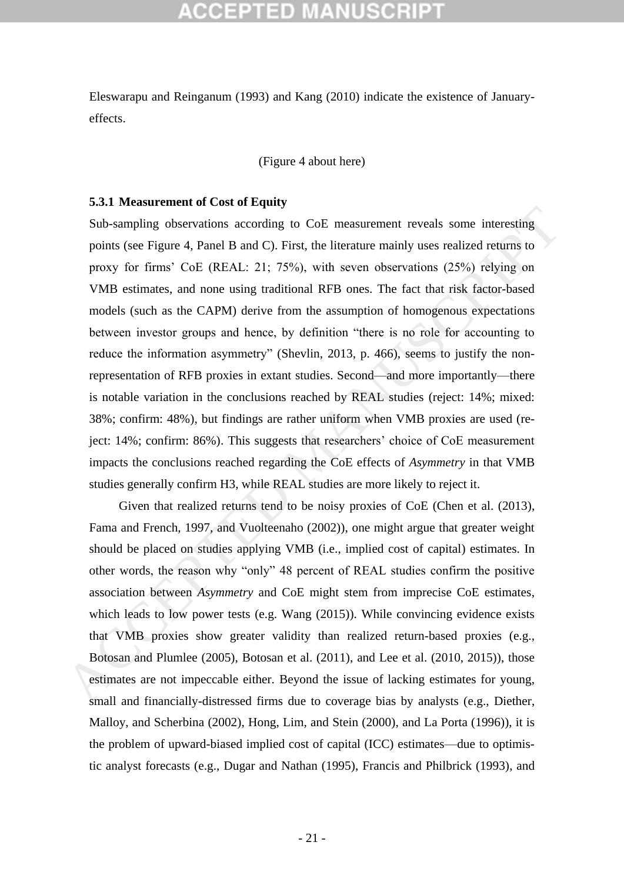# CEPTED

Eleswarapu and Reinganum (1993) and Kang (2010) indicate the existence of Januaryeffects.

[\(Figure 4](#page-67-0) about here)

### **5.3.1 Measurement of Cost of Equity**

Sub-sampling observations according to CoE measurement reveals some interesting points (see Figure 4, Panel B and C). First, the literature mainly uses realized returns to proxy for firms' CoE (REAL: 21; 75%), with seven observations (25%) relying on VMB estimates, and none using traditional RFB ones. The fact that risk factor-based models (such as the CAPM) derive from the assumption of homogenous expectations between investor groups and hence, by definition "there is no role for accounting to reduce the information asymmetry" (Shevlin, 2013, p. 466), seems to justify the nonrepresentation of RFB proxies in extant studies. Second—and more importantly—there is notable variation in the conclusions reached by REAL studies (reject: 14%; mixed: 38%; confirm: 48%), but findings are rather uniform when VMB proxies are used (reject: 14%; confirm: 86%). This suggests that researchers' choice of CoE measurement impacts the conclusions reached regarding the CoE effects of *Asymmetry* in that VMB studies generally confirm H3, while REAL studies are more likely to reject it. Sub-sampling observations according to CoE measurement reveals some interesting<br>points (see Figure 4, Panel B and C). First, the literature mainly uses realized returns to<br>proxy for firms' CoE (REAL: 21; 75%), with seven

Given that realized returns tend to be noisy proxies of CoE (Chen et al. (2013), Fama and French, 1997, and Vuolteenaho (2002)), one might argue that greater weight should be placed on studies applying VMB (i.e., implied cost of capital) estimates. In other words, the reason why "only" 48 percent of REAL studies confirm the positive association between *Asymmetry* and CoE might stem from imprecise CoE estimates, which leads to low power tests (e.g. Wang (2015)). While convincing evidence exists that VMB proxies show greater validity than realized return-based proxies (e.g., Botosan and Plumlee (2005), Botosan et al. (2011), and Lee et al. (2010, 2015)), those estimates are not impeccable either. Beyond the issue of lacking estimates for young, small and financially-distressed firms due to coverage bias by analysts (e.g., Diether, Malloy, and Scherbina (2002), Hong, Lim, and Stein (2000), and La Porta (1996)), it is the problem of upward-biased implied cost of capital (ICC) estimates—due to optimistic analyst forecasts (e.g., Dugar and Nathan (1995), Francis and Philbrick (1993), and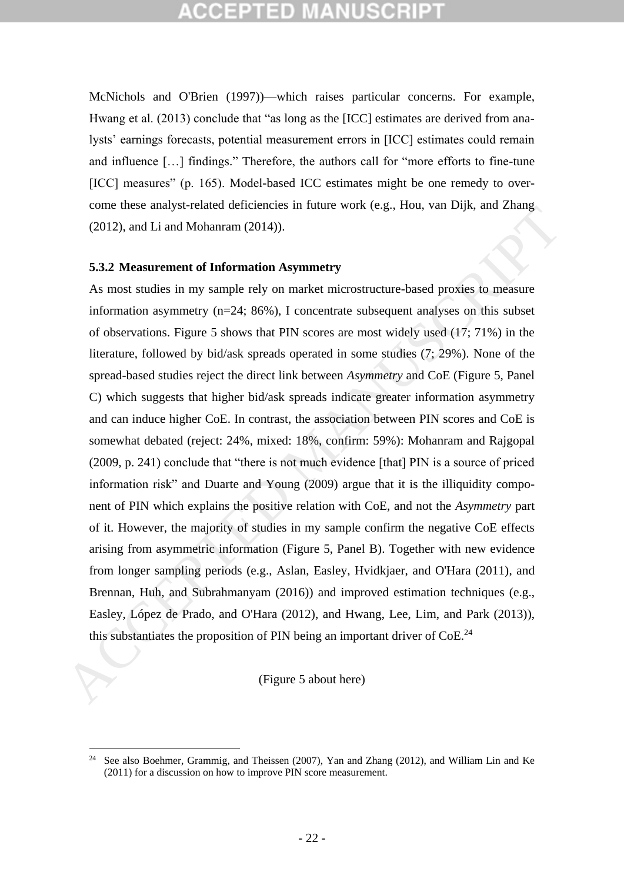McNichols and O'Brien (1997))—which raises particular concerns. For example, Hwang et al. (2013) conclude that "as long as the [ICC] estimates are derived from analysts' earnings forecasts, potential measurement errors in [ICC] estimates could remain and influence […] findings." Therefore, the authors call for "more efforts to fine-tune [ICC] measures" (p. 165). Model-based ICC estimates might be one remedy to overcome these analyst-related deficiencies in future work (e.g., Hou, van Dijk, and Zhang (2012), and Li and Mohanram (2014)).

### **5.3.2 Measurement of Information Asymmetry**

1

As most studies in my sample rely on market microstructure-based proxies to measure information asymmetry  $(n=24; 86\%)$ , I concentrate subsequent analyses on this subset of observations. Figure 5 shows that PIN scores are most widely used (17; 71%) in the literature, followed by bid/ask spreads operated in some studies (7; 29%). None of the spread-based studies reject the direct link between *Asymmetry* and CoE (Figure 5, Panel C) which suggests that higher bid/ask spreads indicate greater information asymmetry and can induce higher CoE. In contrast, the association between PIN scores and CoE is somewhat debated (reject: 24%, mixed: 18%, confirm: 59%): Mohanram and Rajgopal (2009, p. 241) conclude that "there is not much evidence [that] PIN is a source of priced information risk" and Duarte and Young (2009) argue that it is the illiquidity component of PIN which explains the positive relation with CoE, and not the *Asymmetry* part of it. However, the majority of studies in my sample confirm the negative CoE effects arising from asymmetric information (Figure 5, Panel B). Together with new evidence from longer sampling periods (e.g., Aslan, Easley, Hvidkjaer, and O'Hara (2011), and Brennan, Huh, and Subrahmanyam (2016)) and improved estimation techniques (e.g., Easley, López de Prado, and O'Hara (2012), and Hwang, Lee, Lim, and Park (2013)), this substantiates the proposition of PIN being an important driver of  $CoE<sup>24</sup>$ COLL, and Li and Mohamram (2014)).<br>
S.3.2 Measurement of Information Asymmetry<br>
As most studies in my sample rely on market microstructure-based proxies to measure<br>
information saymmetry (n-24, 80%), I concentrate subsequ

(Figure 5 about here)

<sup>24</sup> See also Boehmer, Grammig, and Theissen (2007), Yan and Zhang (2012), and William Lin and Ke (2011) for a discussion on how to improve PIN score measurement.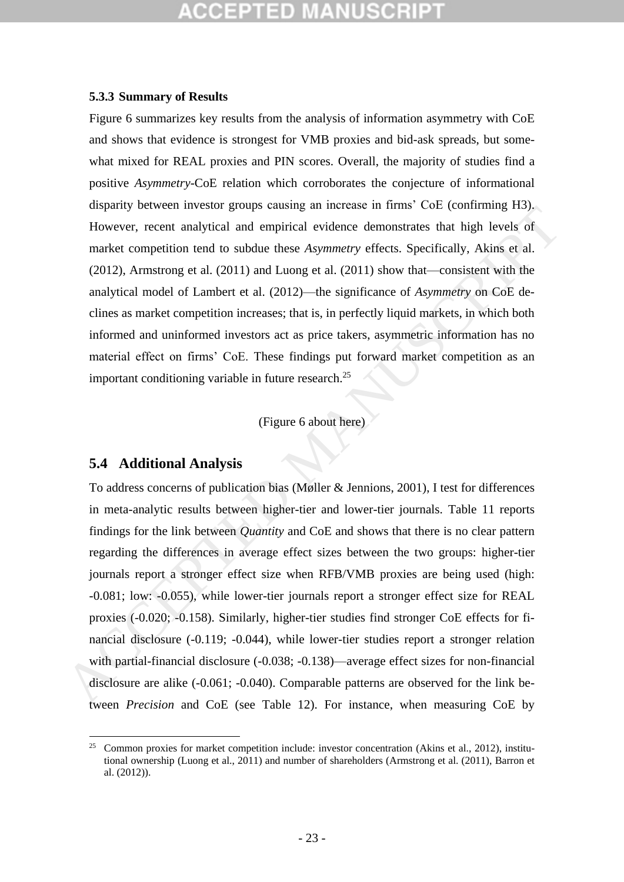## **5.3.3 Summary of Results**

[Figure 6](#page-69-0) summarizes key results from the analysis of information asymmetry with CoE and shows that evidence is strongest for VMB proxies and bid-ask spreads, but somewhat mixed for REAL proxies and PIN scores. Overall, the majority of studies find a positive *Asymmetry*-CoE relation which corroborates the conjecture of informational disparity between investor groups causing an increase in firms' CoE (confirming H3). However, recent analytical and empirical evidence demonstrates that high levels of market competition tend to subdue these *Asymmetry* effects. Specifically, Akins et al. (2012), Armstrong et al. (2011) and Luong et al. (2011) show that—consistent with the analytical model of Lambert et al. (2012)—the significance of *Asymmetry* on CoE declines as market competition increases; that is, in perfectly liquid markets, in which both informed and uninformed investors act as price takers, asymmetric information has no material effect on firms' CoE. These findings put forward market competition as an important conditioning variable in future research.<sup>25</sup>

## (Figure 6 about here)

## **5.4 Additional Analysis**

<u>.</u>

To address concerns of publication bias (Møller & Jennions, 2001), I test for differences in meta-analytic results between higher-tier and lower-tier journals. Table 11 reports findings for the link between *Quantity* and CoE and shows that there is no clear pattern regarding the differences in average effect sizes between the two groups: higher-tier journals report a stronger effect size when RFB/VMB proxies are being used (high: -0.081; low: -0.055), while lower-tier journals report a stronger effect size for REAL proxies (-0.020; -0.158). Similarly, higher-tier studies find stronger CoE effects for financial disclosure (-0.119; -0.044), while lower-tier studies report a stronger relation with partial-financial disclosure (-0.038; -0.138)—average effect sizes for non-financial disclosure are alike (-0.061; -0.040). Comparable patterns are observed for the link between *Precision* and CoE (see [Table 12\)](#page-63-0). For instance, when measuring CoE by However, recent analytical and empirical evidence the must occurrent in the However, recent analytical and empirical evidence demonstrates that high levels of market competition tend to subdue these Asymmetry effects. Spe

<sup>&</sup>lt;sup>25</sup> Common proxies for market competition include: investor concentration (Akins et al., 2012), institutional ownership (Luong et al., 2011) and number of shareholders (Armstrong et al. (2011), Barron et al. (2012)).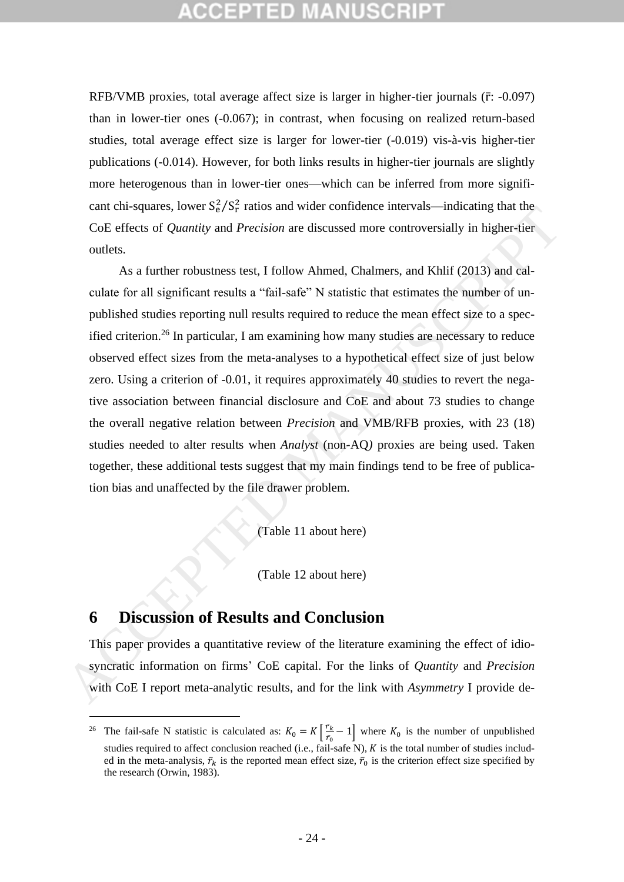RFB/VMB proxies, total average affect size is larger in higher-tier journals  $(\bar{r}: -0.097)$ than in lower-tier ones (-0.067); in contrast, when focusing on realized return-based studies, total average effect size is larger for lower-tier (-0.019) vis-à-vis higher-tier publications (-0.014). However, for both links results in higher-tier journals are slightly more heterogenous than in lower-tier ones—which can be inferred from more significant chi-squares, lower  $S_e^2/S_r^2$  ratios and wider confidence intervals—indicating that the CoE effects of *Quantity* and *Precision* are discussed more controversially in higher-tier outlets.

As a further robustness test, I follow Ahmed, Chalmers, and Khlif (2013) and calculate for all significant results a "fail-safe" N statistic that estimates the number of unpublished studies reporting null results required to reduce the mean effect size to a specified criterion.<sup>26</sup> In particular, I am examining how many studies are necessary to reduce observed effect sizes from the meta-analyses to a hypothetical effect size of just below zero. Using a criterion of -0.01, it requires approximately 40 studies to revert the negative association between financial disclosure and CoE and about 73 studies to change the overall negative relation between *Precision* and VMB/RFB proxies, with 23 (18) studies needed to alter results when *Analyst* (non-AQ*)* proxies are being used. Taken together, these additional tests suggest that my main findings tend to be free of publication bias and unaffected by the file drawer problem. Eart can sell out all *Precision* are discussed more controversially in higher-tier<br>coE effects of *Quantity* and *Precision* are discussed more controversially in higher-tier<br>outlets.<br>As a further robustness test, I foll

(Table 11 about here)

(Table 12 about here)

## **6 Discussion of Results and Conclusion**

1

This paper provides a quantitative review of the literature examining the effect of idiosyncratic information on firms' CoE capital. For the links of *Quantity* and *Precision* with CoE I report meta-analytic results, and for the link with *Asymmetry* I provide de-

<sup>&</sup>lt;sup>26</sup> The fail-safe N statistic is calculated as:  $K_0 = K \left[ \frac{\vec{r}_k}{\vec{r}_0} \right]$  $\frac{r_k}{r_0} - 1$  where  $K_0$  is the number of unpublished studies required to affect conclusion reached (i.e., fail-safe N),  $K$  is the total number of studies included in the meta-analysis,  $\bar{r}_k$  is the reported mean effect size,  $\bar{r}_0$  is the criterion effect size specified by the research (Orwin, 1983).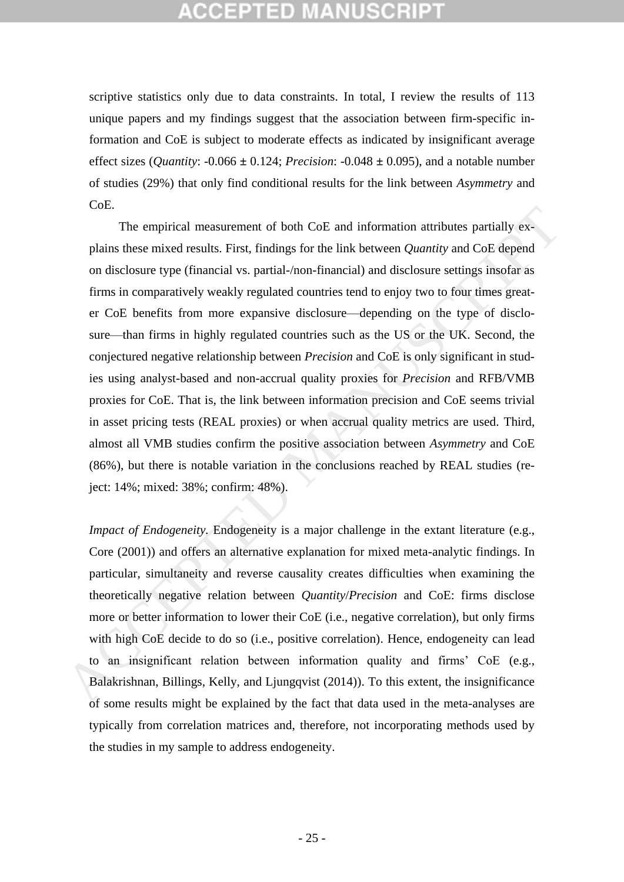# :CEPTED M

scriptive statistics only due to data constraints. In total, I review the results of 113 unique papers and my findings suggest that the association between firm-specific information and CoE is subject to moderate effects as indicated by insignificant average effect sizes (*Quantity*: -0.066 **±** 0.124; *Precision*: -0.048 **±** 0.095), and a notable number of studies (29%) that only find conditional results for the link between *Asymmetry* and CoE.

The empirical measurement of both CoE and information attributes partially explains these mixed results. First, findings for the link between *Quantity* and CoE depend on disclosure type (financial vs. partial-/non-financial) and disclosure settings insofar as firms in comparatively weakly regulated countries tend to enjoy two to four times greater CoE benefits from more expansive disclosure—depending on the type of disclosure—than firms in highly regulated countries such as the US or the UK. Second, the conjectured negative relationship between *Precision* and CoE is only significant in studies using analyst-based and non-accrual quality proxies for *Precision* and RFB/VMB proxies for CoE. That is, the link between information precision and CoE seems trivial in asset pricing tests (REAL proxies) or when accrual quality metrics are used. Third, almost all VMB studies confirm the positive association between *Asymmetry* and CoE (86%), but there is notable variation in the conclusions reached by REAL studies (reject: 14%; mixed: 38%; confirm: 48%). The empirical measurement of both CoE and information attributes partially ex-<br>plains these mixed results. First, findings for the link between *Quantity* and CoE depend<br>on disclosure type (financial vs. partial-/non-fina

*Impact of Endogeneity.* Endogeneity is a major challenge in the extant literature (e.g., Core (2001)) and offers an alternative explanation for mixed meta-analytic findings. In particular, simultaneity and reverse causality creates difficulties when examining the theoretically negative relation between *Quantity*/*Precision* and CoE: firms disclose more or better information to lower their CoE (i.e., negative correlation), but only firms with high CoE decide to do so (i.e., positive correlation). Hence, endogeneity can lead to an insignificant relation between information quality and firms' CoE (e.g., Balakrishnan, Billings, Kelly, and Ljungqvist (2014)). To this extent, the insignificance of some results might be explained by the fact that data used in the meta-analyses are typically from correlation matrices and, therefore, not incorporating methods used by the studies in my sample to address endogeneity.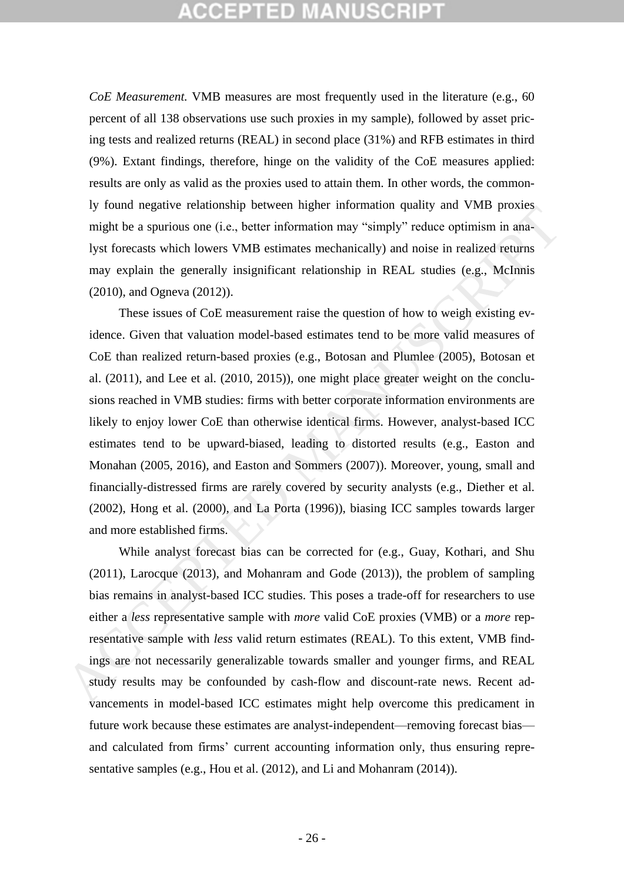# CCEPTED MANUSCRI

*CoE Measurement.* VMB measures are most frequently used in the literature (e.g., 60 percent of all 138 observations use such proxies in my sample), followed by asset pricing tests and realized returns (REAL) in second place (31%) and RFB estimates in third (9%). Extant findings, therefore, hinge on the validity of the CoE measures applied: results are only as valid as the proxies used to attain them. In other words, the commonly found negative relationship between higher information quality and VMB proxies might be a spurious one (i.e., better information may "simply" reduce optimism in analyst forecasts which lowers VMB estimates mechanically) and noise in realized returns may explain the generally insignificant relationship in REAL studies (e.g., McInnis (2010), and Ogneva (2012)).

These issues of CoE measurement raise the question of how to weigh existing evidence. Given that valuation model-based estimates tend to be more valid measures of CoE than realized return-based proxies (e.g., Botosan and Plumlee (2005), Botosan et al. (2011), and Lee et al. (2010, 2015)), one might place greater weight on the conclusions reached in VMB studies: firms with better corporate information environments are likely to enjoy lower CoE than otherwise identical firms. However, analyst-based ICC estimates tend to be upward-biased, leading to distorted results (e.g., Easton and Monahan (2005, 2016), and Easton and Sommers (2007)). Moreover, young, small and financially-distressed firms are rarely covered by security analysts (e.g., Diether et al. (2002), Hong et al. (2000), and La Porta (1996)), biasing ICC samples towards larger and more established firms. *H* yound tagaarve transmally devive the patter information quapartization (patter) and v sare particles a sparinus one (i.e., better information may "simply" reduce optimism in analyst forecasts which lowers VMB estimate

While analyst forecast bias can be corrected for (e.g., Guay, Kothari, and Shu (2011), Larocque (2013), and Mohanram and Gode (2013)), the problem of sampling bias remains in analyst-based ICC studies. This poses a trade-off for researchers to use either a *less* representative sample with *more* valid CoE proxies (VMB) or a *more* representative sample with *less* valid return estimates (REAL). To this extent, VMB findings are not necessarily generalizable towards smaller and younger firms, and REAL study results may be confounded by cash-flow and discount-rate news. Recent advancements in model-based ICC estimates might help overcome this predicament in future work because these estimates are analyst-independent—removing forecast bias and calculated from firms' current accounting information only, thus ensuring representative samples (e.g., Hou et al. (2012), and Li and Mohanram (2014)).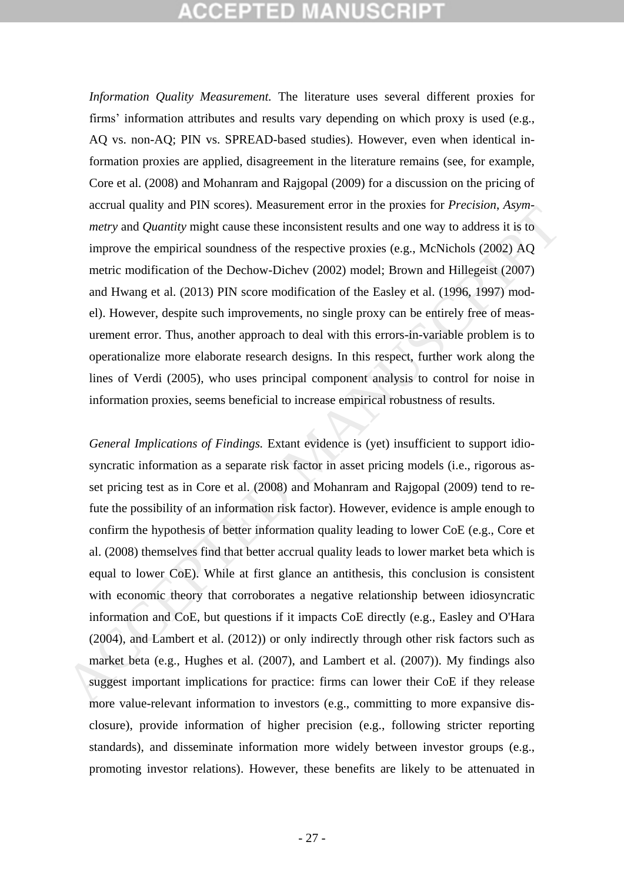# **:CEPTED MANUSCR**

*Information Quality Measurement.* The literature uses several different proxies for firms' information attributes and results vary depending on which proxy is used (e.g., AQ vs. non-AQ; PIN vs. SPREAD-based studies). However, even when identical information proxies are applied, disagreement in the literature remains (see, for example, Core et al. (2008) and Mohanram and Rajgopal (2009) for a discussion on the pricing of accrual quality and PIN scores). Measurement error in the proxies for *Precision*, *Asymmetry* and *Quantity* might cause these inconsistent results and one way to address it is to improve the empirical soundness of the respective proxies (e.g., McNichols (2002) AQ metric modification of the Dechow-Dichev (2002) model; Brown and Hillegeist (2007) and Hwang et al. (2013) PIN score modification of the Easley et al. (1996, 1997) model). However, despite such improvements, no single proxy can be entirely free of measurement error. Thus, another approach to deal with this errors-in-variable problem is to operationalize more elaborate research designs. In this respect, further work along the lines of Verdi (2005), who uses principal component analysis to control for noise in information proxies, seems beneficial to increase empirical robustness of results.

*General Implications of Findings.* Extant evidence is (yet) insufficient to support idiosyncratic information as a separate risk factor in asset pricing models (i.e., rigorous asset pricing test as in Core et al. (2008) and Mohanram and Rajgopal (2009) tend to refute the possibility of an information risk factor). However, evidence is ample enough to confirm the hypothesis of better information quality leading to lower CoE (e.g., Core et al. (2008) themselves find that better accrual quality leads to lower market beta which is equal to lower CoE). While at first glance an antithesis, this conclusion is consistent with economic theory that corroborates a negative relationship between idiosyncratic information and CoE, but questions if it impacts CoE directly (e.g., Easley and O'Hara (2004), and Lambert et al. (2012)) or only indirectly through other risk factors such as market beta (e.g., Hughes et al. (2007), and Lambert et al. (2007)). My findings also suggest important implications for practice: firms can lower their CoE if they release more value-relevant information to investors (e.g., committing to more expansive disclosure), provide information of higher precision (e.g., following stricter reporting standards), and disseminate information more widely between investor groups (e.g., promoting investor relations). However, these benefits are likely to be attenuated in we are the quality and trive solution methods. Suessignment circle methods of receivent, asymetric metric metric metric metric metric metric metric metric metric metric metric metric metric metric metric metric metric met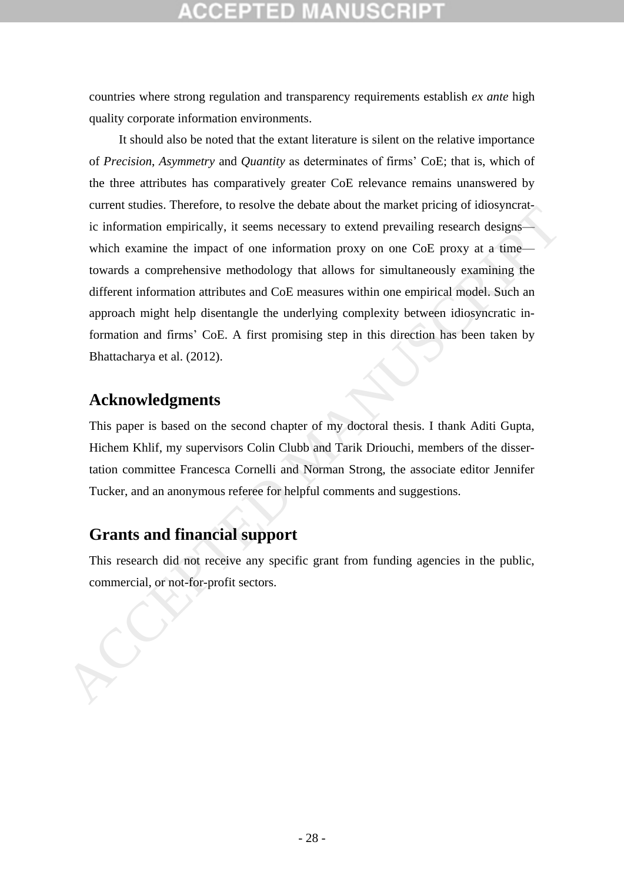countries where strong regulation and transparency requirements establish *ex ante* high quality corporate information environments.

It should also be noted that the extant literature is silent on the relative importance of *Precision*, *Asymmetry* and *Quantity* as determinates of firms' CoE; that is, which of the three attributes has comparatively greater CoE relevance remains unanswered by current studies. Therefore, to resolve the debate about the market pricing of idiosyncratic information empirically, it seems necessary to extend prevailing research designs which examine the impact of one information proxy on one CoE proxy at a time towards a comprehensive methodology that allows for simultaneously examining the different information attributes and CoE measures within one empirical model. Such an approach might help disentangle the underlying complexity between idiosyncratic information and firms' CoE. A first promising step in this direction has been taken by Bhattacharya et al. (2012). commercial, therefore, to resort of the matter principle and the method of the method of the information empirically, it seems necessary to extend prevailing research designs—<br>which examine the impact of one information pr

## **Acknowledgments**

This paper is based on the second chapter of my doctoral thesis. I thank Aditi Gupta, Hichem Khlif, my supervisors Colin Clubb and Tarik Driouchi, members of the dissertation committee Francesca Cornelli and Norman Strong, the associate editor Jennifer Tucker, and an anonymous referee for helpful comments and suggestions.

## **Grants and financial support**

This research did not receive any specific grant from funding agencies in the public,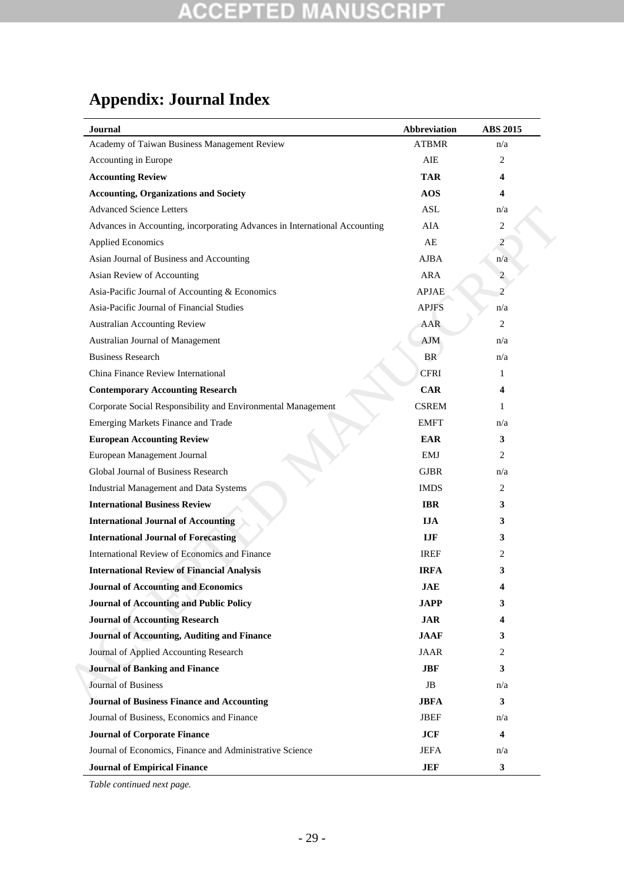# **Appendix: Journal Index**

| <b>Journal</b>                                                             | <b>Abbreviation</b> | <b>ABS 2015</b> |
|----------------------------------------------------------------------------|---------------------|-----------------|
| Academy of Taiwan Business Management Review                               | <b>ATBMR</b>        | n/a             |
| Accounting in Europe                                                       | AIE                 | 2               |
| <b>Accounting Review</b>                                                   | <b>TAR</b>          | 4               |
| <b>Accounting, Organizations and Society</b>                               | AOS                 | 4               |
| <b>Advanced Science Letters</b>                                            | <b>ASL</b>          | n/a             |
| Advances in Accounting, incorporating Advances in International Accounting | AIA                 | $\mathbf{2}$    |
| <b>Applied Economics</b>                                                   | AE                  | $\overline{c}$  |
| Asian Journal of Business and Accounting                                   | <b>AJBA</b>         | n/a             |
| Asian Review of Accounting                                                 | <b>ARA</b>          | $\overline{c}$  |
| Asia-Pacific Journal of Accounting & Economics                             | <b>APJAE</b>        | $\overline{c}$  |
| Asia-Pacific Journal of Financial Studies                                  | <b>APJFS</b>        | n/a             |
| Australian Accounting Review                                               | AAR                 | 2               |
| Australian Journal of Management                                           | AJM                 | n/a             |
| <b>Business Research</b>                                                   | <b>BR</b>           | n/a             |
| China Finance Review International                                         | <b>CFRI</b>         | 1               |
| <b>Contemporary Accounting Research</b>                                    | <b>CAR</b>          | 4               |
| Corporate Social Responsibility and Environmental Management               | <b>CSREM</b>        | 1               |
| Emerging Markets Finance and Trade                                         | <b>EMFT</b>         | n/a             |
| <b>European Accounting Review</b>                                          | <b>EAR</b>          | 3               |
| European Management Journal                                                | <b>EMJ</b>          | 2               |
| Global Journal of Business Research                                        | <b>GJBR</b>         | n/a             |
| Industrial Management and Data Systems                                     | <b>IMDS</b>         | 2               |
| <b>International Business Review</b>                                       | <b>IBR</b>          | 3               |
| <b>International Journal of Accounting</b>                                 | <b>IJA</b>          | 3               |
| <b>International Journal of Forecasting</b>                                | <b>IJF</b>          | 3               |
| International Review of Economics and Finance                              | <b>IREF</b>         | 2               |
| <b>International Review of Financial Analysis</b>                          | <b>IRFA</b>         | 3               |
| <b>Journal of Accounting and Economics</b>                                 | <b>JAE</b>          | 4               |
| <b>Journal of Accounting and Public Policy</b>                             | <b>JAPP</b>         | 3               |
| <b>Journal of Accounting Research</b>                                      | <b>JAR</b>          | 4               |
| <b>Journal of Accounting, Auditing and Finance</b>                         | <b>JAAF</b>         | 3               |
| Journal of Applied Accounting Research                                     | <b>JAAR</b>         | 2               |
| <b>Journal of Banking and Finance</b>                                      | <b>JBF</b>          | 3               |
| Journal of Business                                                        | JB                  | n/a             |
| <b>Journal of Business Finance and Accounting</b>                          | <b>JBFA</b>         | 3               |
| Journal of Business, Economics and Finance                                 | <b>JBEF</b>         | n/a             |
| <b>Journal of Corporate Finance</b>                                        | <b>JCF</b>          | 4               |
| Journal of Economics, Finance and Administrative Science                   | <b>JEFA</b>         | n/a             |
| <b>Journal of Empirical Finance</b>                                        | <b>JEF</b>          | 3               |

*Table continued next page.*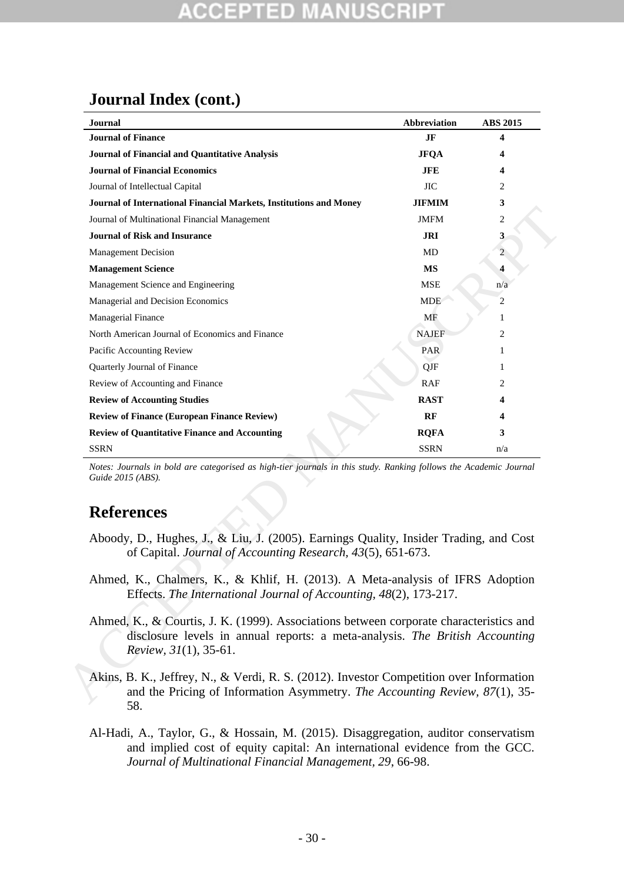## **Journal Index (cont.)**

|                                                                                                                                                                        | <b>ABS 2015</b>                                                                                                                                                                                                                                       |
|------------------------------------------------------------------------------------------------------------------------------------------------------------------------|-------------------------------------------------------------------------------------------------------------------------------------------------------------------------------------------------------------------------------------------------------|
| JF                                                                                                                                                                     | 4                                                                                                                                                                                                                                                     |
| <b>JFOA</b>                                                                                                                                                            | 4                                                                                                                                                                                                                                                     |
| <b>JFE</b>                                                                                                                                                             | 4                                                                                                                                                                                                                                                     |
| <b>JIC</b>                                                                                                                                                             | 2                                                                                                                                                                                                                                                     |
| JIFMIM                                                                                                                                                                 | 3                                                                                                                                                                                                                                                     |
| <b>JMFM</b>                                                                                                                                                            | $\overline{c}$                                                                                                                                                                                                                                        |
| JRI                                                                                                                                                                    | 3                                                                                                                                                                                                                                                     |
| MD                                                                                                                                                                     | $\overline{2}$                                                                                                                                                                                                                                        |
| MS                                                                                                                                                                     | 4                                                                                                                                                                                                                                                     |
| <b>MSE</b>                                                                                                                                                             | n/a                                                                                                                                                                                                                                                   |
| <b>MDE</b>                                                                                                                                                             | $\overline{c}$                                                                                                                                                                                                                                        |
| MF                                                                                                                                                                     | 1                                                                                                                                                                                                                                                     |
| <b>NAJEF</b>                                                                                                                                                           | 2                                                                                                                                                                                                                                                     |
| PAR.                                                                                                                                                                   | 1                                                                                                                                                                                                                                                     |
| QJF                                                                                                                                                                    | 1                                                                                                                                                                                                                                                     |
| RAF                                                                                                                                                                    | 2                                                                                                                                                                                                                                                     |
| <b>RAST</b>                                                                                                                                                            | 4                                                                                                                                                                                                                                                     |
| RF                                                                                                                                                                     | 4                                                                                                                                                                                                                                                     |
| <b>RQFA</b>                                                                                                                                                            | 3                                                                                                                                                                                                                                                     |
| <b>SSRN</b>                                                                                                                                                            | n/a                                                                                                                                                                                                                                                   |
| Aboody, D., Hughes, J., & Liu, J. (2005). Earnings Quality, Insider Trading, and Cost                                                                                  |                                                                                                                                                                                                                                                       |
| Ahmed, K., Chalmers, K., & Khlif, H. (2013). A Meta-analysis of IFRS Adoption                                                                                          |                                                                                                                                                                                                                                                       |
| Ahmed, K., & Courtis, J. K. (1999). Associations between corporate characteristics and<br>disclosure levels in annual reports: a meta-analysis. The British Accounting |                                                                                                                                                                                                                                                       |
|                                                                                                                                                                        | Notes: Journals in bold are categorised as high-tier journals in this study. Ranking follows the Academic Journal<br>of Capital. Journal of Accounting Research, 43(5), 651-673.<br>Effects. The International Journal of Accounting, 48(2), 173-217. |

## **References**

- Aboody, D., Hughes, J., & Liu, J. (2005). Earnings Quality, Insider Trading, and Cost of Capital. *Journal of Accounting Research, 43*(5), 651-673.
- Ahmed, K., Chalmers, K., & Khlif, H. (2013). A Meta-analysis of IFRS Adoption Effects. *The International Journal of Accounting, 48*(2), 173-217.
- Ahmed, K., & Courtis, J. K. (1999). Associations between corporate characteristics and disclosure levels in annual reports: a meta-analysis. *The British Accounting Review, 31*(1), 35-61.
- Akins, B. K., Jeffrey, N., & Verdi, R. S. (2012). Investor Competition over Information and the Pricing of Information Asymmetry. *The Accounting Review, 87*(1), 35- 58.
- Al-Hadi, A., Taylor, G., & Hossain, M. (2015). Disaggregation, auditor conservatism and implied cost of equity capital: An international evidence from the GCC. *Journal of Multinational Financial Management, 29*, 66-98.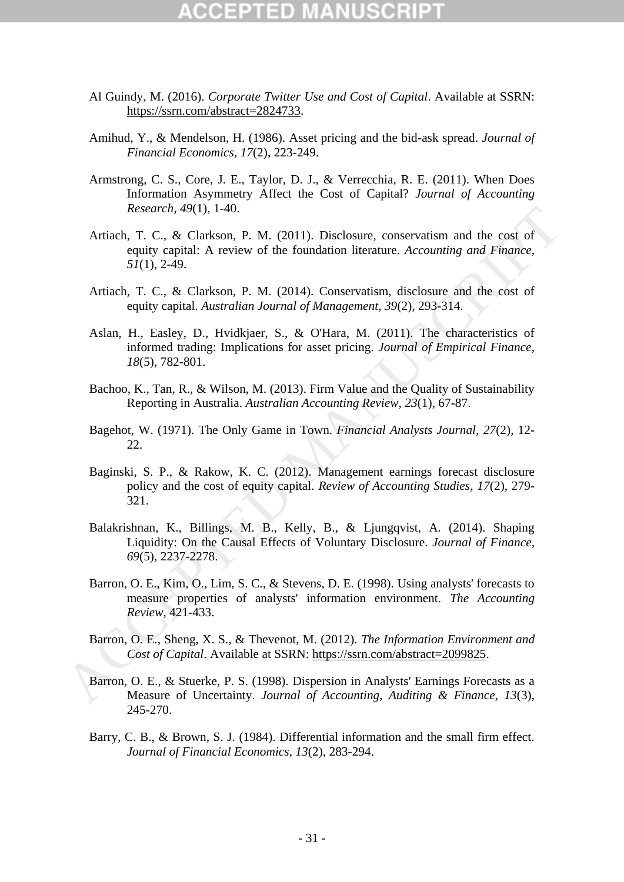# CCEPTED

- Al Guindy, M. (2016). *Corporate Twitter Use and Cost of Capital*. Available at SSRN: https://ssrn.com/abstract=2824733.
- Amihud, Y., & Mendelson, H. (1986). Asset pricing and the bid-ask spread. *Journal of Financial Economics, 17*(2), 223-249.
- Armstrong, C. S., Core, J. E., Taylor, D. J., & Verrecchia, R. E. (2011). When Does Information Asymmetry Affect the Cost of Capital? *Journal of Accounting Research, 49*(1), 1-40.
- Artiach, T. C., & Clarkson, P. M. (2011). Disclosure, conservatism and the cost of equity capital: A review of the foundation literature. *Accounting and Finance, 51*(1), 2-49. Research, 49(1), 1-40.<br>
Artiach, P. C., & Clarkson, P. M. (2011). Disclosure, conservatism and the cost of<br>
equity capital: A review of the foundation literature. Accounting and Finance.<br>
51(1), 2-49.<br>
Artiach. T. C., & C
	- Artiach, T. C., & Clarkson, P. M. (2014). Conservatism, disclosure and the cost of equity capital. *Australian Journal of Management, 39*(2), 293-314.
	- Aslan, H., Easley, D., Hvidkjaer, S., & O'Hara, M. (2011). The characteristics of informed trading: Implications for asset pricing. *Journal of Empirical Finance, 18*(5), 782-801.
	- Bachoo, K., Tan, R., & Wilson, M. (2013). Firm Value and the Quality of Sustainability Reporting in Australia. *Australian Accounting Review, 23*(1), 67-87.
	- Bagehot, W. (1971). The Only Game in Town. *Financial Analysts Journal, 27*(2), 12- 22.
	- Baginski, S. P., & Rakow, K. C. (2012). Management earnings forecast disclosure policy and the cost of equity capital. *Review of Accounting Studies, 17*(2), 279- 321.
	- Balakrishnan, K., Billings, M. B., Kelly, B., & Ljungqvist, A. (2014). Shaping Liquidity: On the Causal Effects of Voluntary Disclosure. *Journal of Finance, 69*(5), 2237-2278.
	- Barron, O. E., Kim, O., Lim, S. C., & Stevens, D. E. (1998). Using analysts' forecasts to measure properties of analysts' information environment. *The Accounting Review*, 421-433.
	- Barron, O. E., Sheng, X. S., & Thevenot, M. (2012). *The Information Environment and Cost of Capital*. Available at SSRN: https://ssrn.com/abstract=2099825.
	- Barron, O. E., & Stuerke, P. S. (1998). Dispersion in Analysts' Earnings Forecasts as a Measure of Uncertainty. *Journal of Accounting, Auditing & Finance, 13*(3), 245-270.
	- Barry, C. B., & Brown, S. J. (1984). Differential information and the small firm effect. *Journal of Financial Economics, 13*(2), 283-294.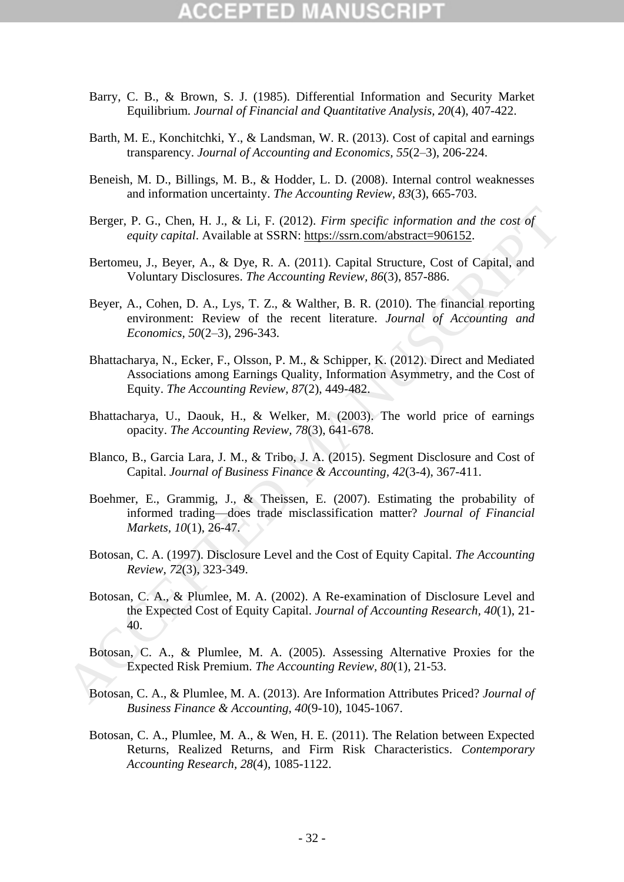# (CEPTED)

- Barry, C. B., & Brown, S. J. (1985). Differential Information and Security Market Equilibrium. *Journal of Financial and Quantitative Analysis, 20*(4), 407-422.
- Barth, M. E., Konchitchki, Y., & Landsman, W. R. (2013). Cost of capital and earnings transparency. *Journal of Accounting and Economics, 55*(2–3), 206-224.
- Beneish, M. D., Billings, M. B., & Hodder, L. D. (2008). Internal control weaknesses and information uncertainty. *The Accounting Review, 83*(3), 665-703.
- Berger, P. G., Chen, H. J., & Li, F. (2012). *Firm specific information and the cost of equity capital*. Available at SSRN: https://ssrn.com/abstract=906152.
- Bertomeu, J., Beyer, A., & Dye, R. A. (2011). Capital Structure, Cost of Capital, and Voluntary Disclosures. *The Accounting Review, 86*(3), 857-886.
- Beyer, A., Cohen, D. A., Lys, T. Z., & Walther, B. R. (2010). The financial reporting environment: Review of the recent literature. *Journal of Accounting and Economics, 50*(2–3), 296-343.
- Bhattacharya, N., Ecker, F., Olsson, P. M., & Schipper, K. (2012). Direct and Mediated Associations among Earnings Quality, Information Asymmetry, and the Cost of Equity. *The Accounting Review, 87*(2), 449-482. Berger, P. G., Chen, H. J., & Li, F. (2012). *Firm specific information and the cost of*<br>equity capital. Available at SSRN: https://ssm.com/abstract=906152.<br>Bertome, J., Beyre, A., Cop, P. R. A. (2011). Capital Structure,
	- Bhattacharya, U., Daouk, H., & Welker, M. (2003). The world price of earnings opacity. *The Accounting Review, 78*(3), 641-678.
	- Blanco, B., Garcia Lara, J. M., & Tribo, J. A. (2015). Segment Disclosure and Cost of Capital. *Journal of Business Finance & Accounting, 42*(3-4), 367-411.
	- Boehmer, E., Grammig, J., & Theissen, E. (2007). Estimating the probability of informed trading—does trade misclassification matter? *Journal of Financial Markets, 10*(1), 26-47.
	- Botosan, C. A. (1997). Disclosure Level and the Cost of Equity Capital. *The Accounting Review, 72*(3), 323-349.
	- Botosan, C. A., & Plumlee, M. A. (2002). A Re-examination of Disclosure Level and the Expected Cost of Equity Capital. *Journal of Accounting Research, 40*(1), 21- 40.
	- Botosan, C. A., & Plumlee, M. A. (2005). Assessing Alternative Proxies for the Expected Risk Premium. *The Accounting Review, 80*(1), 21-53.
	- Botosan, C. A., & Plumlee, M. A. (2013). Are Information Attributes Priced? *Journal of Business Finance & Accounting, 40*(9-10), 1045-1067.
	- Botosan, C. A., Plumlee, M. A., & Wen, H. E. (2011). The Relation between Expected Returns, Realized Returns, and Firm Risk Characteristics. *Contemporary Accounting Research, 28*(4), 1085-1122.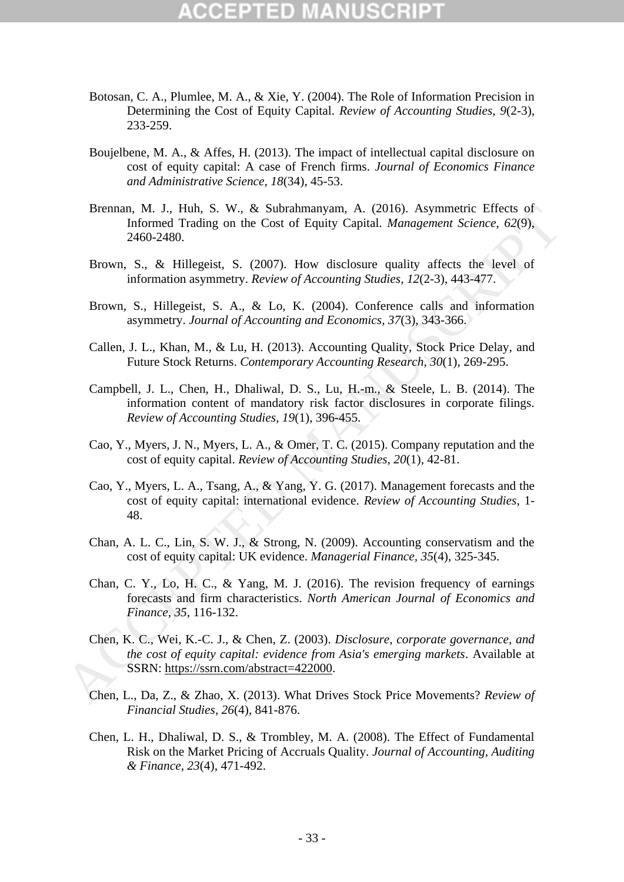- Botosan, C. A., Plumlee, M. A., & Xie, Y. (2004). The Role of Information Precision in Determining the Cost of Equity Capital. *Review of Accounting Studies, 9*(2-3), 233-259.
- Boujelbene, M. A., & Affes, H. (2013). The impact of intellectual capital disclosure on cost of equity capital: A case of French firms. *Journal of Economics Finance and Administrative Science, 18*(34), 45-53.
- Brennan, M. J., Huh, S. W., & Subrahmanyam, A. (2016). Asymmetric Effects of Informed Trading on the Cost of Equity Capital. *Management Science, 62*(9), 2460-2480.
- Brown, S., & Hillegeist, S. (2007). How disclosure quality affects the level of information asymmetry. *Review of Accounting Studies, 12*(2-3), 443-477.
- Brown, S., Hillegeist, S. A., & Lo, K. (2004). Conference calls and information asymmetry. *Journal of Accounting and Economics, 37*(3), 343-366.
- Callen, J. L., Khan, M., & Lu, H. (2013). Accounting Quality, Stock Price Delay, and Future Stock Returns. *Contemporary Accounting Research, 30*(1), 269-295.
- Campbell, J. L., Chen, H., Dhaliwal, D. S., Lu, H.-m., & Steele, L. B. (2014). The information content of mandatory risk factor disclosures in corporate filings. *Review of Accounting Studies, 19*(1), 396-455.
- Cao, Y., Myers, J. N., Myers, L. A., & Omer, T. C. (2015). Company reputation and the cost of equity capital. *Review of Accounting Studies, 20*(1), 42-81.
- Cao, Y., Myers, L. A., Tsang, A., & Yang, Y. G. (2017). Management forecasts and the cost of equity capital: international evidence. *Review of Accounting Studies*, 1- 48.
- Chan, A. L. C., Lin, S. W. J., & Strong, N. (2009). Accounting conservatism and the cost of equity capital: UK evidence. *Managerial Finance, 35*(4), 325-345.
- Chan, C. Y., Lo, H. C., & Yang, M. J. (2016). The revision frequency of earnings forecasts and firm characteristics. *North American Journal of Economics and Finance, 35*, 116-132. Brennan, M. J., thun, S. W., & Subrahmanyann, A. (2016). Asymmetre Hrista of Informed Trading on the Cost of Equity Capital. *Management Science, 62(9).*<br>
2460-2480.<br>
Brown, S., & Hillegeist, S. (2007). How disclosure qua
	- Chen, K. C., Wei, K.-C. J., & Chen, Z. (2003). *Disclosure, corporate governance, and the cost of equity capital: evidence from Asia's emerging markets*. Available at SSRN: https://ssrn.com/abstract=422000.
	- Chen, L., Da, Z., & Zhao, X. (2013). What Drives Stock Price Movements? *Review of Financial Studies, 26*(4), 841-876.
	- Chen, L. H., Dhaliwal, D. S., & Trombley, M. A. (2008). The Effect of Fundamental Risk on the Market Pricing of Accruals Quality. *Journal of Accounting, Auditing & Finance, 23*(4), 471-492.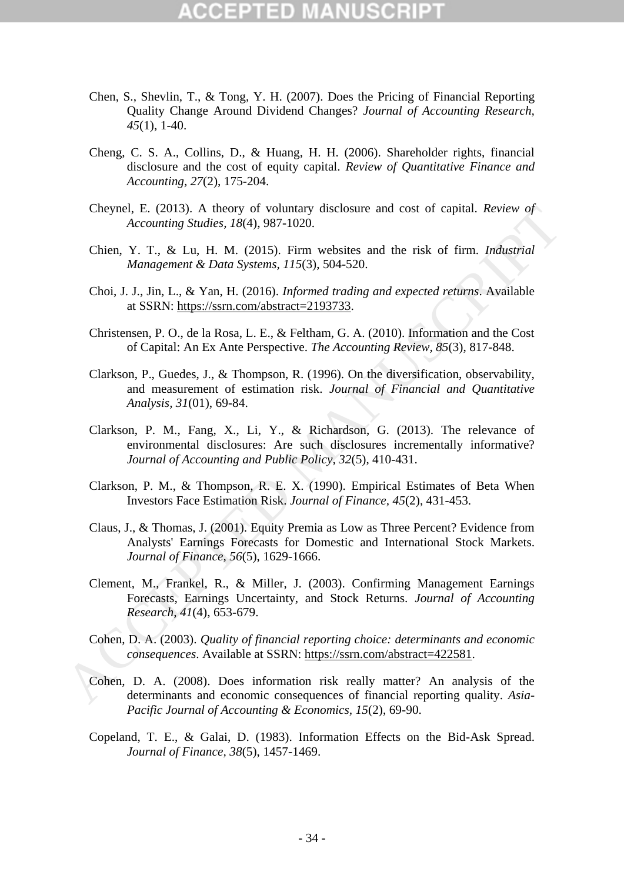- Chen, S., Shevlin, T., & Tong, Y. H. (2007). Does the Pricing of Financial Reporting Quality Change Around Dividend Changes? *Journal of Accounting Research, 45*(1), 1-40.
- Cheng, C. S. A., Collins, D., & Huang, H. H. (2006). Shareholder rights, financial disclosure and the cost of equity capital. *Review of Quantitative Finance and Accounting, 27*(2), 175-204.
- Cheynel, E. (2013). A theory of voluntary disclosure and cost of capital. *Review of Accounting Studies, 18*(4), 987-1020.
- Chien, Y. T., & Lu, H. M. (2015). Firm websites and the risk of firm. *Industrial Management & Data Systems, 115*(3), 504-520.
- Choi, J. J., Jin, L., & Yan, H. (2016). *Informed trading and expected returns*. Available at SSRN: https://ssrn.com/abstract=2193733.
- Christensen, P. O., de la Rosa, L. E., & Feltham, G. A. (2010). Information and the Cost of Capital: An Ex Ante Perspective. *The Accounting Review, 85*(3), 817-848.
- Clarkson, P., Guedes, J., & Thompson, R. (1996). On the diversification, observability, and measurement of estimation risk. *Journal of Financial and Quantitative Analysis, 31*(01), 69-84.
- Clarkson, P. M., Fang, X., Li, Y., & Richardson, G. (2013). The relevance of environmental disclosures: Are such disclosures incrementally informative? *Journal of Accounting and Public Policy, 32*(5), 410-431.
- Clarkson, P. M., & Thompson, R. E. X. (1990). Empirical Estimates of Beta When Investors Face Estimation Risk. *Journal of Finance, 45*(2), 431-453.
- Claus, J., & Thomas, J. (2001). Equity Premia as Low as Three Percent? Evidence from Analysts' Earnings Forecasts for Domestic and International Stock Markets. *Journal of Finance, 56*(5), 1629-1666. Cheynel, F. (2013). A theory of voluntary disclosure and cost of capital. *Review of*<br>Accounting Studies, 18(4), 987-1020.<br>
Chein, Y. T., & Lu, H. M. (2015). Firm websites and the risk of firm. *Industrial*<br> *Management &* 
	- Clement, M., Frankel, R., & Miller, J. (2003). Confirming Management Earnings Forecasts, Earnings Uncertainty, and Stock Returns. *Journal of Accounting Research, 41*(4), 653-679.
	- Cohen, D. A. (2003). *Quality of financial reporting choice: determinants and economic consequences*. Available at SSRN: https://ssrn.com/abstract=422581.
	- Cohen, D. A. (2008). Does information risk really matter? An analysis of the determinants and economic consequences of financial reporting quality. *Asia-Pacific Journal of Accounting & Economics, 15*(2), 69-90.
	- Copeland, T. E., & Galai, D. (1983). Information Effects on the Bid-Ask Spread. *Journal of Finance, 38*(5), 1457-1469.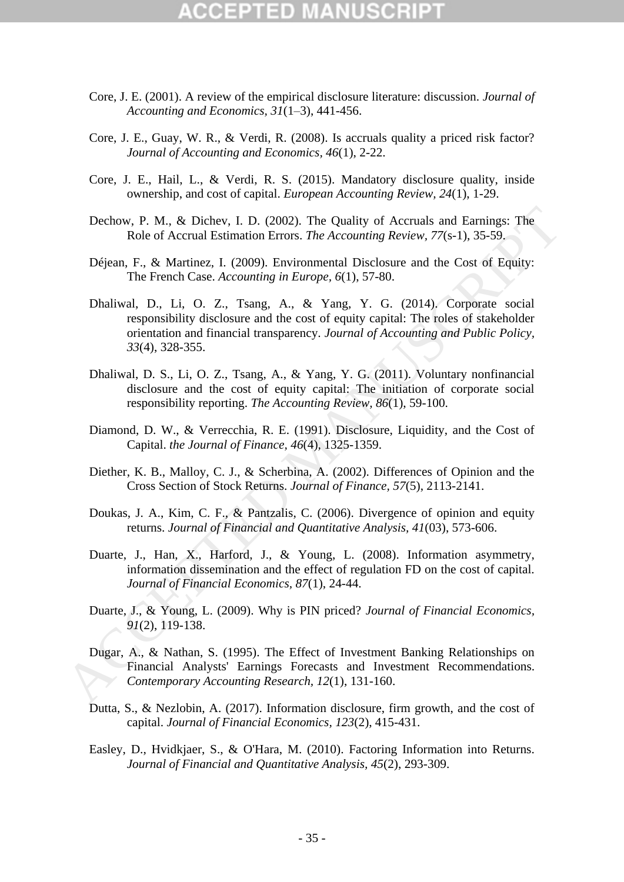# CEPTED

- Core, J. E. (2001). A review of the empirical disclosure literature: discussion. *Journal of Accounting and Economics, 31*(1–3), 441-456.
- Core, J. E., Guay, W. R., & Verdi, R. (2008). Is accruals quality a priced risk factor? *Journal of Accounting and Economics, 46*(1), 2-22.
- Core, J. E., Hail, L., & Verdi, R. S. (2015). Mandatory disclosure quality, inside ownership, and cost of capital. *European Accounting Review, 24*(1), 1-29.
- Dechow, P. M., & Dichev, I. D. (2002). The Quality of Accruals and Earnings: The Role of Accrual Estimation Errors. *The Accounting Review, 77*(s-1), 35-59.
- Déjean, F., & Martinez, I. (2009). Environmental Disclosure and the Cost of Equity: The French Case. *Accounting in Europe, 6*(1), 57-80.
- Dhaliwal, D., Li, O. Z., Tsang, A., & Yang, Y. G. (2014). Corporate social responsibility disclosure and the cost of equity capital: The roles of stakeholder orientation and financial transparency. *Journal of Accounting and Public Policy, 33*(4), 328-355. Dechow, P. M., & Dichev, I. D. (2002). The Quality of Accruals and Earnings: The<br>
Role of Accrual Estimation Errors. The Accounting Review, 77(s-1), 35-59,<br>
Dejsan, F., & Martinez, I. (2009). Environmental Disclosure und
	- Dhaliwal, D. S., Li, O. Z., Tsang, A., & Yang, Y. G. (2011). Voluntary nonfinancial disclosure and the cost of equity capital: The initiation of corporate social responsibility reporting. *The Accounting Review, 86*(1), 59-100.
	- Diamond, D. W., & Verrecchia, R. E. (1991). Disclosure, Liquidity, and the Cost of Capital. *the Journal of Finance, 46*(4), 1325-1359.
	- Diether, K. B., Malloy, C. J., & Scherbina, A. (2002). Differences of Opinion and the Cross Section of Stock Returns. *Journal of Finance, 57*(5), 2113-2141.
	- Doukas, J. A., Kim, C. F., & Pantzalis, C. (2006). Divergence of opinion and equity returns. *Journal of Financial and Quantitative Analysis, 41*(03), 573-606.
	- Duarte, J., Han, X., Harford, J., & Young, L. (2008). Information asymmetry, information dissemination and the effect of regulation FD on the cost of capital. *Journal of Financial Economics, 87*(1), 24-44.
	- Duarte, J., & Young, L. (2009). Why is PIN priced? *Journal of Financial Economics, 91*(2), 119-138.
	- Dugar, A., & Nathan, S. (1995). The Effect of Investment Banking Relationships on Financial Analysts' Earnings Forecasts and Investment Recommendations. *Contemporary Accounting Research, 12*(1), 131-160.
	- Dutta, S., & Nezlobin, A. (2017). Information disclosure, firm growth, and the cost of capital. *Journal of Financial Economics, 123*(2), 415-431.
	- Easley, D., Hvidkjaer, S., & O'Hara, M. (2010). Factoring Information into Returns. *Journal of Financial and Quantitative Analysis, 45*(2), 293-309.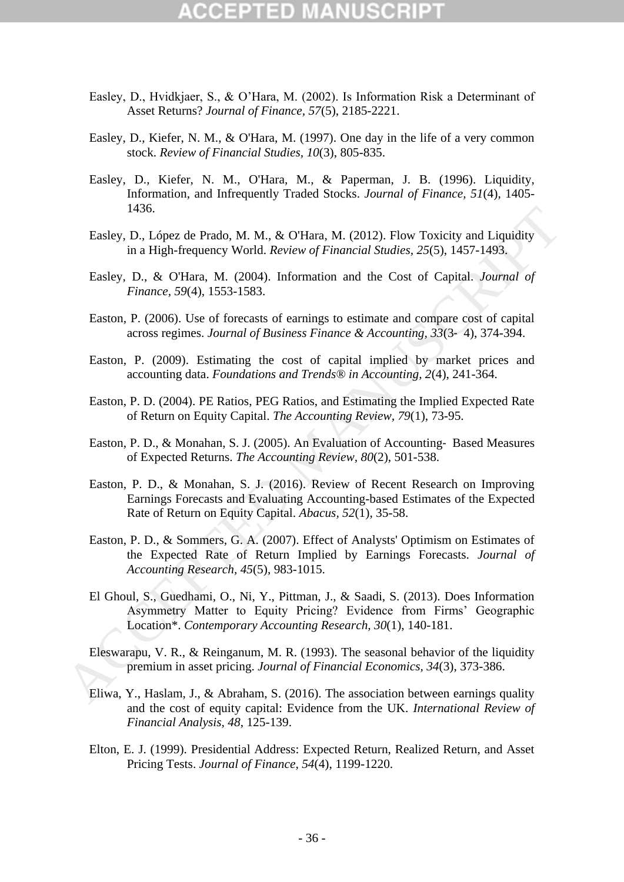- Easley, D., Hvidkjaer, S., & O'Hara, M. (2002). Is Information Risk a Determinant of Asset Returns? *Journal of Finance, 57*(5), 2185-2221.
- Easley, D., Kiefer, N. M., & O'Hara, M. (1997). One day in the life of a very common stock. *Review of Financial Studies, 10*(3), 805-835.
- Easley, D., Kiefer, N. M., O'Hara, M., & Paperman, J. B. (1996). Liquidity, Information, and Infrequently Traded Stocks. *Journal of Finance, 51*(4), 1405- 1436.
- Easley, D., López de Prado, M. M., & O'Hara, M. (2012). Flow Toxicity and Liquidity in a High-frequency World. *Review of Financial Studies, 25*(5), 1457-1493.
- Easley, D., & O'Hara, M. (2004). Information and the Cost of Capital. *Journal of Finance, 59*(4), 1553-1583.
- Easton, P. (2006). Use of forecasts of earnings to estimate and compare cost of capital across regimes. *Journal of Business Finance & Accounting, 33*(3‐ 4), 374-394.
- Easton, P. (2009). Estimating the cost of capital implied by market prices and accounting data. *Foundations and Trends® in Accounting, 2*(4), 241-364.
- Easton, P. D. (2004). PE Ratios, PEG Ratios, and Estimating the Implied Expected Rate of Return on Equity Capital. *The Accounting Review, 79*(1), 73-95.
- Easton, P. D., & Monahan, S. J. (2005). An Evaluation of Accounting‐ Based Measures of Expected Returns. *The Accounting Review, 80*(2), 501-538.
- Easton, P. D., & Monahan, S. J. (2016). Review of Recent Research on Improving Earnings Forecasts and Evaluating Accounting-based Estimates of the Expected Rate of Return on Equity Capital. *Abacus, 52*(1), 35-58.
- Easton, P. D., & Sommers, G. A. (2007). Effect of Analysts' Optimism on Estimates of the Expected Rate of Return Implied by Earnings Forecasts. *Journal of Accounting Research, 45*(5), 983-1015. 1436.<br>
Hasley, D., López de Prado, M. M., & O'Hara, M. (2012). Flow Toxicity and Liquidity<br>
in a High-frequency World. Review of Financial Studies, 25(5), 1457-1493.<br>
Easley, D., & O'Hara, M. (2004). Information and the C
	- El Ghoul, S., Guedhami, O., Ni, Y., Pittman, J., & Saadi, S. (2013). Does Information Asymmetry Matter to Equity Pricing? Evidence from Firms' Geographic Location\*. *Contemporary Accounting Research, 30*(1), 140-181.
	- Eleswarapu, V. R., & Reinganum, M. R. (1993). The seasonal behavior of the liquidity premium in asset pricing. *Journal of Financial Economics, 34*(3), 373-386.
	- Eliwa, Y., Haslam, J., & Abraham, S. (2016). The association between earnings quality and the cost of equity capital: Evidence from the UK. *International Review of Financial Analysis, 48*, 125-139.
	- Elton, E. J. (1999). Presidential Address: Expected Return, Realized Return, and Asset Pricing Tests. *Journal of Finance, 54*(4), 1199-1220.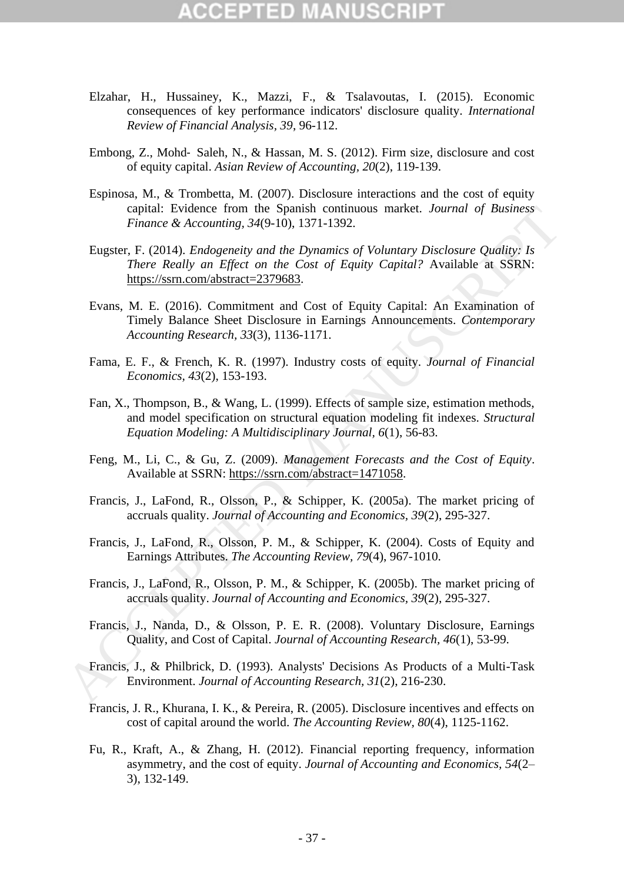# CCIPTIN

- Elzahar, H., Hussainey, K., Mazzi, F., & Tsalavoutas, I. (2015). Economic consequences of key performance indicators' disclosure quality. *International Review of Financial Analysis, 39*, 96-112.
- Embong, Z., Mohd‐ Saleh, N., & Hassan, M. S. (2012). Firm size, disclosure and cost of equity capital. *Asian Review of Accounting, 20*(2), 119-139.
- Espinosa, M., & Trombetta, M. (2007). Disclosure interactions and the cost of equity capital: Evidence from the Spanish continuous market. *Journal of Business Finance & Accounting, 34*(9-10), 1371-1392.
- Eugster, F. (2014). *Endogeneity and the Dynamics of Voluntary Disclosure Quality: Is There Really an Effect on the Cost of Equity Capital?* Available at SSRN: https://ssrn.com/abstract=2379683. captal: Evidence from the Spanish continuous market. Journal of Business<br>
Finance & Accounting, 34(9-10), 1371-1392.<br>
Eugster, F. (2014). Endogeneity and the Dynamics of Voluntary Disclosure Quality: Is<br>
There Really an E
	- Evans, M. E. (2016). Commitment and Cost of Equity Capital: An Examination of Timely Balance Sheet Disclosure in Earnings Announcements. *Contemporary Accounting Research, 33*(3), 1136-1171.
	- Fama, E. F., & French, K. R. (1997). Industry costs of equity. *Journal of Financial Economics, 43*(2), 153-193.
	- Fan, X., Thompson, B., & Wang, L. (1999). Effects of sample size, estimation methods, and model specification on structural equation modeling fit indexes. *Structural Equation Modeling: A Multidisciplinary Journal, 6*(1), 56-83.
	- Feng, M., Li, C., & Gu, Z. (2009). *Management Forecasts and the Cost of Equity*. Available at SSRN: https://ssrn.com/abstract=1471058.
	- Francis, J., LaFond, R., Olsson, P., & Schipper, K. (2005a). The market pricing of accruals quality. *Journal of Accounting and Economics, 39*(2), 295-327.
	- Francis, J., LaFond, R., Olsson, P. M., & Schipper, K. (2004). Costs of Equity and Earnings Attributes. *The Accounting Review, 79*(4), 967-1010.
	- Francis, J., LaFond, R., Olsson, P. M., & Schipper, K. (2005b). The market pricing of accruals quality. *Journal of Accounting and Economics, 39*(2), 295-327.
	- Francis, J., Nanda, D., & Olsson, P. E. R. (2008). Voluntary Disclosure, Earnings Quality, and Cost of Capital. *Journal of Accounting Research, 46*(1), 53-99.
	- Francis, J., & Philbrick, D. (1993). Analysts' Decisions As Products of a Multi-Task Environment. *Journal of Accounting Research, 31*(2), 216-230.
	- Francis, J. R., Khurana, I. K., & Pereira, R. (2005). Disclosure incentives and effects on cost of capital around the world. *The Accounting Review, 80*(4), 1125-1162.
	- Fu, R., Kraft, A., & Zhang, H. (2012). Financial reporting frequency, information asymmetry, and the cost of equity. *Journal of Accounting and Economics, 54*(2– 3), 132-149.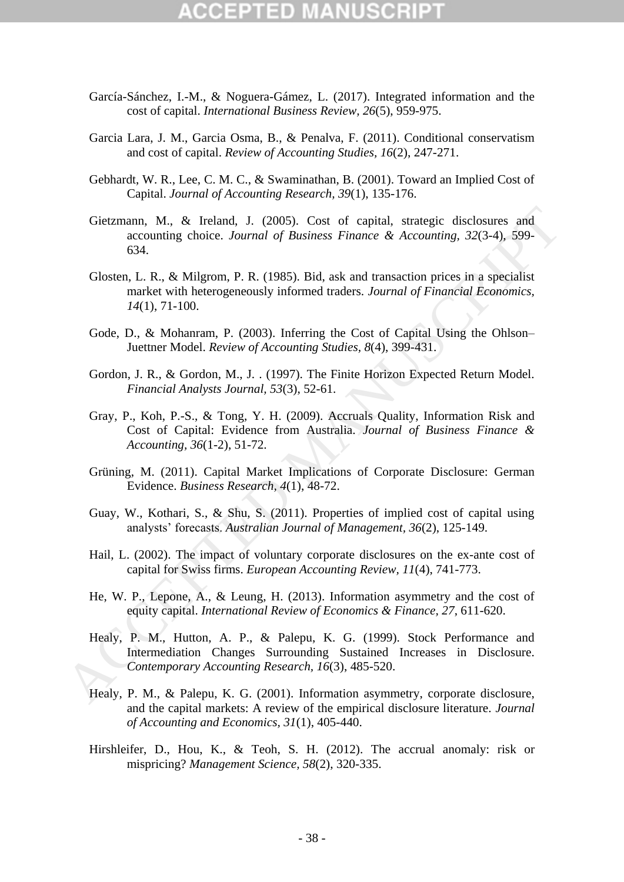# CEPTED

- García-Sánchez, I.-M., & Noguera-Gámez, L. (2017). Integrated information and the cost of capital. *International Business Review, 26*(5), 959-975.
- Garcia Lara, J. M., Garcia Osma, B., & Penalva, F. (2011). Conditional conservatism and cost of capital. *Review of Accounting Studies, 16*(2), 247-271.
- Gebhardt, W. R., Lee, C. M. C., & Swaminathan, B. (2001). Toward an Implied Cost of Capital. *Journal of Accounting Research, 39*(1), 135-176.
- Gietzmann, M., & Ireland, J. (2005). Cost of capital, strategic disclosures and accounting choice. *Journal of Business Finance & Accounting, 32*(3-4), 599- 634.
- Glosten, L. R., & Milgrom, P. R. (1985). Bid, ask and transaction prices in a specialist market with heterogeneously informed traders. *Journal of Financial Economics, 14*(1), 71-100.
- Gode, D., & Mohanram, P. (2003). Inferring the Cost of Capital Using the Ohlson– Juettner Model. *Review of Accounting Studies, 8*(4), 399-431.
- Gordon, J. R., & Gordon, M., J. . (1997). The Finite Horizon Expected Return Model. *Financial Analysts Journal, 53*(3), 52-61.
- Gray, P., Koh, P.-S., & Tong, Y. H. (2009). Accruals Quality, Information Risk and Cost of Capital: Evidence from Australia. *Journal of Business Finance & Accounting, 36*(1-2), 51-72.
- Grüning, M. (2011). Capital Market Implications of Corporate Disclosure: German Evidence. *Business Research, 4*(1), 48-72.
- Guay, W., Kothari, S., & Shu, S. (2011). Properties of implied cost of capital using analysts' forecasts. *Australian Journal of Management, 36*(2), 125-149.
- Hail, L. (2002). The impact of voluntary corporate disclosures on the ex-ante cost of capital for Swiss firms. *European Accounting Review, 11*(4), 741-773.
- He, W. P., Lepone, A., & Leung, H. (2013). Information asymmetry and the cost of equity capital. *International Review of Economics & Finance, 27*, 611-620.
- Healy, P. M., Hutton, A. P., & Palepu, K. G. (1999). Stock Performance and Intermediation Changes Surrounding Sustained Increases in Disclosure. *Contemporary Accounting Research, 16*(3), 485-520. Gietzmann, M., & Ireland, J. (2005). Cost of capital, strategic disclosures and<br>accounting choice. Journal of Business Finance & Accounting, 32(3-4), 599-<br>Glosten, L. R., & Milgrom, P. R. (1985). Bid. ask and transaction
	- Healy, P. M., & Palepu, K. G. (2001). Information asymmetry, corporate disclosure, and the capital markets: A review of the empirical disclosure literature. *Journal of Accounting and Economics, 31*(1), 405-440.
	- Hirshleifer, D., Hou, K., & Teoh, S. H. (2012). The accrual anomaly: risk or mispricing? *Management Science, 58*(2), 320-335.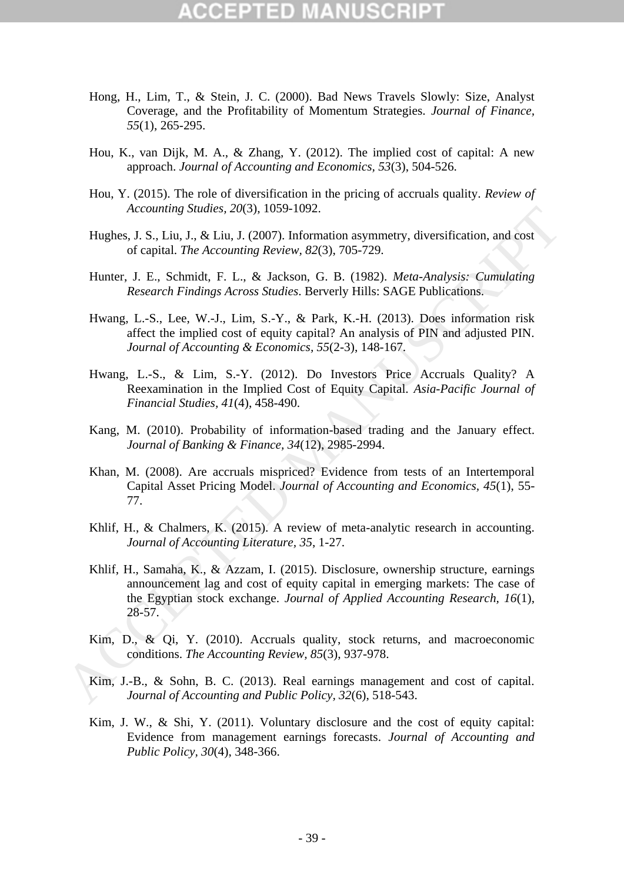- Hong, H., Lim, T., & Stein, J. C. (2000). Bad News Travels Slowly: Size, Analyst Coverage, and the Profitability of Momentum Strategies. *Journal of Finance, 55*(1), 265-295.
- Hou, K., van Dijk, M. A., & Zhang, Y. (2012). The implied cost of capital: A new approach. *Journal of Accounting and Economics, 53*(3), 504-526.
- Hou, Y. (2015). The role of diversification in the pricing of accruals quality. *Review of Accounting Studies, 20*(3), 1059-1092.
- Hughes, J. S., Liu, J., & Liu, J. (2007). Information asymmetry, diversification, and cost of capital. *The Accounting Review, 82*(3), 705-729.
- Hunter, J. E., Schmidt, F. L., & Jackson, G. B. (1982). *Meta-Analysis: Cumulating Research Findings Across Studies*. Berverly Hills: SAGE Publications.
- Hwang, L.-S., Lee, W.-J., Lim, S.-Y., & Park, K.-H. (2013). Does information risk affect the implied cost of equity capital? An analysis of PIN and adjusted PIN. *Journal of Accounting & Economics, 55*(2-3), 148-167.
- Hwang, L.-S., & Lim, S.-Y. (2012). Do Investors Price Accruals Quality? A Reexamination in the Implied Cost of Equity Capital. *Asia-Pacific Journal of Financial Studies, 41*(4), 458-490.
- Kang, M. (2010). Probability of information-based trading and the January effect. *Journal of Banking & Finance, 34*(12), 2985-2994.
- Khan, M. (2008). Are accruals mispriced? Evidence from tests of an Intertemporal Capital Asset Pricing Model. *Journal of Accounting and Economics, 45*(1), 55- 77.
- Khlif, H., & Chalmers, K. (2015). A review of meta-analytic research in accounting. *Journal of Accounting Literature, 35*, 1-27.
- Khlif, H., Samaha, K., & Azzam, I. (2015). Disclosure, ownership structure, earnings announcement lag and cost of equity capital in emerging markets: The case of the Egyptian stock exchange. *Journal of Applied Accounting Research, 16*(1), 28-57. Accounting Studies, 20(3), 1089-1092.<br>
Hughes, 1.S., Liu, J., & Liu, J. (2007). Information asymmetry, diversification, and cost<br>
of capital. *The Accounting Review*, 82(3), 705-729.<br>
Hunter. J. E., Schmidt, F. L., & Jack
	- Kim, D., & Qi, Y. (2010). Accruals quality, stock returns, and macroeconomic conditions. *The Accounting Review, 85*(3), 937-978.
	- Kim, J.-B., & Sohn, B. C. (2013). Real earnings management and cost of capital. *Journal of Accounting and Public Policy, 32*(6), 518-543.
	- Kim, J. W., & Shi, Y. (2011). Voluntary disclosure and the cost of equity capital: Evidence from management earnings forecasts. *Journal of Accounting and Public Policy, 30*(4), 348-366.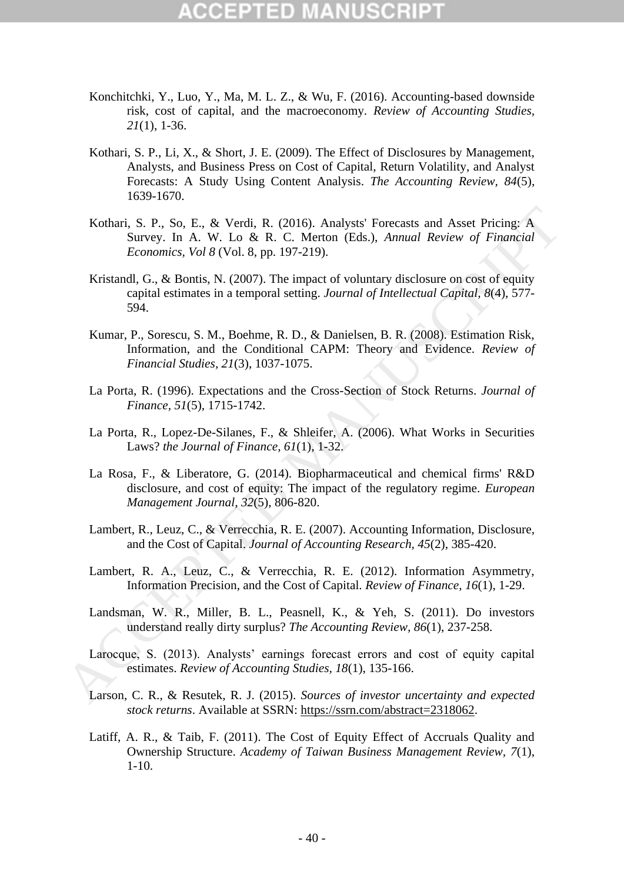- Konchitchki, Y., Luo, Y., Ma, M. L. Z., & Wu, F. (2016). Accounting-based downside risk, cost of capital, and the macroeconomy. *Review of Accounting Studies, 21*(1), 1-36.
- Kothari, S. P., Li, X., & Short, J. E. (2009). The Effect of Disclosures by Management, Analysts, and Business Press on Cost of Capital, Return Volatility, and Analyst Forecasts: A Study Using Content Analysis. *The Accounting Review, 84*(5), 1639-1670.
- Kothari, S. P., So, E., & Verdi, R. (2016). Analysts' Forecasts and Asset Pricing: A Survey. In A. W. Lo & R. C. Merton (Eds.), *Annual Review of Financial Economics, Vol 8* (Vol. 8, pp. 197-219).
- Kristandl, G., & Bontis, N. (2007). The impact of voluntary disclosure on cost of equity capital estimates in a temporal setting. *Journal of Intellectual Capital, 8*(4), 577- 594.
- Kumar, P., Sorescu, S. M., Boehme, R. D., & Danielsen, B. R. (2008). Estimation Risk, Information, and the Conditional CAPM: Theory and Evidence. *Review of Financial Studies, 21*(3), 1037-1075. Kothari, S. P., So, E., & Vertit, R. (2016). Analysts' Forecasts and Asset Pricing: A<br>
Survey. In A. W. Lo & R. C. Metron (Eds.), Annual Review of Financial<br>
Economics, Vol & Vol. & p. 197-219).<br>
<br>
Kristandl, G., & Boniis
	- La Porta, R. (1996). Expectations and the Cross-Section of Stock Returns. *Journal of Finance, 51*(5), 1715-1742.
	- La Porta, R., Lopez-De-Silanes, F., & Shleifer, A. (2006). What Works in Securities Laws? *the Journal of Finance, 61*(1), 1-32.
	- La Rosa, F., & Liberatore, G. (2014). Biopharmaceutical and chemical firms' R&D disclosure, and cost of equity: The impact of the regulatory regime. *European Management Journal, 32*(5), 806-820.
	- Lambert, R., Leuz, C., & Verrecchia, R. E. (2007). Accounting Information, Disclosure, and the Cost of Capital. *Journal of Accounting Research, 45*(2), 385-420.
	- Lambert, R. A., Leuz, C., & Verrecchia, R. E. (2012). Information Asymmetry, Information Precision, and the Cost of Capital. *Review of Finance, 16*(1), 1-29.
	- Landsman, W. R., Miller, B. L., Peasnell, K., & Yeh, S. (2011). Do investors understand really dirty surplus? *The Accounting Review, 86*(1), 237-258.
	- Larocque, S. (2013). Analysts' earnings forecast errors and cost of equity capital estimates. *Review of Accounting Studies, 18*(1), 135-166.
	- Larson, C. R., & Resutek, R. J. (2015). *Sources of investor uncertainty and expected stock returns*. Available at SSRN: https://ssrn.com/abstract=2318062.
	- Latiff, A. R., & Taib, F. (2011). The Cost of Equity Effect of Accruals Quality and Ownership Structure. *Academy of Taiwan Business Management Review, 7*(1), 1-10.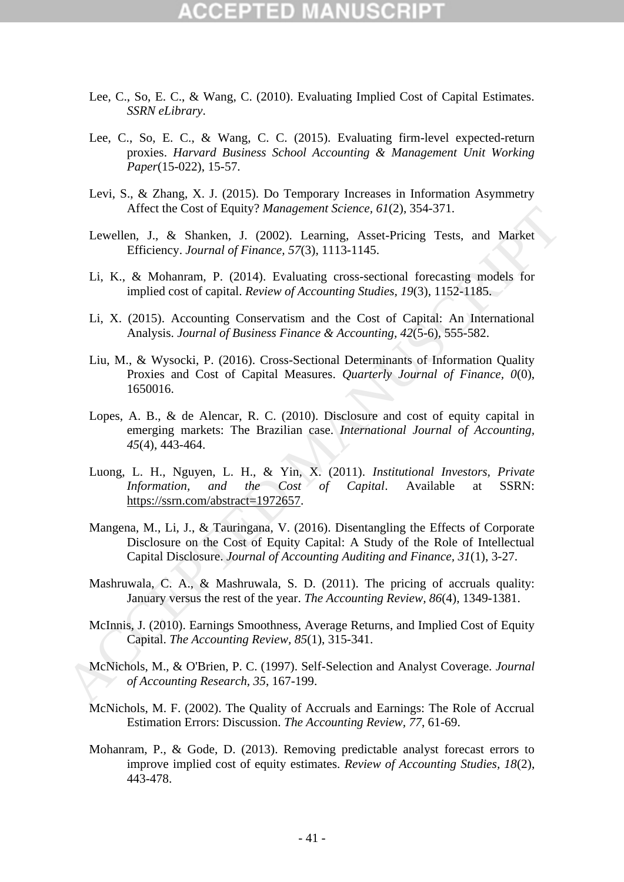- Lee, C., So, E. C., & Wang, C. (2010). Evaluating Implied Cost of Capital Estimates. *SSRN eLibrary*.
- Lee, C., So, E. C., & Wang, C. C. (2015). Evaluating firm-level expected-return proxies. *Harvard Business School Accounting & Management Unit Working Paper*(15-022), 15-57.
- Levi, S., & Zhang, X. J. (2015). Do Temporary Increases in Information Asymmetry Affect the Cost of Equity? *Management Science, 61*(2), 354-371.
- Lewellen, J., & Shanken, J. (2002). Learning, Asset-Pricing Tests, and Market Efficiency. *Journal of Finance, 57*(3), 1113-1145.
- Li, K., & Mohanram, P. (2014). Evaluating cross-sectional forecasting models for implied cost of capital. *Review of Accounting Studies, 19*(3), 1152-1185.
- Li, X. (2015). Accounting Conservatism and the Cost of Capital: An International Analysis. *Journal of Business Finance & Accounting, 42*(5-6), 555-582.
- Liu, M., & Wysocki, P. (2016). Cross-Sectional Determinants of Information Quality Proxies and Cost of Capital Measures. *Quarterly Journal of Finance, 0*(0), 1650016.
- Lopes, A. B., & de Alencar, R. C. (2010). Disclosure and cost of equity capital in emerging markets: The Brazilian case. *International Journal of Accounting, 45*(4), 443-464.
- Luong, L. H., Nguyen, L. H., & Yin, X. (2011). *Institutional Investors, Private Information, and the Cost of Capital*. Available at SSRN: https://ssrn.com/abstract=1972657.
- Mangena, M., Li, J., & Tauringana, V. (2016). Disentangling the Effects of Corporate Disclosure on the Cost of Equity Capital: A Study of the Role of Intellectual Capital Disclosure. *Journal of Accounting Auditing and Finance, 31*(1), 3-27. Artect the Cost of Fquity? *Management Science, 61(2)*, 354-371.<br>
Lewellen, J., & Shanken, J. (2002). Learning, Asset-Pricing Tests, and Market<br>
Efficiency, Journal of Finance, 57(3), 1113-1145.<br>
Li, K., & Mohamran, P. (2
	- Mashruwala, C. A., & Mashruwala, S. D. (2011). The pricing of accruals quality: January versus the rest of the year. *The Accounting Review, 86*(4), 1349-1381.
	- McInnis, J. (2010). Earnings Smoothness, Average Returns, and Implied Cost of Equity Capital. *The Accounting Review, 85*(1), 315-341.
	- McNichols, M., & O'Brien, P. C. (1997). Self-Selection and Analyst Coverage. *Journal of Accounting Research, 35*, 167-199.
	- McNichols, M. F. (2002). The Quality of Accruals and Earnings: The Role of Accrual Estimation Errors: Discussion. *The Accounting Review, 77*, 61-69.
	- Mohanram, P., & Gode, D. (2013). Removing predictable analyst forecast errors to improve implied cost of equity estimates. *Review of Accounting Studies, 18*(2), 443-478.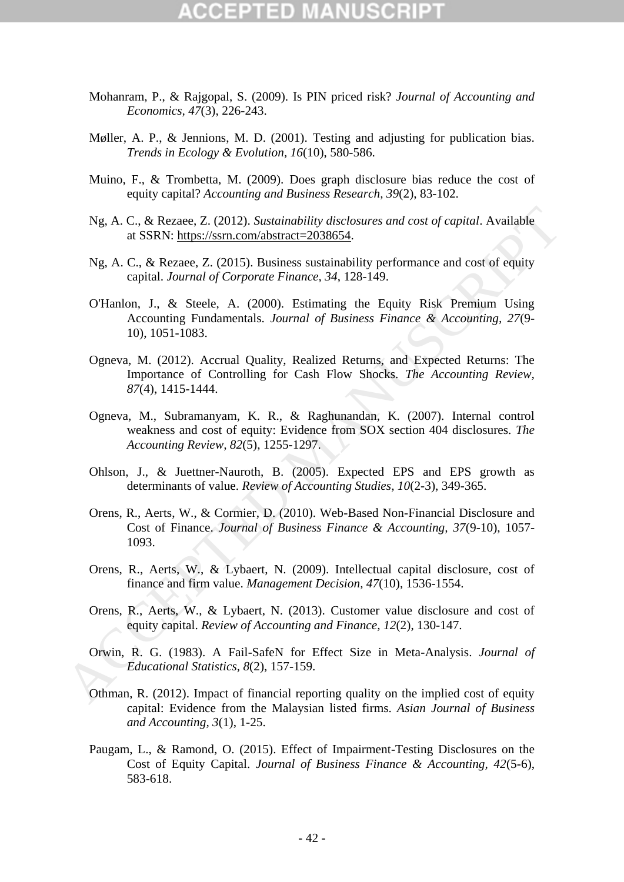# CEPTED

- Mohanram, P., & Rajgopal, S. (2009). Is PIN priced risk? *Journal of Accounting and Economics, 47*(3), 226-243.
- Møller, A. P., & Jennions, M. D. (2001). Testing and adjusting for publication bias. *Trends in Ecology & Evolution, 16*(10), 580-586.
- Muino, F., & Trombetta, M. (2009). Does graph disclosure bias reduce the cost of equity capital? *Accounting and Business Research, 39*(2), 83-102.
- Ng, A. C., & Rezaee, Z. (2012). *Sustainability disclosures and cost of capital*. Available at SSRN: https://ssrn.com/abstract=2038654.
- Ng, A. C., & Rezaee, Z. (2015). Business sustainability performance and cost of equity capital. *Journal of Corporate Finance, 34*, 128-149.
- O'Hanlon, J., & Steele, A. (2000). Estimating the Equity Risk Premium Using Accounting Fundamentals. *Journal of Business Finance & Accounting, 27*(9- 10), 1051-1083.
- Ogneva, M. (2012). Accrual Quality, Realized Returns, and Expected Returns: The Importance of Controlling for Cash Flow Shocks. *The Accounting Review, 87*(4), 1415-1444.
- Ogneva, M., Subramanyam, K. R., & Raghunandan, K. (2007). Internal control weakness and cost of equity: Evidence from SOX section 404 disclosures. *The Accounting Review, 82*(5), 1255-1297.
- Ohlson, J., & Juettner-Nauroth, B. (2005). Expected EPS and EPS growth as determinants of value. *Review of Accounting Studies, 10*(2-3), 349-365.
- Orens, R., Aerts, W., & Cormier, D. (2010). Web-Based Non-Financial Disclosure and Cost of Finance. *Journal of Business Finance & Accounting, 37*(9-10), 1057- 1093. Ng, A. C., & Rezaee, Z. (2012). Sustainability disclosures and cost of capital. Available<br>
at SSRN: https://ssm.com/abstract=2038654<br>
Ng, A. C., & Rezaee, Z. (2015). Business sustainability performance and cost of capity<br>
	- Orens, R., Aerts, W., & Lybaert, N. (2009). Intellectual capital disclosure, cost of finance and firm value. *Management Decision, 47*(10), 1536-1554.
	- Orens, R., Aerts, W., & Lybaert, N. (2013). Customer value disclosure and cost of equity capital. *Review of Accounting and Finance, 12*(2), 130-147.
	- Orwin, R. G. (1983). A Fail-SafeN for Effect Size in Meta-Analysis. *Journal of Educational Statistics, 8*(2), 157-159.
	- Othman, R. (2012). Impact of financial reporting quality on the implied cost of equity capital: Evidence from the Malaysian listed firms. *Asian Journal of Business and Accounting, 3*(1), 1-25.
	- Paugam, L., & Ramond, O. (2015). Effect of Impairment-Testing Disclosures on the Cost of Equity Capital. *Journal of Business Finance & Accounting, 42*(5-6), 583-618.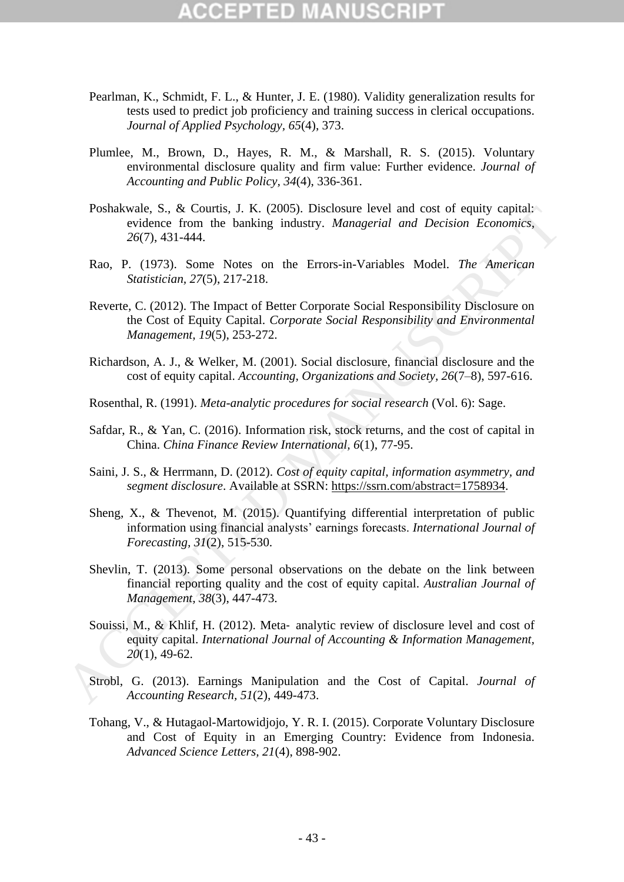- Pearlman, K., Schmidt, F. L., & Hunter, J. E. (1980). Validity generalization results for tests used to predict job proficiency and training success in clerical occupations. *Journal of Applied Psychology, 65*(4), 373.
- Plumlee, M., Brown, D., Hayes, R. M., & Marshall, R. S. (2015). Voluntary environmental disclosure quality and firm value: Further evidence. *Journal of Accounting and Public Policy, 34*(4), 336-361.
- Poshakwale, S., & Courtis, J. K. (2005). Disclosure level and cost of equity capital: evidence from the banking industry. *Managerial and Decision Economics, 26*(7), 431-444.
- Rao, P. (1973). Some Notes on the Errors-in-Variables Model. *The American Statistician, 27*(5), 217-218.
- Reverte, C. (2012). The Impact of Better Corporate Social Responsibility Disclosure on the Cost of Equity Capital. *Corporate Social Responsibility and Environmental Management, 19*(5), 253-272.
- Richardson, A. J., & Welker, M. (2001). Social disclosure, financial disclosure and the cost of equity capital. *Accounting, Organizations and Society, 26*(7–8), 597-616.
- Rosenthal, R. (1991). *Meta-analytic procedures for social research* (Vol. 6): Sage.
- Safdar, R., & Yan, C. (2016). Information risk, stock returns, and the cost of capital in China. *China Finance Review International, 6*(1), 77-95.
- Saini, J. S., & Herrmann, D. (2012). *Cost of equity capital, information asymmetry, and segment disclosure*. Available at SSRN: https://ssrn.com/abstract=1758934.
- Sheng, X., & Thevenot, M. (2015). Quantifying differential interpretation of public information using financial analysts' earnings forecasts. *International Journal of Forecasting, 31*(2), 515-530.
- Shevlin, T. (2013). Some personal observations on the debate on the link between financial reporting quality and the cost of equity capital. *Australian Journal of Management, 38*(3), 447-473.
- Souissi, M., & Khlif, H. (2012). Meta‐ analytic review of disclosure level and cost of equity capital. *International Journal of Accounting & Information Management, 20*(1), 49-62. Poshalve, S., & Courts, J. K. (2005). Disclosure level and costs of equity capital.<br>
evidence from the hanking industry. *Managerial and Decision Economics*,<br>
26(7), 431-444.<br>
Rao, P. (1973). Some Notes on the Errors-in-V
	- Strobl, G. (2013). Earnings Manipulation and the Cost of Capital. *Journal of Accounting Research, 51*(2), 449-473.
	- Tohang, V., & Hutagaol-Martowidjojo, Y. R. I. (2015). Corporate Voluntary Disclosure and Cost of Equity in an Emerging Country: Evidence from Indonesia. *Advanced Science Letters, 21*(4), 898-902.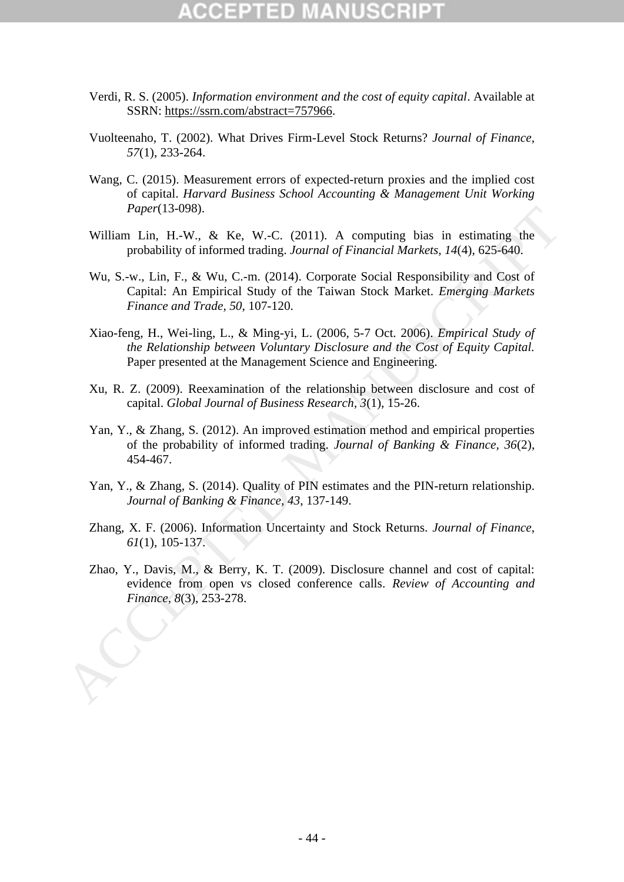# :CEPTED

- Verdi, R. S. (2005). *Information environment and the cost of equity capital*. Available at SSRN: https://ssrn.com/abstract=757966.
- Vuolteenaho, T. (2002). What Drives Firm-Level Stock Returns? *Journal of Finance, 57*(1), 233-264.
- Wang, C. (2015). Measurement errors of expected-return proxies and the implied cost of capital. *Harvard Business School Accounting & Management Unit Working Paper*(13-098).
- William Lin, H.-W., & Ke, W.-C. (2011). A computing bias in estimating the probability of informed trading. *Journal of Financial Markets, 14*(4), 625-640.
- Wu, S.-w., Lin, F., & Wu, C.-m. (2014). Corporate Social Responsibility and Cost of Capital: An Empirical Study of the Taiwan Stock Market. *Emerging Markets Finance and Trade, 50*, 107-120.
- Xiao-feng, H., Wei-ling, L., & Ming-yi, L. (2006, 5-7 Oct. 2006). *Empirical Study of the Relationship between Voluntary Disclosure and the Cost of Equity Capital.* Paper presented at the Management Science and Engineering. *Fager*(13-098).<br>
William Lin, H., & Ke, W.-C. (2011). A computing bias in estimating the<br>
probability of informed trading. Journal of Financial Markets, 14(4), 625-640.<br>
Wu. S.-w., Lin, F., & Wu, C.-m. (2014). Corporate S
	- Xu, R. Z. (2009). Reexamination of the relationship between disclosure and cost of capital. *Global Journal of Business Research, 3*(1), 15-26.
	- Yan, Y., & Zhang, S. (2012). An improved estimation method and empirical properties of the probability of informed trading. *Journal of Banking & Finance, 36*(2), 454-467.
	- Yan, Y., & Zhang, S. (2014). Quality of PIN estimates and the PIN-return relationship. *Journal of Banking & Finance, 43*, 137-149.
	- Zhang, X. F. (2006). Information Uncertainty and Stock Returns. *Journal of Finance, 61*(1), 105-137.
	- Zhao, Y., Davis, M., & Berry, K. T. (2009). Disclosure channel and cost of capital: evidence from open vs closed conference calls. *Review of Accounting and*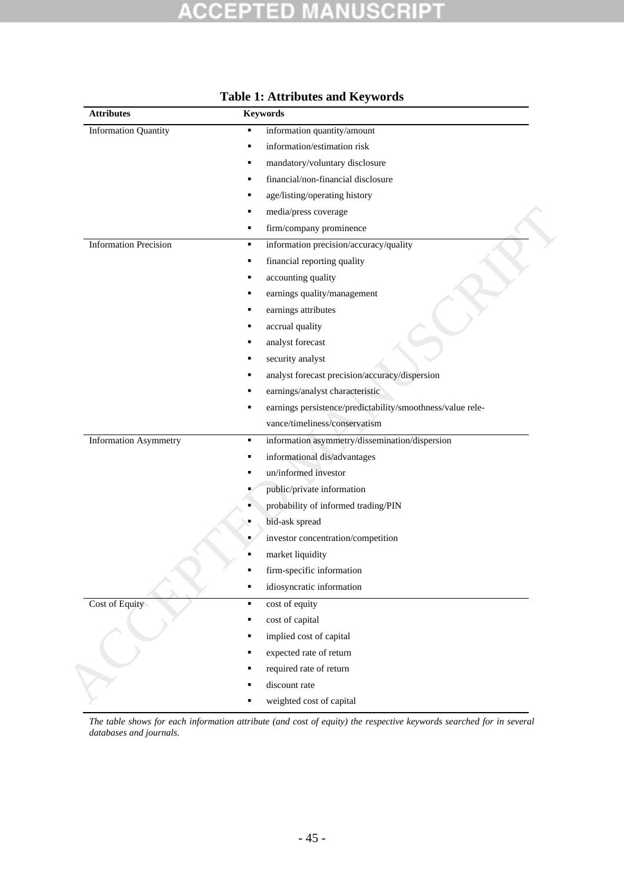### PT ED. N ו ו CRI à O ä UJ

<span id="page-47-0"></span>

| <b>Attributes</b>            | <b>Keywords</b>                                                 |
|------------------------------|-----------------------------------------------------------------|
| <b>Information Quantity</b>  | information quantity/amount<br>п                                |
|                              | information/estimation risk<br>٠                                |
|                              | mandatory/voluntary disclosure<br>п                             |
|                              | financial/non-financial disclosure<br>٠                         |
|                              | age/listing/operating history                                   |
|                              | media/press coverage                                            |
|                              | firm/company prominence<br>٠                                    |
| <b>Information Precision</b> | information precision/accuracy/quality<br>٠                     |
|                              | financial reporting quality<br>٠                                |
|                              | accounting quality<br>٠                                         |
|                              | earnings quality/management                                     |
|                              | earnings attributes                                             |
|                              | accrual quality                                                 |
|                              | analyst forecast<br>٠                                           |
|                              | security analyst                                                |
|                              | analyst forecast precision/accuracy/dispersion                  |
|                              | earnings/analyst characteristic                                 |
|                              | earnings persistence/predictability/smoothness/value rele-<br>٠ |
|                              | vance/timeliness/conservatism                                   |
| <b>Information Asymmetry</b> | information asymmetry/dissemination/dispersion<br>٠             |
|                              | informational dis/advantages                                    |
|                              | un/informed investor                                            |
|                              | public/private information                                      |
|                              | probability of informed trading/PIN                             |
|                              | bid-ask spread                                                  |
|                              | investor concentration/competition<br>٠                         |
|                              | market liquidity                                                |
|                              | firm-specific information                                       |
|                              | idiosyncratic information                                       |
| Cost of Equity               | cost of equity<br>٠                                             |
|                              | cost of capital                                                 |
|                              | implied cost of capital                                         |
|                              | expected rate of return                                         |
|                              | required rate of return                                         |
|                              | discount rate                                                   |
|                              | weighted cost of capital                                        |

## **Table 1: Attributes and Keywords**

*The table shows for each information attribute (and cost of equity) the respective keywords searched for in several databases and journals.*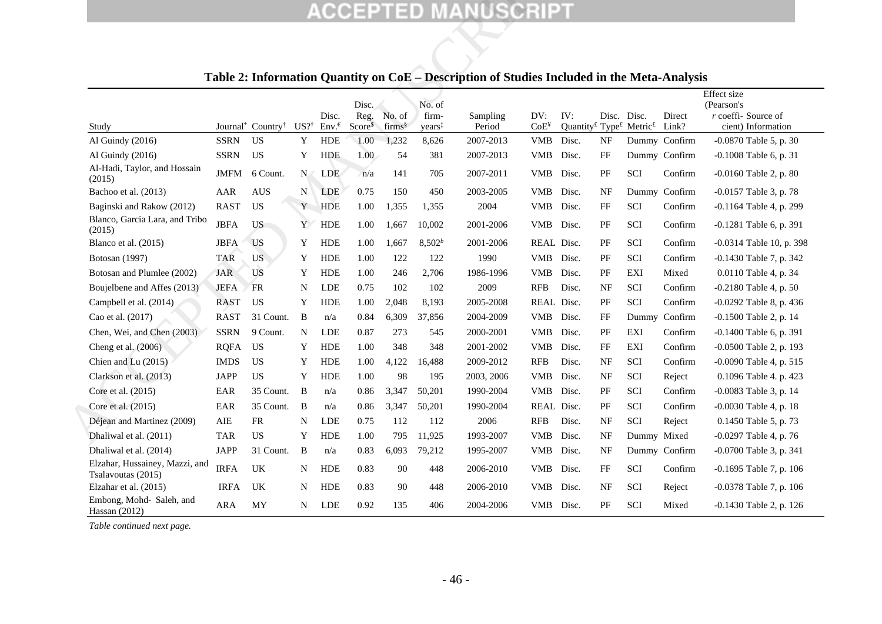|                                                      |                         |                                           |                 |                         |                            |                              |                             | <b>ACCEPTED MANUSCRIPT</b>                                                                  |                  |                                                                                       |             |             |                 |                                    |
|------------------------------------------------------|-------------------------|-------------------------------------------|-----------------|-------------------------|----------------------------|------------------------------|-----------------------------|---------------------------------------------------------------------------------------------|------------------|---------------------------------------------------------------------------------------|-------------|-------------|-----------------|------------------------------------|
|                                                      |                         |                                           |                 |                         |                            |                              |                             | Table 2: Information Quantity on CoE – Description of Studies Included in the Meta-Analysis |                  |                                                                                       |             |             |                 |                                    |
|                                                      |                         |                                           |                 |                         |                            |                              |                             |                                                                                             |                  |                                                                                       |             |             |                 | <b>Effect</b> size                 |
|                                                      |                         |                                           |                 |                         | Disc.                      |                              | No. of                      |                                                                                             | DV:              | IV:                                                                                   | Disc. Disc. |             |                 | (Pearson's<br>$r$ coeffi-Source of |
| Study                                                |                         | Journal <sup>*</sup> Country <sup>†</sup> | $US?^{\dagger}$ | Disc.<br>$Env.\epsilon$ | Reg.<br>Score <sup>§</sup> | No. of<br>firms <sup>§</sup> | firm-<br>years <sup>+</sup> | Sampling<br>Period                                                                          | CoE <sup>Y</sup> | Quantity <sup>£</sup> Type <sup><math>f</math></sup> Metric <sup><math>f</math></sup> |             |             | Direct<br>Link? | cient) Information                 |
| Al Guindy (2016)                                     | <b>SSRN</b>             | <b>US</b>                                 | Y               | <b>HDE</b>              | 1.00                       | 1,232                        | 8,626                       | 2007-2013                                                                                   | <b>VMB</b>       | Disc.                                                                                 | NF          |             | Dummy Confirm   | -0.0870 Table 5, p. 30             |
| Al Guindy (2016)                                     | <b>SSRN</b>             | <b>US</b>                                 | Y               | <b>HDE</b>              | 1.00                       | 54                           | 381                         | 2007-2013                                                                                   | <b>VMB</b>       | Disc.                                                                                 | FF          |             | Dummy Confirm   | -0.1008 Table 6, p. 31             |
| Al-Hadi, Taylor, and Hossain<br>(2015)               | JMFM                    | 6 Count.                                  | N               | LDE                     | n/a                        | 141                          | 705                         | 2007-2011                                                                                   | VMB              | Disc.                                                                                 | PF          | SCI         | Confirm         | $-0.0160$ Table 2, p. 80           |
| Bachoo et al. (2013)                                 | AAR                     | <b>AUS</b>                                | N               | <b>LDE</b>              | 0.75                       | 150                          | 450                         | 2003-2005                                                                                   | <b>VMB</b>       | Disc.                                                                                 | NF          |             | Dummy Confirm   | -0.0157 Table 3, p. 78             |
| Baginski and Rakow (2012)                            | <b>RAST</b>             | US                                        | Y               | HDE                     | 1.00                       | 1,355                        | 1,355                       | 2004                                                                                        | VMB              | Disc.                                                                                 | FF          | SCI         | Confirm         | -0.1164 Table 4, p. 299            |
| Blanco, Garcia Lara, and Tribo<br>(2015)             | <b>JBFA</b>             | <b>US</b>                                 | Y               | <b>HDE</b>              | 1.00                       | 1,667                        | 10,002                      | 2001-2006                                                                                   | <b>VMB</b>       | Disc.                                                                                 | PF          | SCI         | Confirm         | $-0.1281$ Table 6, p. 391          |
| Blanco et al. (2015)                                 | <b>JBFA</b>             | <b>US</b>                                 | Y               | <b>HDE</b>              | 1.00                       | 1,667                        | $8,502^b$                   | 2001-2006                                                                                   | REAL Disc.       |                                                                                       | PF          | <b>SCI</b>  | Confirm         | $-0.0314$ Table 10, p. 398         |
| Botosan (1997)                                       | <b>TAR</b>              | <b>US</b>                                 | Y               | <b>HDE</b>              | 1.00                       | 122                          | 122                         | 1990                                                                                        | VMB              | Disc.                                                                                 | PF          | SCI         | Confirm         | -0.1430 Table 7, p. 342            |
| Botosan and Plumlee (2002)                           | <b>JAR</b>              | US                                        | Y               | <b>HDE</b>              | 1.00                       | 246                          | 2,706                       | 1986-1996                                                                                   | <b>VMB</b>       | Disc.                                                                                 | PF          | EXI         | Mixed           | 0.0110 Table 4, p. 34              |
| Boujelbene and Affes (2013)                          | <b>JEFA</b>             | <b>FR</b>                                 | N               | LDE                     | 0.75                       | 102                          | 102                         | 2009                                                                                        | <b>RFB</b>       | Disc.                                                                                 | NF          | SCI         | Confirm         | $-0.2180$ Table 4, p. 50           |
| Campbell et al. (2014)                               | <b>RAST</b>             | <b>US</b>                                 | Y               | HDE                     | 1.00                       | 2,048                        | 8,193                       | 2005-2008                                                                                   | REAL Disc.       |                                                                                       | PF          | SCI         | Confirm         | -0.0292 Table 8, p. 436            |
| Cao et al. (2017)                                    | <b>RAST</b>             | 31 Count.                                 | B               | n/a                     | 0.84                       | 6,309                        | 37,856                      | 2004-2009                                                                                   | <b>VMB</b>       | Disc.                                                                                 | FF          | Dummy       | Confirm         | -0.1500 Table 2, p. 14             |
| Chen, Wei, and Chen (2003)                           | <b>SSRN</b>             | 9 Count.                                  | N               | LDE                     | 0.87                       | 273                          | 545                         | 2000-2001                                                                                   | <b>VMB</b>       | Disc.                                                                                 | PF          | EXI         | Confirm         | -0.1400 Table 6, p. 391            |
| Cheng et al. (2006).                                 | <b>RQFA</b>             | US                                        | Y               | <b>HDE</b>              | 1.00                       | 348                          | 348                         | 2001-2002                                                                                   | VMB              | Disc.                                                                                 | FF          | EXI         | Confirm         | -0.0500 Table 2, p. 193            |
| Chien and Lu (2015)                                  | <b>IMDS</b>             | <b>US</b>                                 | Y               | <b>HDE</b>              | 1.00                       | 4,122                        | 16,488                      | 2009-2012                                                                                   | <b>RFB</b>       | Disc.                                                                                 | NF          | <b>SCI</b>  | Confirm         | -0.0090 Table 4, p. 515            |
| Clarkson et al. (2013)                               | <b>JAPP</b>             | <b>US</b>                                 | Y               | HDE                     | 1.00                       | 98                           | 195                         | 2003, 2006                                                                                  | VMB              | Disc.                                                                                 | NF          | SCI         | Reject          | 0.1096 Table 4. p. 423             |
| Core et al. (2015)                                   | EAR                     | 35 Count.                                 | B               | n/a                     | 0.86                       | 3,347                        | 50,201                      | 1990-2004                                                                                   | <b>VMB</b>       | Disc.                                                                                 | PF          | SCI         | Confirm         | -0.0083 Table 3, p. 14             |
| Core et al. (2015)                                   | EAR                     | 35 Count.                                 | B               | n/a                     | 0.86                       | 3,347                        | 50,201                      | 1990-2004                                                                                   | REAL Disc.       |                                                                                       | PF          | SCI         | Confirm         | -0.0030 Table 4, p. 18             |
| Déjean and Martinez (2009)                           | AIE                     | ${\sf FR}$                                | N               | <b>LDE</b>              | 0.75                       | 112                          | 112                         | 2006                                                                                        | <b>RFB</b>       | Disc.                                                                                 | NF          | SCI         | Reject          | 0.1450 Table 5, p. 73              |
| Dhaliwal et al. (2011)                               | <b>TAR</b>              | US                                        | Y               | <b>HDE</b>              | 1.00                       | 795                          | 11,925                      | 1993-2007                                                                                   | VMB Disc.        |                                                                                       | NF          | Dummy Mixed |                 | $-0.0297$ Table 4, p. 76           |
| Dhaliwal et al. (2014)                               | <b>JAPP</b>             | 31 Count.                                 | B               | n/a                     | 0.83                       | 6,093                        | 79,212                      | 1995-2007                                                                                   | VMB Disc.        |                                                                                       | NF          |             | Dummy Confirm   | -0.0700 Table 3, p. 341            |
| Elzahar, Hussainey, Mazzi, and<br>Tsalavoutas (2015) | $\operatorname{IRFA}$   | UK                                        | N               | HDE                     | 0.83                       | 90                           | 448                         | 2006-2010                                                                                   | VMB Disc.        |                                                                                       | FF          | SCI         | Confirm         | -0.1695 Table 7, p. 106            |
| Elzahar et al. (2015)                                | <b>IRFA</b>             | UK                                        | N               | HDE                     | 0.83                       | 90                           | 448                         | 2006-2010                                                                                   | VMB Disc.        |                                                                                       | NF          | SCI         | Reject          | -0.0378 Table 7, p. 106            |
| Embong, Mohd- Saleh, and<br>Hassan (2012)            | ${\sf A}{\sf R}{\sf A}$ | MY                                        | N               | LDE                     | 0.92                       | 135                          | 406                         | 2004-2006                                                                                   | VMB Disc.        |                                                                                       | PF          | SCI         | Mixed           | -0.1430 Table 2, p. 126            |

## <span id="page-48-1"></span>**Table 2: Information Quantity on CoE – Description of Studies Included in the Meta-Analysis**

<span id="page-48-0"></span>*Table continued next page.*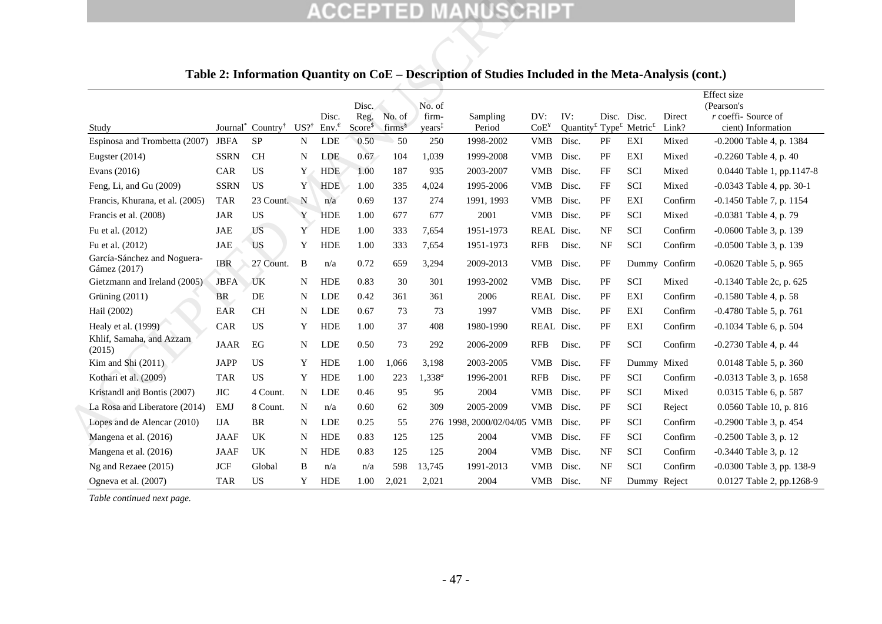|                                             |             |                                           |                 |                           |                                     |                              |                                       | <b>ACCEPTED MANUSCRIPT</b><br>Table 2: Information Quantity on CoE – Description of Studies Included in the Meta-Analysis (cont.) |                         |                                                                                              |           |              |                 |                                                         |
|---------------------------------------------|-------------|-------------------------------------------|-----------------|---------------------------|-------------------------------------|------------------------------|---------------------------------------|-----------------------------------------------------------------------------------------------------------------------------------|-------------------------|----------------------------------------------------------------------------------------------|-----------|--------------|-----------------|---------------------------------------------------------|
|                                             |             |                                           |                 |                           |                                     |                              |                                       |                                                                                                                                   |                         |                                                                                              |           |              |                 | Effect size                                             |
| Study                                       |             | Journal <sup>*</sup> Country <sup>†</sup> | $US?^{\dagger}$ | Disc.<br>$Env^{\epsilon}$ | Disc.<br>Reg.<br>Score <sup>s</sup> | No. of<br>firms <sup>§</sup> | No. of<br>firm-<br>years <sup>‡</sup> | Sampling<br>Period                                                                                                                | DV:<br>CoE <sup>Y</sup> | IV:<br>Quantity <sup>£</sup> Type <sup><math>f</math></sup> Metric <sup><math>f</math></sup> |           | Disc. Disc.  | Direct<br>Link? | (Pearson's<br>r coeffi- Source of<br>cient) Information |
| Espinosa and Trombetta (2007)               | <b>JBFA</b> | <b>SP</b>                                 | N               | <b>LDE</b>                | 0.50                                | 50                           | 250                                   | 1998-2002                                                                                                                         | <b>VMB</b>              | Disc.                                                                                        | PF        | EXI          | Mixed           | $-0.2000$ Table 4, p. 1384                              |
| Eugster $(2014)$                            | <b>SSRN</b> | <b>CH</b>                                 | N               | <b>LDE</b>                | 0.67                                | 104                          | 1,039                                 | 1999-2008                                                                                                                         | <b>VMB</b>              | Disc.                                                                                        | PF        | EXI          | Mixed           | $-0.2260$ Table 4, p. 40                                |
| Evans (2016)                                | CAR         | <b>US</b>                                 | Y               | <b>HDE</b>                | 1.00                                | 187                          | 935                                   | 2003-2007                                                                                                                         | <b>VMB</b>              | Disc.                                                                                        | FF        | SCI          | Mixed           | 0.0440 Table 1, pp.1147-8                               |
| Feng, Li, and Gu (2009)                     | <b>SSRN</b> | <b>US</b>                                 | Y               | HDE                       | 1.00                                | 335                          | 4,024                                 | 1995-2006                                                                                                                         | <b>VMB</b>              | Disc.                                                                                        | FF        | SCI          | Mixed           | -0.0343 Table 4, pp. 30-1                               |
| Francis, Khurana, et al. (2005)             | <b>TAR</b>  | 23 Count.                                 | $\mathbf N$     | n/a                       | 0.69                                | 137                          | 274                                   | 1991, 1993                                                                                                                        | <b>VMB</b>              | Disc.                                                                                        | PF        | EXI          | Confirm         | -0.1450 Table 7, p. 1154                                |
| Francis et al. (2008)                       | JAR         | <b>US</b>                                 | Y               | <b>HDE</b>                | 1.00                                | 677                          | 677                                   | 2001                                                                                                                              | VMB Disc.               |                                                                                              | PF        | SCI          | Mixed           | -0.0381 Table 4, p. 79                                  |
| Fu et al. (2012)                            | JAE         | <b>US</b>                                 | Y               | HDE                       | 1.00                                | 333                          | 7,654                                 | 1951-1973                                                                                                                         | REAL Disc.              |                                                                                              | NF        | SCI          | Confirm         | -0.0600 Table 3, p. 139                                 |
| Fu et al. (2012)                            | JAE         | <b>US</b>                                 | Y               | <b>HDE</b>                | 1.00                                | 333                          | 7,654                                 | 1951-1973                                                                                                                         | RFB                     | Disc.                                                                                        | NF        | <b>SCI</b>   | Confirm         | -0.0500 Table 3, p. 139                                 |
| García-Sánchez and Noguera-<br>Gámez (2017) | <b>IBR</b>  | 27 Count.                                 | B               | n/a                       | 0.72                                | 659                          | 3,294                                 | 2009-2013                                                                                                                         | VMB                     | Disc.                                                                                        | PF        |              | Dummy Confirm   | -0.0620 Table 5, p. 965                                 |
| Gietzmann and Ireland (2005)                | <b>JBFA</b> | UK                                        | N               | <b>HDE</b>                | 0.83                                | 30                           | 301                                   | 1993-2002                                                                                                                         | VMB Disc.               |                                                                                              | PF        | SCI          | Mixed           | -0.1340 Table 2c, p. 625                                |
| Grüning (2011)                              | ${\rm BR}$  | DE                                        | N               | <b>LDE</b>                | 0.42                                | 361                          | 361                                   | 2006                                                                                                                              | REAL Disc.              |                                                                                              | PF        | EXI          | Confirm         | -0.1580 Table 4, p. 58                                  |
| Hail (2002)                                 | EAR         | <b>CH</b>                                 | N               | LDE                       | 0.67                                | 73                           | 73                                    | 1997                                                                                                                              | VMB Disc.               |                                                                                              | PF        | EXI          | Confirm         | -0.4780 Table 5, p. 761                                 |
| Healy et al. (1999)                         | CAR         | US                                        | Y               | <b>HDE</b>                | 1.00                                | 37                           | 408                                   | 1980-1990                                                                                                                         | REAL Disc.              |                                                                                              | PF        | EXI          | Confirm         | -0.1034 Table 6, p. 504                                 |
| Khlif, Samaha, and Azzam<br>(2015)          | <b>JAAR</b> | EG                                        | N               | <b>LDE</b>                | 0.50                                | 73                           | 292                                   | 2006-2009                                                                                                                         | <b>RFB</b>              | Disc.                                                                                        | PF        | <b>SCI</b>   | Confirm         | $-0.2730$ Table 4, p. 44                                |
| Kim and Shi (2011)                          | JAPP        | US                                        | Y               | <b>HDE</b>                | 1.00                                | 1,066                        | 3,198                                 | 2003-2005                                                                                                                         | <b>VMB</b>              | Disc.                                                                                        | FF        | Dummy Mixed  |                 | 0.0148 Table 5, p. 360                                  |
| Kothari et al. (2009)                       | <b>TAR</b>  | US                                        | Y               | <b>HDE</b>                | 1.00                                | 223                          | $1,338^a$                             | 1996-2001                                                                                                                         | <b>RFB</b>              | Disc.                                                                                        | PF        | SCI          | Confirm         | -0.0313 Table 3, p. 1658                                |
| Kristandl and Bontis (2007)                 | <b>JIC</b>  | 4 Count.                                  | $\mathbf N$     | <b>LDE</b>                | 0.46                                | 95                           | 95                                    | 2004                                                                                                                              | <b>VMB</b>              | Disc.                                                                                        | PF        | SCI          | Mixed           | 0.0315 Table 6, p. 587                                  |
| La Rosa and Liberatore (2014)               | <b>EMJ</b>  | 8 Count.                                  | N               | n/a                       | 0.60                                | 62                           | 309                                   | 2005-2009                                                                                                                         | VMB                     | Disc.                                                                                        | PF        | <b>SCI</b>   | Reject          | 0.0560 Table 10, p. 816                                 |
| Lopes and de Alencar (2010)                 | <b>IJA</b>  | <b>BR</b>                                 | N               | <b>LDE</b>                | 0.25                                | 55                           |                                       | 276 1998, 2000/02/04/05                                                                                                           | <b>VMB</b>              | Disc.                                                                                        | PF        | SCI          | Confirm         | -0.2900 Table 3, p. 454                                 |
| Mangena et al. (2016)                       | JAAF        | UK                                        | N               | <b>HDE</b>                | 0.83                                | 125                          | 125                                   | 2004                                                                                                                              | <b>VMB</b>              | Disc.                                                                                        | FF        | SCI          | Confirm         | -0.2500 Table 3, p. 12                                  |
| Mangena et al. (2016)                       | JAAF        | UK                                        | N               | <b>HDE</b>                | 0.83                                | 125                          | 125                                   | 2004                                                                                                                              | <b>VMB</b>              | Disc.                                                                                        | NF        | <b>SCI</b>   | Confirm         | -0.3440 Table 3, p. 12                                  |
| Ng and Rezaee (2015)                        | <b>JCF</b>  | Global                                    | B               | n/a                       | n/a                                 | 598                          | 13,745                                | 1991-2013                                                                                                                         | <b>VMB</b>              | Disc.                                                                                        | <b>NF</b> | SCI          | Confirm         | $-0.0300$ Table 3, pp. 138-9                            |
| Ogneva et al. (2007)                        | <b>TAR</b>  | <b>US</b>                                 | Y               | <b>HDE</b>                | 1.00                                | 2,021                        | 2,021                                 | 2004                                                                                                                              | VMB Disc.               |                                                                                              | <b>NF</b> | Dummy Reject |                 | 0.0127 Table 2, pp.1268-9                               |

## **Table 2: Information Quantity on CoE – Description of Studies Included in the Meta-Analysis (cont.)**

*Table continued next page.*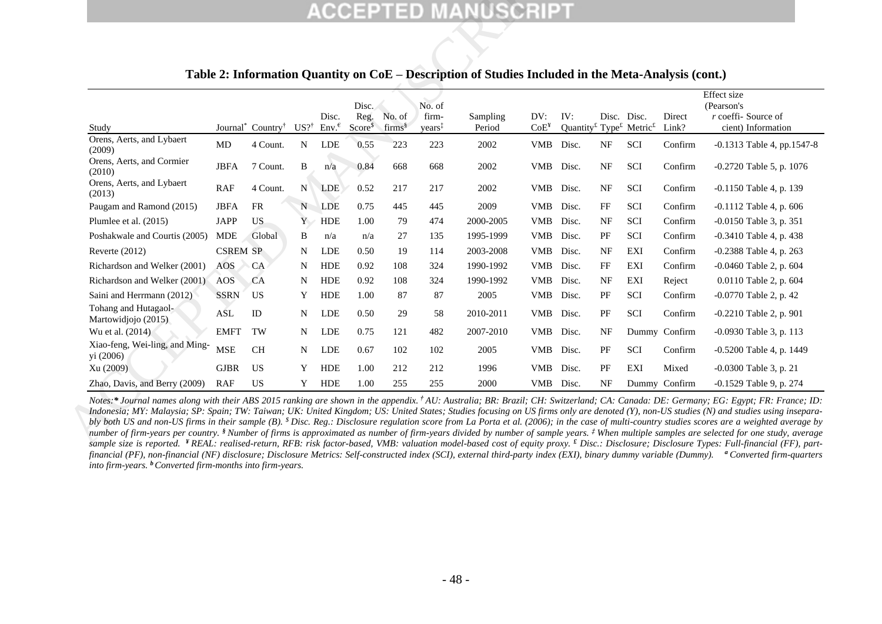|                                             |                 |                                           |                 |                                                  |                                      |                                 |                                       | <b>ACCEPTED MANUSCRIPT</b>                                                                          |                                            |                                                                                              |           |             |                 |                                                          |
|---------------------------------------------|-----------------|-------------------------------------------|-----------------|--------------------------------------------------|--------------------------------------|---------------------------------|---------------------------------------|-----------------------------------------------------------------------------------------------------|--------------------------------------------|----------------------------------------------------------------------------------------------|-----------|-------------|-----------------|----------------------------------------------------------|
|                                             |                 |                                           |                 |                                                  |                                      |                                 |                                       | Table 2: Information Quantity on CoE – Description of Studies Included in the Meta-Analysis (cont.) |                                            |                                                                                              |           |             |                 |                                                          |
|                                             |                 |                                           |                 |                                                  |                                      |                                 |                                       |                                                                                                     |                                            |                                                                                              |           |             |                 | Effect size                                              |
| Study                                       |                 | Journal <sup>*</sup> Country <sup>†</sup> | $US?^{\dagger}$ | Disc.<br>$Env.$ <sup><math>\epsilon</math></sup> | Disc.<br>Reg.<br>Score <sup>\$</sup> | No. of<br>$\mathrm{firms}^{\S}$ | No. of<br>firm-<br>years <sup>‡</sup> | Sampling<br>Period                                                                                  | DV:<br>$\mathrm{Co} \mathrm{E}^\mathrm{y}$ | IV:<br>Quantity <sup>£</sup> Type <sup><math>f</math></sup> Metric <sup><math>f</math></sup> |           | Disc. Disc. | Direct<br>Link? | (Pearson's<br>$r$ coeffi-Source of<br>cient) Information |
| Orens, Aerts, and Lybaert<br>(2009)         | MD              | 4 Count.                                  | ${\bf N}$       | <b>LDE</b>                                       | 0.55                                 | 223                             | 223                                   | 2002                                                                                                | VMB Disc.                                  |                                                                                              | NF        | SCI         | Confirm         | $-0.1313$ Table 4, pp.1547-8                             |
| Orens, Aerts, and Cormier<br>(2010)         | <b>JBFA</b>     | 7 Count.                                  | B               | n/a                                              | 0.84                                 | 668                             | 668                                   | 2002                                                                                                | VMB Disc.                                  |                                                                                              | NF        | SCI         | Confirm         | $-0.2720$ Table 5, p. 1076                               |
| Orens, Aerts, and Lybaert<br>(2013)         | RAF             | 4 Count.                                  | N               | <b>LDE</b>                                       | 0.52                                 | 217                             | 217                                   | 2002                                                                                                | VMB Disc.                                  |                                                                                              | NF        | SCI         | Confirm         | $-0.1150$ Table 4, p. 139                                |
| Paugam and Ramond (2015)                    | <b>JBFA</b>     | <b>FR</b>                                 | N               | <b>LDE</b>                                       | 0.75                                 | 445                             | 445                                   | 2009                                                                                                | VMB Disc.                                  |                                                                                              | FF        | <b>SCI</b>  | Confirm         | $-0.1112$ Table 4, p. 606                                |
| Plumlee et al. (2015)                       | <b>JAPP</b>     | US.                                       | Y               | HDE                                              | 1.00                                 | 79                              | 474                                   | 2000-2005                                                                                           | VMB Disc.                                  |                                                                                              | NF        | SCI         | Confirm         | $-0.0150$ Table 3, p. 351                                |
| Poshakwale and Courtis (2005)               | <b>MDE</b>      | Global                                    | B               | n/a                                              | n/a                                  | 27                              | 135                                   | 1995-1999                                                                                           | VMB Disc.                                  |                                                                                              | PF        | SCI         | Confirm         | -0.3410 Table 4, p. 438                                  |
| Reverte $(2012)$                            | <b>CSREM SP</b> |                                           | N               | LDE                                              | 0.50                                 | 19                              | 114                                   | 2003-2008                                                                                           | VMB Disc.                                  |                                                                                              | <b>NF</b> | EXI         | Confirm         | -0.2388 Table 4, p. 263                                  |
| Richardson and Welker (2001)                | AOS             | CA                                        | N               | <b>HDE</b>                                       | 0.92                                 | 108                             | 324                                   | 1990-1992                                                                                           | <b>VMB</b>                                 | Disc.                                                                                        | FF        | EXI         | Confirm         | -0.0460 Table 2, p. 604                                  |
| Richardson and Welker (2001)                | AOS             | CA                                        | N               | <b>HDE</b>                                       | 0.92                                 | 108                             | 324                                   | 1990-1992                                                                                           | <b>VMB</b>                                 | Disc.                                                                                        | NF        | EXI         | Reject          | 0.0110 Table 2, p. 604                                   |
| Saini and Herrmann (2012)                   | <b>SSRN</b>     | <b>US</b>                                 | Y               | <b>HDE</b>                                       | 1.00                                 | 87                              | 87                                    | 2005                                                                                                | VMB Disc.                                  |                                                                                              | PF        | SCI         | Confirm         | -0.0770 Table 2, p. 42                                   |
| Tohang and Hutagaol-<br>Martowidjojo (2015) | ASL             | ID                                        | N               | <b>LDE</b>                                       | 0.50                                 | 29                              | 58                                    | 2010-2011                                                                                           | VMB Disc.                                  |                                                                                              | PF        | SCI         | Confirm         | $-0.2210$ Table 2, p. 901                                |
| Wu et al. (2014)                            | <b>EMFT</b>     | TW                                        | N               | <b>LDE</b>                                       | 0.75                                 | 121                             | 482                                   | 2007-2010                                                                                           | VMB Disc.                                  |                                                                                              | NF        |             | Dummy Confirm   | -0.0930 Table 3, p. 113                                  |
| Xiao-feng, Wei-ling, and Ming-<br>yi (2006) | <b>MSE</b>      | CH                                        | N               | <b>LDE</b>                                       | 0.67                                 | 102                             | 102                                   | 2005                                                                                                | VMB Disc.                                  |                                                                                              | PF        | SCI         | Confirm         | $-0.5200$ Table 4, p. 1449                               |
| Xu (2009)                                   | <b>GJBR</b>     | US                                        | Y               | <b>HDE</b>                                       | 1.00                                 | 212                             | 212                                   | 1996                                                                                                | <b>VMB</b>                                 | Disc.                                                                                        | PF        | EXI         | Mixed           | $-0.0300$ Table 3, p. 21                                 |
| Zhao, Davis, and Berry (2009)               | <b>RAF</b>      | <b>US</b>                                 | Y               | <b>HDE</b>                                       | 1.00                                 | 255                             | 255                                   | 2000                                                                                                | VMB Disc.                                  |                                                                                              | NF        |             | Dummy Confirm   | -0.1529 Table 9, p. 274                                  |

## **Table 2: Information Quantity on CoE – Description of Studies Included in the Meta-Analysis (cont.)**

Notes:\* Journal names along with their ABS 2015 ranking are shown in the appendix.<sup>†</sup> AU: Australia; BR: Brazil; CH: Switzerland; CA: Canada: DE: Germany; EG: Egypt; FR: France; ID: Indonesia; MY: Malaysia; SP: Spain; TW: Taiwan; UK: United Kingdom; US: United States; Studies focusing on US firms only are denoted (Y), non-US studies (N) and studies using insepara*bly both US and non-US firms in their sample (B). \$ Disc. Reg.: Disclosure regulation score from La Porta et al. (2006); in the case of multi-country studies scores are a weighted average by number of firm-years per country. § Number of firms is approximated as number of firm-years divided by number of sample years. ‡ When multiple samples are selected for one study, average sample size is reported. ¥ REAL: realised-return, RFB: risk factor-based, VMB: valuation model-based cost of equity proxy. £ Disc.: Disclosure; Disclosure Types: Full-financial (FF), partfinancial (PF), non-financial (NF) disclosure; Disclosure Metrics: Self-constructed index (SCI), external third-party index (EXI), binary dummy variable (Dummy). <sup>a</sup> Converted firm-quarters into firm-years. <sup>b</sup>Converted firm-months into firm-years.*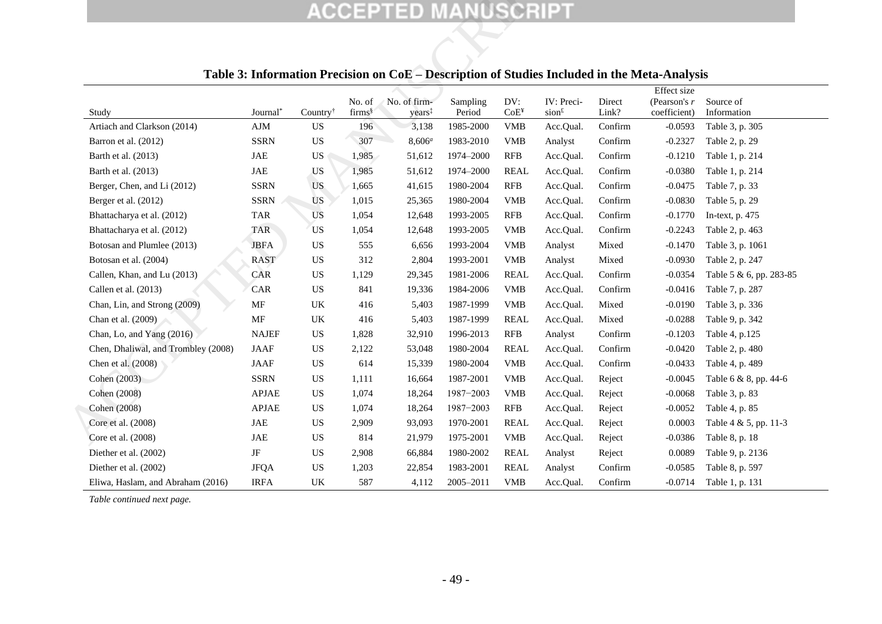|                                     |                      |                        |                                 | <b>ACCEPTED MANUSCRIPT</b>         |                    |                         |                                 |                 |                                                                                              |                          |
|-------------------------------------|----------------------|------------------------|---------------------------------|------------------------------------|--------------------|-------------------------|---------------------------------|-----------------|----------------------------------------------------------------------------------------------|--------------------------|
|                                     |                      |                        |                                 |                                    |                    |                         |                                 |                 |                                                                                              |                          |
|                                     |                      |                        |                                 |                                    |                    |                         |                                 |                 | Table 3: Information Precision on CoE - Description of Studies Included in the Meta-Analysis |                          |
| Study                               | Journal <sup>*</sup> | Country <sup>†</sup>   | No. of<br>$\mathrm{firms}^{\S}$ | No. of firm-<br>years <sup>‡</sup> | Sampling<br>Period | DV:<br>CoE <sup>Y</sup> | IV: Preci-<br>sion <sup>f</sup> | Direct<br>Link? | Effect size<br>(Pearson's $r$<br>coefficient)                                                | Source of<br>Information |
| Artiach and Clarkson (2014)         | AJM                  | US.                    | 196                             | 3,138                              | 1985-2000          | <b>VMB</b>              | Acc.Qual.                       | Confirm         | $-0.0593$                                                                                    | Table 3, p. 305          |
| Barron et al. (2012)                | <b>SSRN</b>          | <b>US</b>              | 307                             | $8,606^a$                          | 1983-2010          | <b>VMB</b>              | Analyst                         | Confirm         | $-0.2327$                                                                                    | Table 2, p. 29           |
| Barth et al. (2013)                 | $_{\rm JAE}$         | US                     | 1,985                           | 51,612                             | 1974-2000          | <b>RFB</b>              | Acc.Qual.                       | Confirm         | $-0.1210$                                                                                    | Table 1, p. 214          |
| Barth et al. (2013)                 | $_{\rm JAE}$         | <b>US</b>              | 1,985                           | 51,612                             | 1974-2000          | <b>REAL</b>             | Acc.Qual.                       | Confirm         | $-0.0380$                                                                                    | Table 1, p. 214          |
| Berger, Chen, and Li (2012)         | <b>SSRN</b>          | <b>US</b>              | 1,665                           | 41,615                             | 1980-2004          | RFB                     | Acc.Qual.                       | Confirm         | $-0.0475$                                                                                    | Table 7, p. 33           |
| Berger et al. (2012)                | <b>SSRN</b>          | <b>US</b>              | 1,015                           | 25,365                             | 1980-2004          | <b>VMB</b>              | Acc.Qual.                       | Confirm         | $-0.0830$                                                                                    | Table 5, p. 29           |
| Bhattacharya et al. (2012)          | <b>TAR</b>           | <b>US</b>              | 1,054                           | 12,648                             | 1993-2005          | <b>RFB</b>              | Acc.Qual.                       | Confirm         | $-0.1770$                                                                                    | In-text, p. 475          |
| Bhattacharya et al. (2012)          | <b>TAR</b>           | US <sub>1</sub>        | 1,054                           | 12,648                             | 1993-2005          | <b>VMB</b>              | Acc.Qual.                       | Confirm         | $-0.2243$                                                                                    | Table 2, p. 463          |
| Botosan and Plumlee (2013)          | <b>JBFA</b>          | <b>US</b>              | 555                             | 6,656                              | 1993-2004          | <b>VMB</b>              | Analyst                         | Mixed           | $-0.1470$                                                                                    | Table 3, p. 1061         |
| Botosan et al. (2004)               | <b>RAST</b>          | US                     | 312                             | 2,804                              | 1993-2001          | <b>VMB</b>              | Analyst                         | Mixed           | $-0.0930$                                                                                    | Table 2, p. 247          |
| Callen, Khan, and Lu (2013)         | CAR                  | US                     | 1,129                           | 29,345                             | 1981-2006          | <b>REAL</b>             | Acc.Qual.                       | Confirm         | $-0.0354$                                                                                    | Table 5 & 6, pp. 283-85  |
| Callen et al. (2013)                | CAR                  | US                     | 841                             | 19,336                             | 1984-2006          | <b>VMB</b>              | Acc.Qual.                       | Confirm         | $-0.0416$                                                                                    | Table 7, p. 287          |
| Chan, Lin, and Strong (2009)        | MF                   | UK                     | 416                             | 5,403                              | 1987-1999          | <b>VMB</b>              | Acc.Qual.                       | Mixed           | $-0.0190$                                                                                    | Table 3, p. 336          |
| Chan et al. (2009)                  | MF                   | UK                     | 416                             | 5,403                              | 1987-1999          | <b>REAL</b>             | Acc.Qual.                       | Mixed           | $-0.0288$                                                                                    | Table 9, p. 342          |
| Chan, Lo, and Yang (2016)           | <b>NAJEF</b>         | $\mathbf{U}\mathbf{S}$ | 1,828                           | 32,910                             | 1996-2013          | RFB                     | Analyst                         | Confirm         | $-0.1203$                                                                                    | Table 4, p.125           |
| Chen, Dhaliwal, and Trombley (2008) | <b>JAAF</b>          | US                     | 2,122                           | 53,048                             | 1980-2004          | <b>REAL</b>             | Acc.Qual.                       | Confirm         | $-0.0420$                                                                                    | Table 2, p. 480          |
| Chen et al. (2008)                  | <b>JAAF</b>          | US                     | 614                             | 15,339                             | 1980-2004          | <b>VMB</b>              | Acc.Qual.                       | Confirm         | $-0.0433$                                                                                    | Table 4, p. 489          |
| Cohen (2003)                        | <b>SSRN</b>          | <b>US</b>              | 1,111                           | 16,664                             | 1987-2001          | <b>VMB</b>              | Acc.Qual.                       | Reject          | $-0.0045$                                                                                    | Table 6 & 8, pp. 44-6    |
| Cohen (2008)                        | <b>APJAE</b>         | US                     | 1,074                           | 18,264                             | 1987-2003          | <b>VMB</b>              | Acc.Qual.                       | Reject          | $-0.0068$                                                                                    | Table 3, p. 83           |
| Cohen (2008)                        | <b>APJAE</b>         | US.                    | 1,074                           | 18,264                             | 1987-2003          | <b>RFB</b>              | Acc.Qual.                       | Reject          | $-0.0052$                                                                                    | Table 4, p. 85           |
| Core et al. (2008)                  | JAE                  | <b>US</b>              | 2,909                           | 93,093                             | 1970-2001          | <b>REAL</b>             | Acc.Qual.                       | Reject          | 0.0003                                                                                       | Table 4 & 5, pp. 11-3    |
| Core et al. (2008)                  | JAE                  | US                     | 814                             | 21,979                             | 1975-2001          | <b>VMB</b>              | Acc.Qual.                       | Reject          | $-0.0386$                                                                                    | Table 8, p. 18           |
| Diether et al. (2002)               | $\rm{JF}$            | US.                    | 2,908                           | 66,884                             | 1980-2002          | <b>REAL</b>             | Analyst                         | Reject          | 0.0089                                                                                       | Table 9, p. 2136         |
| Diether et al. (2002)               | <b>JFQA</b>          | US                     | 1,203                           | 22,854                             | 1983-2001          | <b>REAL</b>             | Analyst                         | Confirm         | $-0.0585$                                                                                    | Table 8, p. 597          |
| Eliwa, Haslam, and Abraham (2016)   | <b>IRFA</b>          | UK                     | 587                             | 4,112                              | 2005-2011          | <b>VMB</b>              | Acc.Qual.                       | Confirm         | $-0.0714$                                                                                    | Table 1, p. 131          |

## <span id="page-51-1"></span>**Table 3: Information Precision on CoE – Description of Studies Included in the Meta-Analysis**

<span id="page-51-0"></span>*Table continued next page.*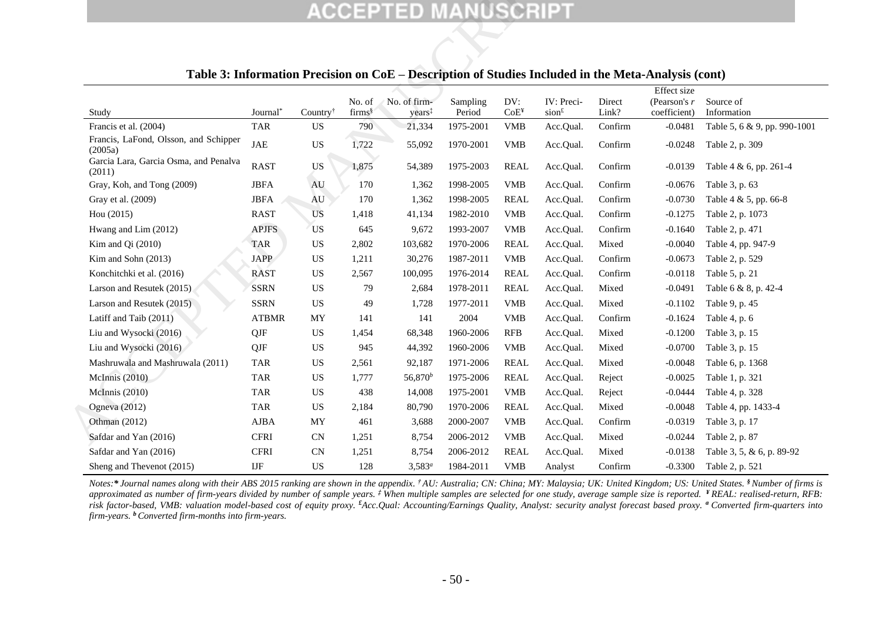|                                                                                                     |              |                            |                                       | <b>ACCEPTED MANUSCRIPT</b>         |                    |                         |                                 |                 |                                                 |                              |
|-----------------------------------------------------------------------------------------------------|--------------|----------------------------|---------------------------------------|------------------------------------|--------------------|-------------------------|---------------------------------|-----------------|-------------------------------------------------|------------------------------|
| Table 3: Information Precision on CoE – Description of Studies Included in the Meta-Analysis (cont) |              |                            |                                       |                                    |                    |                         |                                 |                 |                                                 |                              |
| Study                                                                                               | Journal*     | Country <sup>†</sup>       | No. of<br>$\text{firms}$ <sup>§</sup> | No. of firm-<br>years <sup>‡</sup> | Sampling<br>Period | DV:<br>CoE <sup>4</sup> | IV: Preci-<br>sion <sup>f</sup> | Direct<br>Link? | Effect size<br>(Pearson's $r$ )<br>coefficient) | Source of<br>Information     |
| Francis et al. (2004)                                                                               | <b>TAR</b>   | US                         | 790                                   | 21,334                             | 1975-2001          | <b>VMB</b>              | Acc.Qual.                       | Confirm         | $-0.0481$                                       | Table 5, 6 & 9, pp. 990-1001 |
| Francis, LaFond, Olsson, and Schipper<br>(2005a)                                                    | <b>JAE</b>   | $\mathbf{U}\mathbf{S}$     | 1,722                                 | 55,092                             | 1970-2001          | <b>VMB</b>              | Acc.Qual.                       | Confirm         | $-0.0248$                                       | Table 2, p. 309              |
| Garcia Lara, Garcia Osma, and Penalva<br>(2011)                                                     | <b>RAST</b>  | <b>US</b>                  | 1,875                                 | 54,389                             | 1975-2003          | <b>REAL</b>             | Acc.Qual.                       | Confirm         | $-0.0139$                                       | Table 4 & 6, pp. 261-4       |
| Gray, Koh, and Tong (2009)                                                                          | <b>JBFA</b>  | AU                         | 170                                   | 1,362                              | 1998-2005          | <b>VMB</b>              | Acc.Qual.                       | Confirm         | $-0.0676$                                       | Table 3, p. 63               |
| Gray et al. (2009)                                                                                  | <b>JBFA</b>  | AU                         | 170                                   | 1,362                              | 1998-2005          | <b>REAL</b>             | Acc.Qual.                       | Confirm         | $-0.0730$                                       | Table 4 & 5, pp. 66-8        |
| Hou (2015)                                                                                          | <b>RAST</b>  | US                         | 1,418                                 | 41,134                             | 1982-2010          | <b>VMB</b>              | Acc.Qual.                       | Confirm         | $-0.1275$                                       | Table 2, p. 1073             |
| Hwang and Lim (2012)                                                                                | <b>APJFS</b> | <b>US</b>                  | 645                                   | 9,672                              | 1993-2007          | <b>VMB</b>              | Acc.Qual.                       | Confirm         | $-0.1640$                                       | Table 2, p. 471              |
| Kim and Qi (2010)                                                                                   | <b>TAR</b>   | US                         | 2,802                                 | 103,682                            | 1970-2006          | <b>REAL</b>             | Acc.Qual.                       | Mixed           | $-0.0040$                                       | Table 4, pp. 947-9           |
| Kim and Sohn $(2013)$                                                                               | <b>JAPP</b>  | US                         | 1,211                                 | 30,276                             | 1987-2011          | <b>VMB</b>              | Acc.Qual.                       | Confirm         | $-0.0673$                                       | Table 2, p. 529              |
| Konchitchki et al. (2016)                                                                           | <b>RAST</b>  | US                         | 2,567                                 | 100,095                            | 1976-2014          | <b>REAL</b>             | Acc.Qual.                       | Confirm         | $-0.0118$                                       | Table 5, p. 21               |
| Larson and Resutek (2015)                                                                           | <b>SSRN</b>  | US                         | 79                                    | 2,684                              | 1978-2011          | <b>REAL</b>             | Acc.Qual.                       | Mixed           | $-0.0491$                                       | Table 6 & 8, p. 42-4         |
| Larson and Resutek (2015)                                                                           | <b>SSRN</b>  | <b>US</b>                  | 49                                    | 1,728                              | 1977-2011          | <b>VMB</b>              | Acc.Qual.                       | Mixed           | $-0.1102$                                       | Table 9, p. 45               |
| Latiff and Taib (2011)                                                                              | <b>ATBMR</b> | MY                         | 141                                   | 141                                | 2004               | <b>VMB</b>              | Acc.Qual.                       | Confirm         | $-0.1624$                                       | Table 4, p. 6                |
| Liu and Wysocki (2016)                                                                              | QJF          | <b>US</b>                  | 1,454                                 | 68,348                             | 1960-2006          | <b>RFB</b>              | Acc.Qual.                       | Mixed           | $-0.1200$                                       | Table 3, p. 15               |
| Liu and Wysocki (2016)                                                                              | QJF          | US                         | 945                                   | 44,392                             | 1960-2006          | <b>VMB</b>              | Acc.Qual.                       | Mixed           | $-0.0700$                                       | Table 3, p. 15               |
| Mashruwala and Mashruwala (2011)                                                                    | <b>TAR</b>   | US                         | 2,561                                 | 92,187                             | 1971-2006          | <b>REAL</b>             | Acc.Qual.                       | Mixed           | $-0.0048$                                       | Table 6, p. 1368             |
| McInnis (2010)                                                                                      | <b>TAR</b>   | US                         | 1,777                                 | $56,870^{b}$                       | 1975-2006          | <b>REAL</b>             | Acc.Qual.                       | Reject          | $-0.0025$                                       | Table 1, p. 321              |
| McInnis (2010)                                                                                      | <b>TAR</b>   | <b>US</b>                  | 438                                   | 14,008                             | 1975-2001          | <b>VMB</b>              | Acc.Qual.                       | Reject          | $-0.0444$                                       | Table 4, p. 328              |
| Ogneva (2012)                                                                                       | <b>TAR</b>   | US                         | 2,184                                 | 80,790                             | 1970-2006          | <b>REAL</b>             | Acc.Qual.                       | Mixed           | $-0.0048$                                       | Table 4, pp. 1433-4          |
| Othman (2012)                                                                                       | AJBA         | MY                         | 461                                   | 3,688                              | 2000-2007          | <b>VMB</b>              | Acc.Qual.                       | Confirm         | $-0.0319$                                       | Table 3, p. 17               |
| Safdar and Yan (2016)                                                                               | <b>CFRI</b>  | CN                         | 1,251                                 | 8,754                              | 2006-2012          | <b>VMB</b>              | Acc.Qual.                       | Mixed           | $-0.0244$                                       | Table 2, p. 87               |
| Safdar and Yan (2016)                                                                               | <b>CFRI</b>  | <b>CN</b>                  | 1,251                                 | 8,754                              | 2006-2012          | <b>REAL</b>             | Acc.Qual.                       | Mixed           | $-0.0138$                                       | Table 3, 5, & 6, p. 89-92    |
| Sheng and Thevenot (2015)                                                                           | $_{\rm IJF}$ | $\boldsymbol{\mathsf{US}}$ | 128                                   | $3,583^a$                          | 1984-2011          | <b>VMB</b>              | Analyst                         | Confirm         | $-0.3300$                                       | Table 2, p. 521              |

## **Table 3: Information Precision on CoE – Description of Studies Included in the Meta-Analysis (cont)**

Notes:\* Journal names along with their ABS 2015 ranking are shown in the appendix. <sup>†</sup>AU: Australia; CN: China; MY: Malaysia; UK: United Kingdom; US: United States. <sup>§</sup> Number of firms is *approximated as number of firm-years divided by number of sample years. ‡ When multiple samples are selected for one study, average sample size is reported. ¥ REAL: realised-return, RFB: risk factor-based, VMB: valuation model-based cost of equity proxy. £Acc.Qual: Accounting/Earnings Quality, Analyst: security analyst forecast based proxy. <sup>a</sup> Converted firm-quarters into firm-years. <sup>b</sup>Converted firm-months into firm-years.*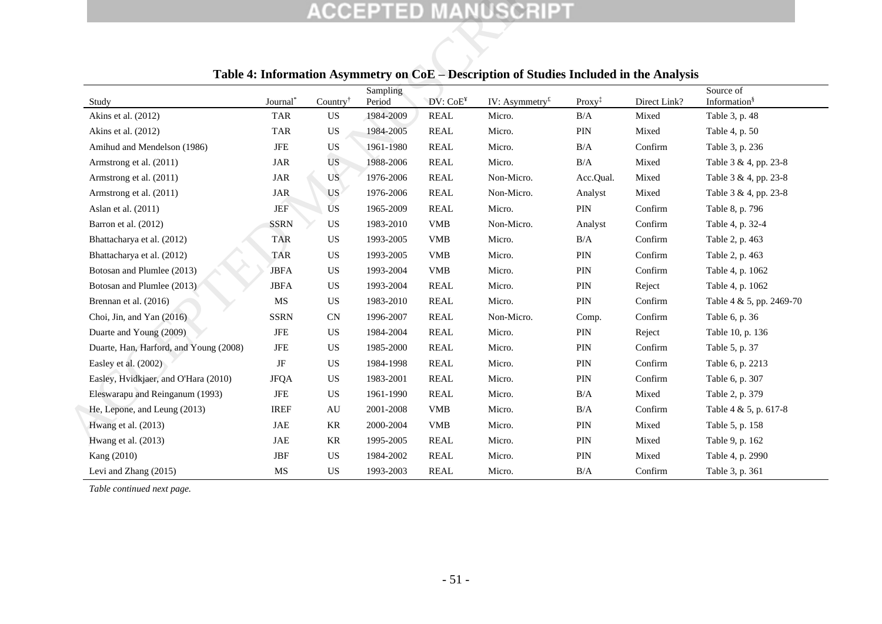<span id="page-53-1"></span>

|                                        |                      |                                         |                    |                           | <b>ACCEPTED MANUSCRIPT</b>                                                              |                    |              |                                       |
|----------------------------------------|----------------------|-----------------------------------------|--------------------|---------------------------|-----------------------------------------------------------------------------------------|--------------------|--------------|---------------------------------------|
|                                        |                      |                                         |                    |                           | Table 4: Information Asymmetry on CoE – Description of Studies Included in the Analysis |                    |              |                                       |
| Study                                  | Journal <sup>*</sup> | Country <sup><math>\dagger</math></sup> | Sampling<br>Period | DV: CoE <sup>Y</sup>      | IV: Asymmetry <sup><math>E</math></sup>                                                 | $Proxy^{\ddagger}$ | Direct Link? | Source of<br>Information <sup>§</sup> |
| Akins et al. (2012)                    | <b>TAR</b>           | <b>US</b>                               | 1984-2009          | <b>REAL</b>               | Micro.                                                                                  | B/A                | Mixed        | Table 3, p. 48                        |
| Akins et al. (2012)                    | <b>TAR</b>           | US                                      | 1984-2005          | <b>REAL</b>               | Micro.                                                                                  | $\rm PIN$          | Mixed        | Table 4, p. 50                        |
| Amihud and Mendelson (1986)            | JFE                  | <b>US</b>                               | 1961-1980          | <b>REAL</b>               | Micro.                                                                                  | B/A                | Confirm      | Table 3, p. 236                       |
| Armstrong et al. (2011)                | <b>JAR</b>           | <b>US</b>                               | 1988-2006          | <b>REAL</b>               | Micro.                                                                                  | B/A                | Mixed        | Table 3 & 4, pp. 23-8                 |
| Armstrong et al. (2011)                | $\rm JAR$            | <b>US</b>                               | 1976-2006          | <b>REAL</b>               | Non-Micro.                                                                              | Acc.Qual.          | Mixed        | Table 3 & 4, pp. 23-8                 |
| Armstrong et al. (2011)                | JAR                  | <b>US</b>                               | 1976-2006          | <b>REAL</b>               | Non-Micro.                                                                              | Analyst            | Mixed        | Table 3 & 4, pp. 23-8                 |
| Aslan et al. (2011)                    | <b>JEF</b>           | US                                      | 1965-2009          | <b>REAL</b>               | Micro.                                                                                  | PIN                | Confirm      | Table 8, p. 796                       |
| Barron et al. (2012)                   | <b>SSRN</b>          | US                                      | 1983-2010          | <b>VMB</b>                | Non-Micro.                                                                              | Analyst            | Confirm      | Table 4, p. 32-4                      |
| Bhattacharya et al. (2012)             | <b>TAR</b>           | US                                      | 1993-2005          | <b>VMB</b>                | Micro.                                                                                  | B/A                | Confirm      | Table 2, p. 463                       |
| Bhattacharya et al. (2012)             | <b>TAR</b>           | <b>US</b>                               | 1993-2005          | <b>VMB</b>                | Micro.                                                                                  | PIN                | Confirm      | Table 2, p. 463                       |
| Botosan and Plumlee (2013)             | <b>JBFA</b>          | US                                      | 1993-2004          | <b>VMB</b>                | Micro.                                                                                  | PIN                | Confirm      | Table 4, p. 1062                      |
| Botosan and Plumlee (2013)             | <b>JBFA</b>          | <b>US</b>                               | 1993-2004          | <b>REAL</b>               | Micro.                                                                                  | PIN                | Reject       | Table 4, p. 1062                      |
| Brennan et al. (2016)                  | MS                   | <b>US</b>                               | 1983-2010          | <b>REAL</b>               | Micro.                                                                                  | $\rm PIN$          | Confirm      | Table 4 & 5, pp. 2469-70              |
| Choi, Jin, and Yan (2016)              | <b>SSRN</b>          | CN                                      | 1996-2007          | <b>REAL</b>               | Non-Micro.                                                                              | Comp.              | Confirm      | Table 6, p. 36                        |
| Duarte and Young (2009)                | <b>JFE</b>           | <b>US</b>                               | 1984-2004          | <b>REAL</b>               | Micro.                                                                                  | PIN                | Reject       | Table 10, p. 136                      |
| Duarte, Han, Harford, and Young (2008) | <b>JFE</b>           | <b>US</b>                               | 1985-2000          | <b>REAL</b>               | Micro.                                                                                  | $\rm PIN$          | Confirm      | Table 5, p. 37                        |
| Easley et al. (2002)                   | $\rm{JF}$            | <b>US</b>                               | 1984-1998          | <b>REAL</b>               | Micro.                                                                                  | PIN                | Confirm      | Table 6, p. 2213                      |
| Easley, Hvidkjaer, and O'Hara (2010)   | <b>JFQA</b>          | US                                      | 1983-2001          | <b>REAL</b>               | Micro.                                                                                  | $\rm PIN$          | Confirm      | Table 6, p. 307                       |
| Eleswarapu and Reinganum (1993)        | JFE                  | US                                      | 1961-1990          | <b>REAL</b>               | Micro.                                                                                  | B/A                | Mixed        | Table 2, p. 379                       |
| He, Lepone, and Leung (2013)           | <b>IREF</b>          | AU                                      | 2001-2008          | <b>VMB</b>                | Micro.                                                                                  | B/A                | Confirm      | Table 4 & 5, p. 617-8                 |
| Hwang et al. (2013)                    | JAE                  | KR                                      | 2000-2004          | $\ensuremath{\text{VMB}}$ | Micro.                                                                                  | $\rm PIN$          | Mixed        | Table 5, p. 158                       |
| Hwang et al. (2013)                    | JAE                  | KR                                      | 1995-2005          | <b>REAL</b>               | Micro.                                                                                  | PIN                | Mixed        | Table 9, p. 162                       |
| Kang (2010)                            | <b>JBF</b>           | <b>US</b>                               | 1984-2002          | <b>REAL</b>               | Micro.                                                                                  | PIN                | Mixed        | Table 4, p. 2990                      |
| Levi and Zhang (2015)                  | MS                   | <b>US</b>                               | 1993-2003          | <b>REAL</b>               | Micro.                                                                                  | B/A                | Confirm      | Table 3, p. 361                       |

## **Table 4: Information Asymmetry on CoE – Description of Studies Included in the Analysis**

<span id="page-53-0"></span>*Table continued next page.*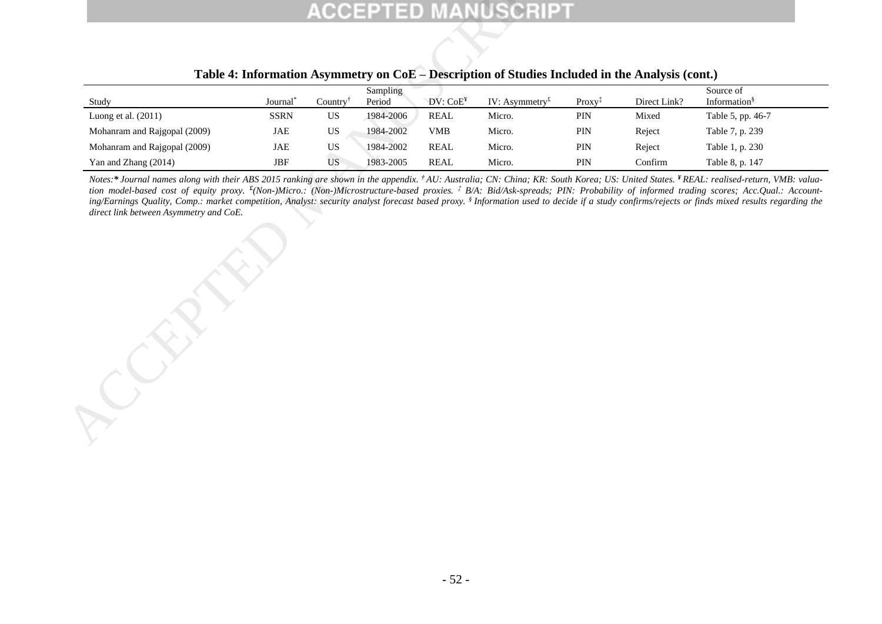|                                                                                                                                                                                                                                                                                                                                                                                                                                                                                                                                                                                                                                                                                                |                      |                                         |                    |                      | Table 4: Information Asymmetry on CoE – Description of Studies Included in the Analysis (cont.) |                                          |              |                                       |
|------------------------------------------------------------------------------------------------------------------------------------------------------------------------------------------------------------------------------------------------------------------------------------------------------------------------------------------------------------------------------------------------------------------------------------------------------------------------------------------------------------------------------------------------------------------------------------------------------------------------------------------------------------------------------------------------|----------------------|-----------------------------------------|--------------------|----------------------|-------------------------------------------------------------------------------------------------|------------------------------------------|--------------|---------------------------------------|
| Study                                                                                                                                                                                                                                                                                                                                                                                                                                                                                                                                                                                                                                                                                          | Journal <sup>*</sup> | Country <sup><math>\dagger</math></sup> | Sampling<br>Period | DV: CoE <sup>Y</sup> | IV: Asymmetry <sup><math>f</math></sup>                                                         | $Proxy$ <sup><math>\ddagger</math></sup> | Direct Link? | Source of<br>Information <sup>§</sup> |
| Luong et al. (2011)                                                                                                                                                                                                                                                                                                                                                                                                                                                                                                                                                                                                                                                                            | <b>SSRN</b>          | US                                      | 1984-2006          | <b>REAL</b>          | Micro.                                                                                          | PIN                                      | Mixed        | Table 5, pp. 46-7                     |
| Mohanram and Rajgopal (2009)                                                                                                                                                                                                                                                                                                                                                                                                                                                                                                                                                                                                                                                                   | <b>JAE</b>           | US                                      | 1984-2002          | <b>VMB</b>           | Micro.                                                                                          | PIN                                      | Reject       | Table 7, p. 239                       |
| Mohanram and Rajgopal (2009)                                                                                                                                                                                                                                                                                                                                                                                                                                                                                                                                                                                                                                                                   | <b>JAE</b>           | <b>US</b>                               | 1984-2002          | <b>REAL</b>          | Micro.                                                                                          | PIN                                      | Reject       | Table 1, p. 230                       |
|                                                                                                                                                                                                                                                                                                                                                                                                                                                                                                                                                                                                                                                                                                |                      |                                         |                    |                      |                                                                                                 |                                          |              |                                       |
| Yan and Zhang (2014)<br>Notes:* Journal names along with their ABS 2015 ranking are shown in the appendix. <sup>†</sup> AU: Australia; CN: China; KR: South Korea; US: United States. <sup>¥</sup> REAL: realised-return, VMB: valua-<br>tion model-based cost of equity proxy. <sup>£</sup> (Non-)Micro.: (Non-)Microstructure-based proxies. <sup>‡</sup> B/A: Bid/Ask-spreads; PIN: Probability of informed trading scores; Acc.Qual.: Account-<br>ing/Earnings Quality, Comp.: market competition, Analyst: security analyst forecast based proxy. § Information used to decide if a study confirms/rejects or finds mixed results regarding the<br>direct link between Asymmetry and CoE. | $\operatorname{JBF}$ | <b>US</b>                               | 1983-2005          | <b>REAL</b>          | Micro.                                                                                          | PIN                                      | Confirm      | Table 8, p. 147                       |
|                                                                                                                                                                                                                                                                                                                                                                                                                                                                                                                                                                                                                                                                                                |                      |                                         |                    |                      |                                                                                                 |                                          |              |                                       |

## **Table 4: Information Asymmetry on CoE – Description of Studies Included in the Analysis (cont.)**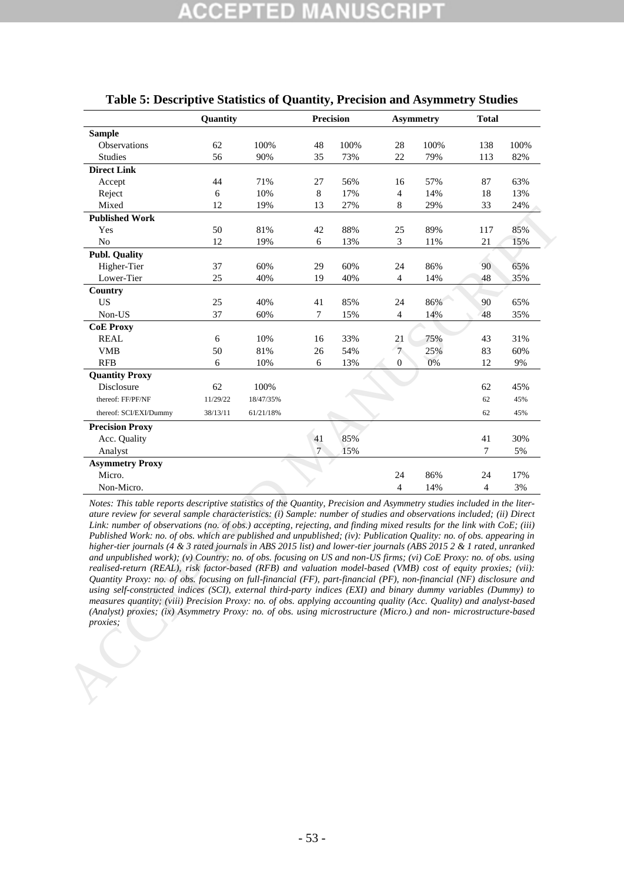|                                                                                                                                                                                                                                                                                                                                                                                                                                                                                                                                                                                                                                                                                                                                                                                                                                                                                                                                                                                                                                                                                                                                                                                                                                          | Quantity |           |        | <b>Precision</b> |                  | <b>Asymmetry</b> | <b>Total</b>   |       |
|------------------------------------------------------------------------------------------------------------------------------------------------------------------------------------------------------------------------------------------------------------------------------------------------------------------------------------------------------------------------------------------------------------------------------------------------------------------------------------------------------------------------------------------------------------------------------------------------------------------------------------------------------------------------------------------------------------------------------------------------------------------------------------------------------------------------------------------------------------------------------------------------------------------------------------------------------------------------------------------------------------------------------------------------------------------------------------------------------------------------------------------------------------------------------------------------------------------------------------------|----------|-----------|--------|------------------|------------------|------------------|----------------|-------|
| <b>Sample</b>                                                                                                                                                                                                                                                                                                                                                                                                                                                                                                                                                                                                                                                                                                                                                                                                                                                                                                                                                                                                                                                                                                                                                                                                                            |          |           |        |                  |                  |                  |                |       |
| Observations                                                                                                                                                                                                                                                                                                                                                                                                                                                                                                                                                                                                                                                                                                                                                                                                                                                                                                                                                                                                                                                                                                                                                                                                                             | 62       | 100%      | 48     | 100%             | 28               | 100%             | 138            | 100%  |
| <b>Studies</b>                                                                                                                                                                                                                                                                                                                                                                                                                                                                                                                                                                                                                                                                                                                                                                                                                                                                                                                                                                                                                                                                                                                                                                                                                           | 56       | 90%       | 35     | 73%              | $22\,$           | 79%              | 113            | 82%   |
| <b>Direct Link</b>                                                                                                                                                                                                                                                                                                                                                                                                                                                                                                                                                                                                                                                                                                                                                                                                                                                                                                                                                                                                                                                                                                                                                                                                                       |          |           |        |                  |                  |                  |                |       |
| Accept                                                                                                                                                                                                                                                                                                                                                                                                                                                                                                                                                                                                                                                                                                                                                                                                                                                                                                                                                                                                                                                                                                                                                                                                                                   | 44       | 71%       | 27     | 56%              | 16               | 57%              | 87             | 63%   |
| Reject                                                                                                                                                                                                                                                                                                                                                                                                                                                                                                                                                                                                                                                                                                                                                                                                                                                                                                                                                                                                                                                                                                                                                                                                                                   | 6        | 10%       | 8      | 17%              | $\overline{4}$   | 14%              | 18             | 13%   |
| Mixed                                                                                                                                                                                                                                                                                                                                                                                                                                                                                                                                                                                                                                                                                                                                                                                                                                                                                                                                                                                                                                                                                                                                                                                                                                    | 12       | 19%       | 13     | 27%              | 8                | 29%              | 33             | 24%   |
| <b>Published Work</b>                                                                                                                                                                                                                                                                                                                                                                                                                                                                                                                                                                                                                                                                                                                                                                                                                                                                                                                                                                                                                                                                                                                                                                                                                    |          |           |        |                  |                  |                  |                |       |
| Yes                                                                                                                                                                                                                                                                                                                                                                                                                                                                                                                                                                                                                                                                                                                                                                                                                                                                                                                                                                                                                                                                                                                                                                                                                                      | 50       | 81%       | 42     | 88%              | 25               | 89%              | 117            | 85%   |
| No                                                                                                                                                                                                                                                                                                                                                                                                                                                                                                                                                                                                                                                                                                                                                                                                                                                                                                                                                                                                                                                                                                                                                                                                                                       | 12       | 19%       | 6      | 13%              | 3                | 11%              | 21             | 15%   |
| <b>Publ. Quality</b>                                                                                                                                                                                                                                                                                                                                                                                                                                                                                                                                                                                                                                                                                                                                                                                                                                                                                                                                                                                                                                                                                                                                                                                                                     |          |           |        |                  |                  |                  |                |       |
| Higher-Tier                                                                                                                                                                                                                                                                                                                                                                                                                                                                                                                                                                                                                                                                                                                                                                                                                                                                                                                                                                                                                                                                                                                                                                                                                              | 37       | 60%       | 29     | 60%              | 24               | 86%              | 90             | 65%   |
| Lower-Tier                                                                                                                                                                                                                                                                                                                                                                                                                                                                                                                                                                                                                                                                                                                                                                                                                                                                                                                                                                                                                                                                                                                                                                                                                               | 25       | 40%       | 19     | 40%              | $\overline{4}$   | 14%              | 48             | 35%   |
| Country                                                                                                                                                                                                                                                                                                                                                                                                                                                                                                                                                                                                                                                                                                                                                                                                                                                                                                                                                                                                                                                                                                                                                                                                                                  |          |           |        |                  |                  |                  |                |       |
| <b>US</b>                                                                                                                                                                                                                                                                                                                                                                                                                                                                                                                                                                                                                                                                                                                                                                                                                                                                                                                                                                                                                                                                                                                                                                                                                                | 25       | 40%       | 41     | 85%              | 24               | 86%              | 90             | 65%   |
| Non-US                                                                                                                                                                                                                                                                                                                                                                                                                                                                                                                                                                                                                                                                                                                                                                                                                                                                                                                                                                                                                                                                                                                                                                                                                                   | 37       | 60%       | $\tau$ | 15%              | $\overline{4}$   | 14%              | 48             | 35%   |
| <b>CoE Proxy</b>                                                                                                                                                                                                                                                                                                                                                                                                                                                                                                                                                                                                                                                                                                                                                                                                                                                                                                                                                                                                                                                                                                                                                                                                                         |          |           |        |                  |                  |                  |                |       |
| <b>REAL</b>                                                                                                                                                                                                                                                                                                                                                                                                                                                                                                                                                                                                                                                                                                                                                                                                                                                                                                                                                                                                                                                                                                                                                                                                                              | 6        | 10%       | 16     | 33%              | 21               | 75%              | 43             | 31%   |
| <b>VMB</b>                                                                                                                                                                                                                                                                                                                                                                                                                                                                                                                                                                                                                                                                                                                                                                                                                                                                                                                                                                                                                                                                                                                                                                                                                               | 50       | 81%       | 26     | 54%              | 7                | 25%              | 83             | 60%   |
| <b>RFB</b>                                                                                                                                                                                                                                                                                                                                                                                                                                                                                                                                                                                                                                                                                                                                                                                                                                                                                                                                                                                                                                                                                                                                                                                                                               | 6        | 10%       | 6      | 13%              | $\boldsymbol{0}$ | 0%               | 12             | 9%    |
| <b>Quantity Proxy</b>                                                                                                                                                                                                                                                                                                                                                                                                                                                                                                                                                                                                                                                                                                                                                                                                                                                                                                                                                                                                                                                                                                                                                                                                                    |          |           |        |                  |                  |                  |                |       |
| Disclosure                                                                                                                                                                                                                                                                                                                                                                                                                                                                                                                                                                                                                                                                                                                                                                                                                                                                                                                                                                                                                                                                                                                                                                                                                               | 62       | 100%      |        |                  |                  |                  | 62             | 45%   |
| thereof: FF/PF/NF                                                                                                                                                                                                                                                                                                                                                                                                                                                                                                                                                                                                                                                                                                                                                                                                                                                                                                                                                                                                                                                                                                                                                                                                                        | 11/29/22 | 18/47/35% |        |                  |                  |                  | 62             | 45%   |
| thereof: SCI/EXI/Dummy                                                                                                                                                                                                                                                                                                                                                                                                                                                                                                                                                                                                                                                                                                                                                                                                                                                                                                                                                                                                                                                                                                                                                                                                                   | 38/13/11 | 61/21/18% |        |                  |                  |                  | 62             | 45%   |
| <b>Precision Proxy</b>                                                                                                                                                                                                                                                                                                                                                                                                                                                                                                                                                                                                                                                                                                                                                                                                                                                                                                                                                                                                                                                                                                                                                                                                                   |          |           |        |                  |                  |                  |                |       |
| Acc. Quality                                                                                                                                                                                                                                                                                                                                                                                                                                                                                                                                                                                                                                                                                                                                                                                                                                                                                                                                                                                                                                                                                                                                                                                                                             |          |           | 41     | 85%              |                  |                  | 41             | 30%   |
| Analyst                                                                                                                                                                                                                                                                                                                                                                                                                                                                                                                                                                                                                                                                                                                                                                                                                                                                                                                                                                                                                                                                                                                                                                                                                                  |          |           | $\tau$ | 15%              |                  |                  | 7              | 5%    |
| <b>Asymmetry Proxy</b>                                                                                                                                                                                                                                                                                                                                                                                                                                                                                                                                                                                                                                                                                                                                                                                                                                                                                                                                                                                                                                                                                                                                                                                                                   |          |           |        |                  |                  |                  |                |       |
| Micro.                                                                                                                                                                                                                                                                                                                                                                                                                                                                                                                                                                                                                                                                                                                                                                                                                                                                                                                                                                                                                                                                                                                                                                                                                                   |          |           |        |                  | 24               | 86%              | 24             | 17%   |
|                                                                                                                                                                                                                                                                                                                                                                                                                                                                                                                                                                                                                                                                                                                                                                                                                                                                                                                                                                                                                                                                                                                                                                                                                                          |          |           |        |                  |                  |                  |                |       |
| Non-Micro.<br>Notes: This table reports descriptive statistics of the Quantity, Precision and Asymmetry studies included in the liter-                                                                                                                                                                                                                                                                                                                                                                                                                                                                                                                                                                                                                                                                                                                                                                                                                                                                                                                                                                                                                                                                                                   |          |           |        |                  | $\overline{4}$   | 14%              | $\overline{4}$ | $3\%$ |
| ature review for several sample characteristics: (i) Sample: number of studies and observations included; (ii) Direct<br>Link: number of observations (no. of obs.) accepting, rejecting, and finding mixed results for the link with CoE; (iii)<br>Published Work: no. of obs. which are published and unpublished; (iv): Publication Quality: no. of obs. appearing in<br>higher-tier journals (4 & 3 rated journals in ABS 2015 list) and lower-tier journals (ABS 2015 2 & 1 rated, unranked<br>and unpublished work); (v) Country: no. of obs. focusing on US and non-US firms; (vi) CoE Proxy: no. of obs. using<br>realised-return (REAL), risk factor-based (RFB) and valuation model-based (VMB) cost of equity proxies; (vii):<br>Quantity Proxy: no. of obs. focusing on full-financial (FF), part-financial (PF), non-financial (NF) disclosure and<br>using self-constructed indices (SCI), external third-party indices (EXI) and binary dummy variables (Dummy) to<br>measures quantity; (viii) Precision Proxy: no. of obs. applying accounting quality (Acc. Quality) and analyst-based<br>(Analyst) proxies; (ix) Asymmetry Proxy: no. of obs. using microstructure (Micro.) and non- microstructure-based<br>proxies; |          |           |        |                  |                  |                  |                |       |
|                                                                                                                                                                                                                                                                                                                                                                                                                                                                                                                                                                                                                                                                                                                                                                                                                                                                                                                                                                                                                                                                                                                                                                                                                                          |          |           |        |                  |                  |                  |                |       |

## <span id="page-55-0"></span>**Table 5: Descriptive Statistics of Quantity, Precision and Asymmetry Studies**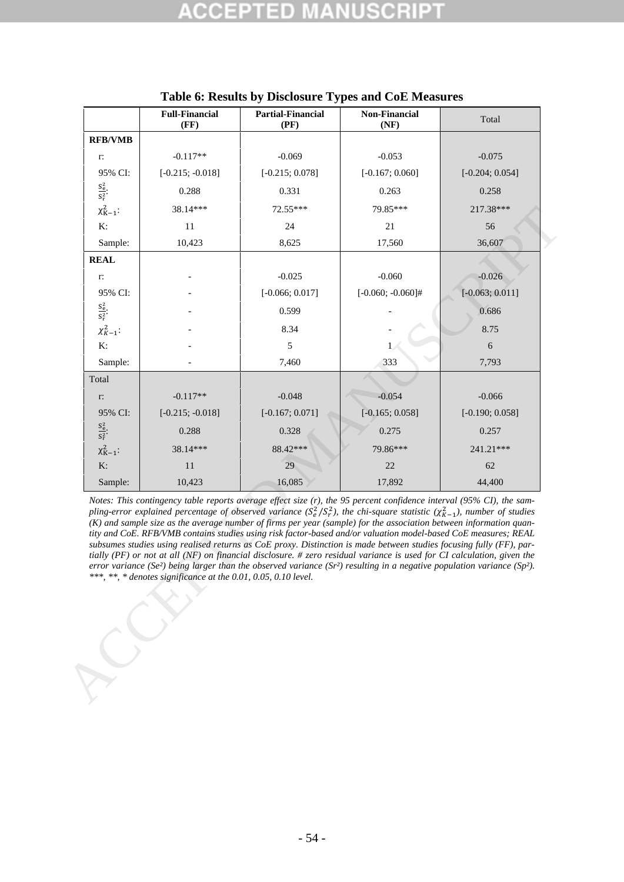<span id="page-56-0"></span>

|                         | <b>Full-Financial</b><br>(FF)                                  | <b>Partial-Financial</b><br>(PF)                                                                                                                                                                                                                                                                                                                                                                                                                                                                                                                                                                                                                                                                                                                                                                                                                                                                                            | <b>Non-Financial</b><br>(NF) | Total             |
|-------------------------|----------------------------------------------------------------|-----------------------------------------------------------------------------------------------------------------------------------------------------------------------------------------------------------------------------------------------------------------------------------------------------------------------------------------------------------------------------------------------------------------------------------------------------------------------------------------------------------------------------------------------------------------------------------------------------------------------------------------------------------------------------------------------------------------------------------------------------------------------------------------------------------------------------------------------------------------------------------------------------------------------------|------------------------------|-------------------|
| <b>RFB/VMB</b>          |                                                                |                                                                                                                                                                                                                                                                                                                                                                                                                                                                                                                                                                                                                                                                                                                                                                                                                                                                                                                             |                              |                   |
| r:                      | $-0.117**$                                                     | $-0.069$                                                                                                                                                                                                                                                                                                                                                                                                                                                                                                                                                                                                                                                                                                                                                                                                                                                                                                                    | $-0.053$                     | $-0.075$          |
| 95% CI:                 | $[-0.215; -0.018]$                                             | $[-0.215; 0.078]$                                                                                                                                                                                                                                                                                                                                                                                                                                                                                                                                                                                                                                                                                                                                                                                                                                                                                                           | $[-0.167; 0.060]$            | $[-0.204; 0.054]$ |
| $\frac{S_e^2}{S_r^2}$ . | 0.288                                                          | 0.331                                                                                                                                                                                                                                                                                                                                                                                                                                                                                                                                                                                                                                                                                                                                                                                                                                                                                                                       | 0.263                        | 0.258             |
| $\chi^2_{K-1}$ :        | 38.14***                                                       | 72.55***                                                                                                                                                                                                                                                                                                                                                                                                                                                                                                                                                                                                                                                                                                                                                                                                                                                                                                                    | 79.85***                     | 217.38***         |
| K:                      | 11                                                             | 24                                                                                                                                                                                                                                                                                                                                                                                                                                                                                                                                                                                                                                                                                                                                                                                                                                                                                                                          | 21                           | 56                |
| Sample:                 | 10,423                                                         | 8,625                                                                                                                                                                                                                                                                                                                                                                                                                                                                                                                                                                                                                                                                                                                                                                                                                                                                                                                       | 17,560                       | 36,607            |
| <b>REAL</b>             |                                                                |                                                                                                                                                                                                                                                                                                                                                                                                                                                                                                                                                                                                                                                                                                                                                                                                                                                                                                                             |                              |                   |
| r:                      |                                                                | $-0.025$                                                                                                                                                                                                                                                                                                                                                                                                                                                                                                                                                                                                                                                                                                                                                                                                                                                                                                                    | $-0.060$                     | $-0.026$          |
| 95% CI:                 |                                                                | $[-0.066; 0.017]$                                                                                                                                                                                                                                                                                                                                                                                                                                                                                                                                                                                                                                                                                                                                                                                                                                                                                                           | $[-0.060; -0.060]$ #         | $[-0.063; 0.011]$ |
| $\frac{S_e^2}{S_r^2}$   |                                                                | 0.599                                                                                                                                                                                                                                                                                                                                                                                                                                                                                                                                                                                                                                                                                                                                                                                                                                                                                                                       |                              | 0.686             |
| $\chi^2_{K-1}$ :        |                                                                | 8.34                                                                                                                                                                                                                                                                                                                                                                                                                                                                                                                                                                                                                                                                                                                                                                                                                                                                                                                        |                              | 8.75              |
| K:                      |                                                                | 5                                                                                                                                                                                                                                                                                                                                                                                                                                                                                                                                                                                                                                                                                                                                                                                                                                                                                                                           | $\mathbf{1}$                 | 6                 |
| Sample:                 |                                                                | 7,460                                                                                                                                                                                                                                                                                                                                                                                                                                                                                                                                                                                                                                                                                                                                                                                                                                                                                                                       | 333                          | 7,793             |
| Total                   |                                                                |                                                                                                                                                                                                                                                                                                                                                                                                                                                                                                                                                                                                                                                                                                                                                                                                                                                                                                                             |                              |                   |
| r:                      | $-0.117**$                                                     | $-0.048$                                                                                                                                                                                                                                                                                                                                                                                                                                                                                                                                                                                                                                                                                                                                                                                                                                                                                                                    | $-0.054$                     | $-0.066$          |
| 95% CI:                 | $[-0.215; -0.018]$                                             | $[-0.167; 0.071]$                                                                                                                                                                                                                                                                                                                                                                                                                                                                                                                                                                                                                                                                                                                                                                                                                                                                                                           | $[-0.165; 0.058]$            | $[-0.190; 0.058]$ |
| $\frac{S_e^2}{S_r^2}$ . | 0.288                                                          | 0.328                                                                                                                                                                                                                                                                                                                                                                                                                                                                                                                                                                                                                                                                                                                                                                                                                                                                                                                       | 0.275                        | 0.257             |
| $\chi^2_{K-1}$ :        | 38.14***                                                       | 88.42***                                                                                                                                                                                                                                                                                                                                                                                                                                                                                                                                                                                                                                                                                                                                                                                                                                                                                                                    | 79.86***                     | 241.21***         |
| K:                      | 11                                                             | 29                                                                                                                                                                                                                                                                                                                                                                                                                                                                                                                                                                                                                                                                                                                                                                                                                                                                                                                          | 22                           | 62                |
| Sample:                 | 10,423                                                         | 16,085                                                                                                                                                                                                                                                                                                                                                                                                                                                                                                                                                                                                                                                                                                                                                                                                                                                                                                                      | 17,892                       | 44,400            |
|                         | ***, **, * denotes significance at the 0.01, 0.05, 0.10 level. | Notes: This contingency table reports average effect size $(r)$ , the 95 percent confidence interval (95% CI), the sam-<br>pling-error explained percentage of observed variance $(S_e^2/S_r^2)$ , the chi-square statistic $(\chi^2_{K-1})$ , number of studies<br>$(K)$ and sample size as the average number of firms per year (sample) for the association between information quan-<br>tity and CoE. RFB/VMB contains studies using risk factor-based and/or valuation model-based CoE measures; REAL<br>subsumes studies using realised returns as CoE proxy. Distinction is made between studies focusing fully (FF), par-<br>tially (PF) or not at all (NF) on financial disclosure. # zero residual variance is used for CI calculation, given the<br>error variance (Se <sup>2</sup> ) being larger than the observed variance (Sr <sup>2</sup> ) resulting in a negative population variance (Sp <sup>2</sup> ). |                              |                   |
|                         |                                                                |                                                                                                                                                                                                                                                                                                                                                                                                                                                                                                                                                                                                                                                                                                                                                                                                                                                                                                                             |                              |                   |

|  |  |  | Table 6: Results by Disclosure Types and CoE Measures |
|--|--|--|-------------------------------------------------------|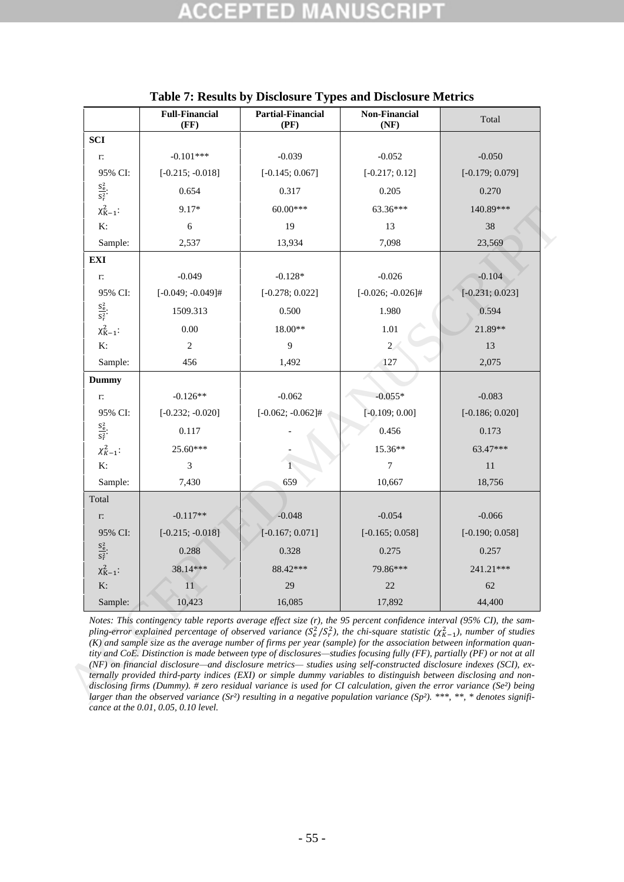<span id="page-57-0"></span>

|                         | <b>Full-Financial</b><br>(FF) | <b>Partial-Financial</b><br>(PF) | <b>Non-Financial</b><br>(NF)                                                                                                                                                                                                                                                                                                                                                                                                                                                                                                                                                                                                                                                                                                                                                                                                                                                                                                                                                                                                                       | Total             |
|-------------------------|-------------------------------|----------------------------------|----------------------------------------------------------------------------------------------------------------------------------------------------------------------------------------------------------------------------------------------------------------------------------------------------------------------------------------------------------------------------------------------------------------------------------------------------------------------------------------------------------------------------------------------------------------------------------------------------------------------------------------------------------------------------------------------------------------------------------------------------------------------------------------------------------------------------------------------------------------------------------------------------------------------------------------------------------------------------------------------------------------------------------------------------|-------------------|
| <b>SCI</b>              |                               |                                  |                                                                                                                                                                                                                                                                                                                                                                                                                                                                                                                                                                                                                                                                                                                                                                                                                                                                                                                                                                                                                                                    |                   |
| $\Gamma$                | $-0.101***$                   | $-0.039$                         | $-0.052$                                                                                                                                                                                                                                                                                                                                                                                                                                                                                                                                                                                                                                                                                                                                                                                                                                                                                                                                                                                                                                           | $-0.050$          |
| 95% CI:                 | $[-0.215; -0.018]$            | $[-0.145; 0.067]$                | $[-0.217; 0.12]$                                                                                                                                                                                                                                                                                                                                                                                                                                                                                                                                                                                                                                                                                                                                                                                                                                                                                                                                                                                                                                   | $[-0.179; 0.079]$ |
| $\frac{S_e^2}{S_r^2}$   | 0.654                         | 0.317                            | 0.205                                                                                                                                                                                                                                                                                                                                                                                                                                                                                                                                                                                                                                                                                                                                                                                                                                                                                                                                                                                                                                              | 0.270             |
| $\chi^2_{K-1}$ :        | 9.17*                         | 60.00***                         | 63.36***                                                                                                                                                                                                                                                                                                                                                                                                                                                                                                                                                                                                                                                                                                                                                                                                                                                                                                                                                                                                                                           | 140.89***         |
| K:                      | 6                             | 19                               | 13                                                                                                                                                                                                                                                                                                                                                                                                                                                                                                                                                                                                                                                                                                                                                                                                                                                                                                                                                                                                                                                 | 38                |
| Sample:                 | 2,537                         | 13,934                           | 7,098                                                                                                                                                                                                                                                                                                                                                                                                                                                                                                                                                                                                                                                                                                                                                                                                                                                                                                                                                                                                                                              | 23,569            |
| <b>EXI</b>              |                               |                                  |                                                                                                                                                                                                                                                                                                                                                                                                                                                                                                                                                                                                                                                                                                                                                                                                                                                                                                                                                                                                                                                    |                   |
| $\Gamma.$               | $-0.049$                      | $-0.128*$                        | $-0.026$                                                                                                                                                                                                                                                                                                                                                                                                                                                                                                                                                                                                                                                                                                                                                                                                                                                                                                                                                                                                                                           | $-0.104$          |
| 95% CI:                 | $[-0.049; -0.049]$ #          | $[-0.278; 0.022]$                | $[-0.026; -0.026]$ #                                                                                                                                                                                                                                                                                                                                                                                                                                                                                                                                                                                                                                                                                                                                                                                                                                                                                                                                                                                                                               | $[-0.231; 0.023]$ |
| $\frac{S_e^2}{S_r^2}$   | 1509.313                      | 0.500                            | 1.980                                                                                                                                                                                                                                                                                                                                                                                                                                                                                                                                                                                                                                                                                                                                                                                                                                                                                                                                                                                                                                              | 0.594             |
| $\chi^2_{K-1}$ :        | 0.00                          | 18.00**                          | 1.01                                                                                                                                                                                                                                                                                                                                                                                                                                                                                                                                                                                                                                                                                                                                                                                                                                                                                                                                                                                                                                               | 21.89**           |
| K:                      | $\overline{c}$                | 9                                | $\overline{2}$                                                                                                                                                                                                                                                                                                                                                                                                                                                                                                                                                                                                                                                                                                                                                                                                                                                                                                                                                                                                                                     | 13                |
| Sample:                 | 456                           | 1,492                            | 127                                                                                                                                                                                                                                                                                                                                                                                                                                                                                                                                                                                                                                                                                                                                                                                                                                                                                                                                                                                                                                                | 2,075             |
| <b>Dummy</b>            |                               |                                  |                                                                                                                                                                                                                                                                                                                                                                                                                                                                                                                                                                                                                                                                                                                                                                                                                                                                                                                                                                                                                                                    |                   |
| r:                      | $-0.126**$                    | $-0.062$                         | $-0.055*$                                                                                                                                                                                                                                                                                                                                                                                                                                                                                                                                                                                                                                                                                                                                                                                                                                                                                                                                                                                                                                          | $-0.083$          |
| 95% CI:                 | $[-0.232; -0.020]$            | $[-0.062; -0.062]$ #             | $[-0.109; 0.00]$                                                                                                                                                                                                                                                                                                                                                                                                                                                                                                                                                                                                                                                                                                                                                                                                                                                                                                                                                                                                                                   | $[-0.186; 0.020]$ |
| $\frac{S_e^2}{S_r^2}$ . | 0.117                         |                                  | 0.456                                                                                                                                                                                                                                                                                                                                                                                                                                                                                                                                                                                                                                                                                                                                                                                                                                                                                                                                                                                                                                              | 0.173             |
| $\chi^2_{K-1}$ :        | 25.60***                      |                                  | 15.36**                                                                                                                                                                                                                                                                                                                                                                                                                                                                                                                                                                                                                                                                                                                                                                                                                                                                                                                                                                                                                                            | 63.47***          |
| K:                      | 3                             |                                  | 7                                                                                                                                                                                                                                                                                                                                                                                                                                                                                                                                                                                                                                                                                                                                                                                                                                                                                                                                                                                                                                                  | 11                |
| Sample:                 | 7,430                         | 659                              | 10,667                                                                                                                                                                                                                                                                                                                                                                                                                                                                                                                                                                                                                                                                                                                                                                                                                                                                                                                                                                                                                                             | 18,756            |
| Total                   |                               |                                  |                                                                                                                                                                                                                                                                                                                                                                                                                                                                                                                                                                                                                                                                                                                                                                                                                                                                                                                                                                                                                                                    |                   |
| r:                      | $-0.117**$                    | $-0.048$                         | $-0.054$                                                                                                                                                                                                                                                                                                                                                                                                                                                                                                                                                                                                                                                                                                                                                                                                                                                                                                                                                                                                                                           | $-0.066$          |
| 95% CI:                 | $[-0.215; -0.018]$            | $[-0.167; 0.071]$                | $[-0.165; 0.058]$                                                                                                                                                                                                                                                                                                                                                                                                                                                                                                                                                                                                                                                                                                                                                                                                                                                                                                                                                                                                                                  | $[-0.190; 0.058]$ |
| $\frac{S_e^2}{S_r^2}$   | 0.288                         | 0.328                            | 0.275                                                                                                                                                                                                                                                                                                                                                                                                                                                                                                                                                                                                                                                                                                                                                                                                                                                                                                                                                                                                                                              | 0.257             |
| $\chi^2_{K-1}$ :        | 38.14***                      | 88.42***                         | 79.86***                                                                                                                                                                                                                                                                                                                                                                                                                                                                                                                                                                                                                                                                                                                                                                                                                                                                                                                                                                                                                                           | 241.21***         |
| K:                      | 11                            | 29                               | 22                                                                                                                                                                                                                                                                                                                                                                                                                                                                                                                                                                                                                                                                                                                                                                                                                                                                                                                                                                                                                                                 | 62                |
| Sample:                 | 10,423                        | 16,085                           | 17,892                                                                                                                                                                                                                                                                                                                                                                                                                                                                                                                                                                                                                                                                                                                                                                                                                                                                                                                                                                                                                                             | 44,400            |
|                         |                               |                                  | Notes: This contingency table reports average effect size $(r)$ , the 95 percent confidence interval (95% CI), the sam-<br>pling-error explained percentage of observed variance $(S_e^2/S_r^2)$ , the chi-square statistic $(\chi_{K-1}^2)$ , number of studies<br>(K) and sample size as the average number of firms per year (sample) for the association between information quan-<br>tity and CoE. Distinction is made between type of disclosures—studies focusing fully (FF), partially (PF) or not at all<br>(NF) on financial disclosure—and disclosure metrics— studies using self-constructed disclosure indexes (SCI), ex-<br>ternally provided third-party indices (EXI) or simple dummy variables to distinguish between disclosing and non-<br>disclosing firms (Dummy). # zero residual variance is used for CI calculation, given the error variance (Se <sup>2</sup> ) being<br>larger than the observed variance (Sr <sup>2</sup> ) resulting in a negative population variance (Sp <sup>2</sup> ). ***, **, * denotes signifi- |                   |

**Table 7: Results by Disclosure Types and Disclosure Metrics**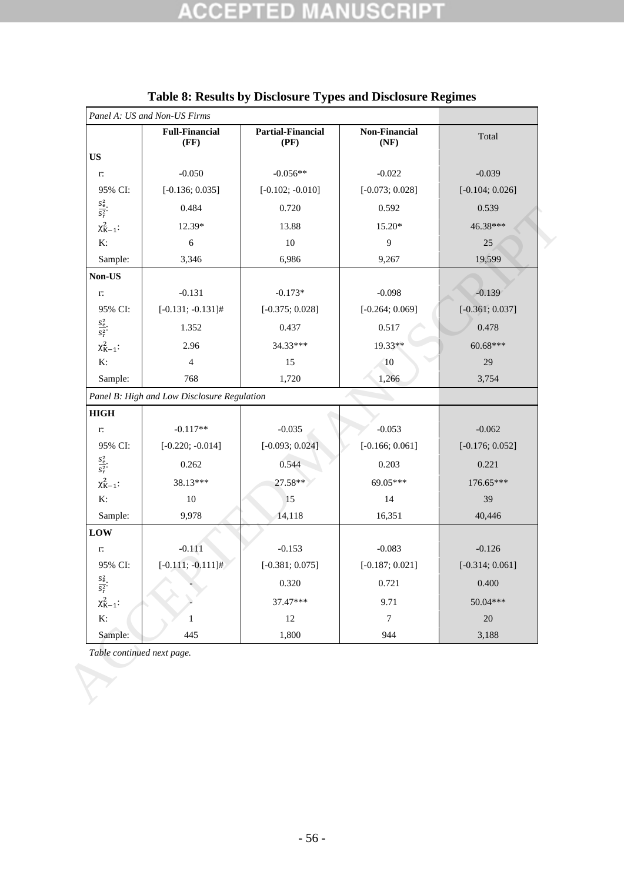<span id="page-58-0"></span>

| <b>US</b><br>$-0.050$<br>$-0.056**$<br>$-0.022$<br>$-0.039$<br>r:<br>95% CI:<br>$[-0.136;0.035]$<br>$[-0.102; -0.010]$<br>$[-0.073; 0.028]$<br>$\frac{S_e^2}{S_r^2}$<br>0.484<br>0.720<br>0.592<br>0.539<br>$\chi^2_{K-1}$ :<br>12.39*<br>13.88<br>15.20*<br>K:<br>$\sqrt{6}$<br>9<br>$10\,$<br>25<br>Sample:<br>6,986<br>19,599<br>3,346<br>9,267<br>Non-US<br>$-0.131$<br>$-0.173*$<br>$-0.098$<br>$-0.139$<br>r:<br>95% CI:<br>$[-0.131; -0.131]$ #<br>$[-0.264;0.069]$<br>$[-0.375; 0.028]$<br>$\frac{S_e^2}{S_r^2}$<br>0.437<br>0.517<br>0.478<br>1.352<br>$\chi^2_{K-1}$ :<br>19.33**<br>34.33***<br>2.96<br>K:<br>$\overline{4}$<br>15<br><b>10</b><br>29<br>1,266<br>Sample:<br>768<br>1,720<br>3,754<br>Panel B: High and Low Disclosure Regulation<br><b>HIGH</b><br>$-0.117**$<br>$-0.035$<br>$-0.053$<br>$-0.062$<br>r:<br>95% CI:<br>$[-0.220; -0.014]$<br>$[-0.093; 0.024]$<br>$[-0.166; 0.061]$<br>$\frac{S_e^2}{S_r^2}$<br>0.544<br>0.262<br>0.203<br>0.221<br>$\chi^2_{K-1}$ :<br>38.13***<br>27.58**<br>69.05***<br>K:<br>10<br>15<br>14<br>39<br>Sample:<br>9,978<br>14,118<br>40,446<br>16,351<br>LOW<br>$-0.111$<br>$-0.153$<br>$-0.083$<br>$-0.126$<br>r:<br>$[-0.111; -0.111]$ #<br>95% CI:<br>$[-0.381; 0.075]$<br>$[-0.187; 0.021]$<br>$\frac{S_e^2}{S_r^2}$<br>0.320<br>0.721<br>0.400<br>$\chi^2_{K-1}$ :<br>37.47***<br>9.71<br>K:<br>$\boldsymbol{7}$<br>$20\,$<br>12<br>1<br>1,800<br>445<br>944<br>3,188 |         | <b>Full-Financial</b><br>(FF) | <b>Partial-Financial</b><br>(PF) | Non-Financial<br>(NF) | Total             |
|-----------------------------------------------------------------------------------------------------------------------------------------------------------------------------------------------------------------------------------------------------------------------------------------------------------------------------------------------------------------------------------------------------------------------------------------------------------------------------------------------------------------------------------------------------------------------------------------------------------------------------------------------------------------------------------------------------------------------------------------------------------------------------------------------------------------------------------------------------------------------------------------------------------------------------------------------------------------------------------------------------------------------------------------------------------------------------------------------------------------------------------------------------------------------------------------------------------------------------------------------------------------------------------------------------------------------------------------------------------------------------------------------------------------------------------------|---------|-------------------------------|----------------------------------|-----------------------|-------------------|
|                                                                                                                                                                                                                                                                                                                                                                                                                                                                                                                                                                                                                                                                                                                                                                                                                                                                                                                                                                                                                                                                                                                                                                                                                                                                                                                                                                                                                                         |         |                               |                                  |                       |                   |
|                                                                                                                                                                                                                                                                                                                                                                                                                                                                                                                                                                                                                                                                                                                                                                                                                                                                                                                                                                                                                                                                                                                                                                                                                                                                                                                                                                                                                                         |         |                               |                                  |                       |                   |
|                                                                                                                                                                                                                                                                                                                                                                                                                                                                                                                                                                                                                                                                                                                                                                                                                                                                                                                                                                                                                                                                                                                                                                                                                                                                                                                                                                                                                                         |         |                               |                                  |                       | $[-0.104; 0.026]$ |
|                                                                                                                                                                                                                                                                                                                                                                                                                                                                                                                                                                                                                                                                                                                                                                                                                                                                                                                                                                                                                                                                                                                                                                                                                                                                                                                                                                                                                                         |         |                               |                                  |                       |                   |
|                                                                                                                                                                                                                                                                                                                                                                                                                                                                                                                                                                                                                                                                                                                                                                                                                                                                                                                                                                                                                                                                                                                                                                                                                                                                                                                                                                                                                                         |         |                               |                                  |                       | 46.38***          |
|                                                                                                                                                                                                                                                                                                                                                                                                                                                                                                                                                                                                                                                                                                                                                                                                                                                                                                                                                                                                                                                                                                                                                                                                                                                                                                                                                                                                                                         |         |                               |                                  |                       |                   |
|                                                                                                                                                                                                                                                                                                                                                                                                                                                                                                                                                                                                                                                                                                                                                                                                                                                                                                                                                                                                                                                                                                                                                                                                                                                                                                                                                                                                                                         |         |                               |                                  |                       |                   |
|                                                                                                                                                                                                                                                                                                                                                                                                                                                                                                                                                                                                                                                                                                                                                                                                                                                                                                                                                                                                                                                                                                                                                                                                                                                                                                                                                                                                                                         |         |                               |                                  |                       |                   |
|                                                                                                                                                                                                                                                                                                                                                                                                                                                                                                                                                                                                                                                                                                                                                                                                                                                                                                                                                                                                                                                                                                                                                                                                                                                                                                                                                                                                                                         |         |                               |                                  |                       |                   |
|                                                                                                                                                                                                                                                                                                                                                                                                                                                                                                                                                                                                                                                                                                                                                                                                                                                                                                                                                                                                                                                                                                                                                                                                                                                                                                                                                                                                                                         |         |                               |                                  |                       | $[-0.361; 0.037]$ |
|                                                                                                                                                                                                                                                                                                                                                                                                                                                                                                                                                                                                                                                                                                                                                                                                                                                                                                                                                                                                                                                                                                                                                                                                                                                                                                                                                                                                                                         |         |                               |                                  |                       |                   |
|                                                                                                                                                                                                                                                                                                                                                                                                                                                                                                                                                                                                                                                                                                                                                                                                                                                                                                                                                                                                                                                                                                                                                                                                                                                                                                                                                                                                                                         |         |                               |                                  |                       | $60.68***$        |
|                                                                                                                                                                                                                                                                                                                                                                                                                                                                                                                                                                                                                                                                                                                                                                                                                                                                                                                                                                                                                                                                                                                                                                                                                                                                                                                                                                                                                                         |         |                               |                                  |                       |                   |
|                                                                                                                                                                                                                                                                                                                                                                                                                                                                                                                                                                                                                                                                                                                                                                                                                                                                                                                                                                                                                                                                                                                                                                                                                                                                                                                                                                                                                                         |         |                               |                                  |                       |                   |
|                                                                                                                                                                                                                                                                                                                                                                                                                                                                                                                                                                                                                                                                                                                                                                                                                                                                                                                                                                                                                                                                                                                                                                                                                                                                                                                                                                                                                                         |         |                               |                                  |                       |                   |
|                                                                                                                                                                                                                                                                                                                                                                                                                                                                                                                                                                                                                                                                                                                                                                                                                                                                                                                                                                                                                                                                                                                                                                                                                                                                                                                                                                                                                                         |         |                               |                                  |                       |                   |
|                                                                                                                                                                                                                                                                                                                                                                                                                                                                                                                                                                                                                                                                                                                                                                                                                                                                                                                                                                                                                                                                                                                                                                                                                                                                                                                                                                                                                                         |         |                               |                                  |                       |                   |
|                                                                                                                                                                                                                                                                                                                                                                                                                                                                                                                                                                                                                                                                                                                                                                                                                                                                                                                                                                                                                                                                                                                                                                                                                                                                                                                                                                                                                                         |         |                               |                                  |                       | $[-0.176; 0.052]$ |
|                                                                                                                                                                                                                                                                                                                                                                                                                                                                                                                                                                                                                                                                                                                                                                                                                                                                                                                                                                                                                                                                                                                                                                                                                                                                                                                                                                                                                                         |         |                               |                                  |                       |                   |
|                                                                                                                                                                                                                                                                                                                                                                                                                                                                                                                                                                                                                                                                                                                                                                                                                                                                                                                                                                                                                                                                                                                                                                                                                                                                                                                                                                                                                                         |         |                               |                                  |                       | 176.65***         |
|                                                                                                                                                                                                                                                                                                                                                                                                                                                                                                                                                                                                                                                                                                                                                                                                                                                                                                                                                                                                                                                                                                                                                                                                                                                                                                                                                                                                                                         |         |                               |                                  |                       |                   |
|                                                                                                                                                                                                                                                                                                                                                                                                                                                                                                                                                                                                                                                                                                                                                                                                                                                                                                                                                                                                                                                                                                                                                                                                                                                                                                                                                                                                                                         |         |                               |                                  |                       |                   |
|                                                                                                                                                                                                                                                                                                                                                                                                                                                                                                                                                                                                                                                                                                                                                                                                                                                                                                                                                                                                                                                                                                                                                                                                                                                                                                                                                                                                                                         |         |                               |                                  |                       |                   |
|                                                                                                                                                                                                                                                                                                                                                                                                                                                                                                                                                                                                                                                                                                                                                                                                                                                                                                                                                                                                                                                                                                                                                                                                                                                                                                                                                                                                                                         |         |                               |                                  |                       |                   |
|                                                                                                                                                                                                                                                                                                                                                                                                                                                                                                                                                                                                                                                                                                                                                                                                                                                                                                                                                                                                                                                                                                                                                                                                                                                                                                                                                                                                                                         |         |                               |                                  |                       | $[-0.314; 0.061]$ |
|                                                                                                                                                                                                                                                                                                                                                                                                                                                                                                                                                                                                                                                                                                                                                                                                                                                                                                                                                                                                                                                                                                                                                                                                                                                                                                                                                                                                                                         |         |                               |                                  |                       |                   |
|                                                                                                                                                                                                                                                                                                                                                                                                                                                                                                                                                                                                                                                                                                                                                                                                                                                                                                                                                                                                                                                                                                                                                                                                                                                                                                                                                                                                                                         |         |                               |                                  |                       | 50.04***          |
|                                                                                                                                                                                                                                                                                                                                                                                                                                                                                                                                                                                                                                                                                                                                                                                                                                                                                                                                                                                                                                                                                                                                                                                                                                                                                                                                                                                                                                         |         |                               |                                  |                       |                   |
|                                                                                                                                                                                                                                                                                                                                                                                                                                                                                                                                                                                                                                                                                                                                                                                                                                                                                                                                                                                                                                                                                                                                                                                                                                                                                                                                                                                                                                         | Sample: |                               |                                  |                       |                   |
| Table continued next page.                                                                                                                                                                                                                                                                                                                                                                                                                                                                                                                                                                                                                                                                                                                                                                                                                                                                                                                                                                                                                                                                                                                                                                                                                                                                                                                                                                                                              |         |                               |                                  |                       |                   |

## **Table 8: Results by Disclosure Types and Disclosure Regimes**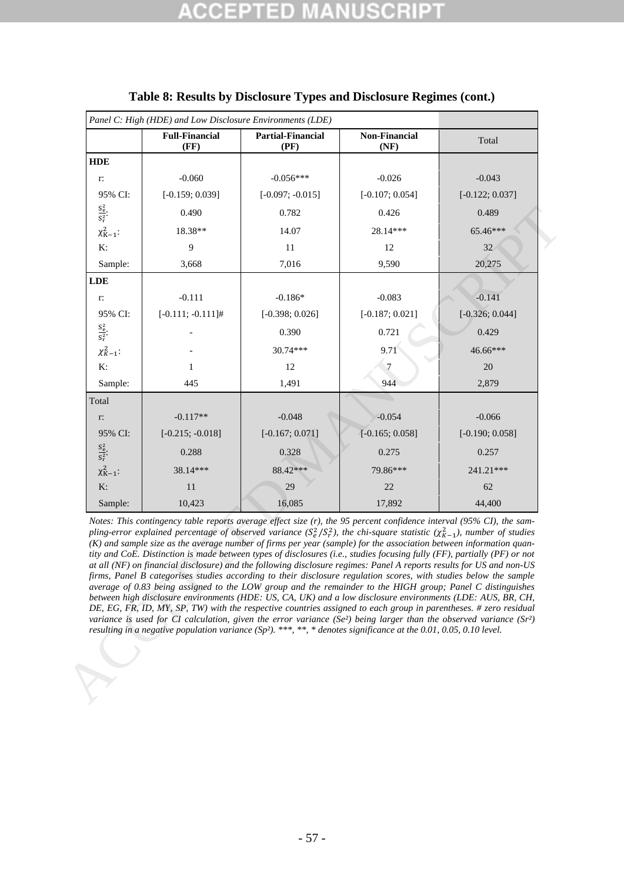|                         | <b>Full-Financial</b><br>(FF)                                                                                                                                                                                                                                                                                                                                                                                                                                                                                                                                                                                                                                                                                                                                                                                                                                                                                                                                                                                                                                                                                                                                                                                                                                                                                                                                                            | <b>Partial-Financial</b><br>(PF) | <b>Non-Financial</b><br>(NF) | Total             |
|-------------------------|------------------------------------------------------------------------------------------------------------------------------------------------------------------------------------------------------------------------------------------------------------------------------------------------------------------------------------------------------------------------------------------------------------------------------------------------------------------------------------------------------------------------------------------------------------------------------------------------------------------------------------------------------------------------------------------------------------------------------------------------------------------------------------------------------------------------------------------------------------------------------------------------------------------------------------------------------------------------------------------------------------------------------------------------------------------------------------------------------------------------------------------------------------------------------------------------------------------------------------------------------------------------------------------------------------------------------------------------------------------------------------------|----------------------------------|------------------------------|-------------------|
| <b>HDE</b>              |                                                                                                                                                                                                                                                                                                                                                                                                                                                                                                                                                                                                                                                                                                                                                                                                                                                                                                                                                                                                                                                                                                                                                                                                                                                                                                                                                                                          |                                  |                              |                   |
| r:                      | $-0.060$                                                                                                                                                                                                                                                                                                                                                                                                                                                                                                                                                                                                                                                                                                                                                                                                                                                                                                                                                                                                                                                                                                                                                                                                                                                                                                                                                                                 | $-0.056***$                      | $-0.026$                     | $-0.043$          |
| 95% CI:                 | $[-0.159; 0.039]$                                                                                                                                                                                                                                                                                                                                                                                                                                                                                                                                                                                                                                                                                                                                                                                                                                                                                                                                                                                                                                                                                                                                                                                                                                                                                                                                                                        | $[-0.097; -0.015]$               | $[-0.107; 0.054]$            | $[-0.122; 0.037]$ |
| $\frac{S_e^2}{S_r^2}$ . | 0.490                                                                                                                                                                                                                                                                                                                                                                                                                                                                                                                                                                                                                                                                                                                                                                                                                                                                                                                                                                                                                                                                                                                                                                                                                                                                                                                                                                                    | 0.782                            | 0.426                        | 0.489             |
| $\chi^2_{K-1}$ :        | 18.38**                                                                                                                                                                                                                                                                                                                                                                                                                                                                                                                                                                                                                                                                                                                                                                                                                                                                                                                                                                                                                                                                                                                                                                                                                                                                                                                                                                                  | 14.07                            | 28.14***                     | 65.46***          |
| K:                      | 9                                                                                                                                                                                                                                                                                                                                                                                                                                                                                                                                                                                                                                                                                                                                                                                                                                                                                                                                                                                                                                                                                                                                                                                                                                                                                                                                                                                        | 11                               | 12                           | 32                |
| Sample:                 | 3,668                                                                                                                                                                                                                                                                                                                                                                                                                                                                                                                                                                                                                                                                                                                                                                                                                                                                                                                                                                                                                                                                                                                                                                                                                                                                                                                                                                                    | 7,016                            | 9,590                        | 20,275            |
| <b>LDE</b>              |                                                                                                                                                                                                                                                                                                                                                                                                                                                                                                                                                                                                                                                                                                                                                                                                                                                                                                                                                                                                                                                                                                                                                                                                                                                                                                                                                                                          |                                  |                              |                   |
| r:                      | $-0.111$                                                                                                                                                                                                                                                                                                                                                                                                                                                                                                                                                                                                                                                                                                                                                                                                                                                                                                                                                                                                                                                                                                                                                                                                                                                                                                                                                                                 | $-0.186*$                        | $-0.083$                     | $-0.141$          |
| 95% CI:                 | $[-0.111; -0.111]$ #                                                                                                                                                                                                                                                                                                                                                                                                                                                                                                                                                                                                                                                                                                                                                                                                                                                                                                                                                                                                                                                                                                                                                                                                                                                                                                                                                                     | $[-0.398; 0.026]$                | $[-0.187; 0.021]$            | $[-0.326; 0.044]$ |
| $\frac{S_e^2}{S_r^2}$ . |                                                                                                                                                                                                                                                                                                                                                                                                                                                                                                                                                                                                                                                                                                                                                                                                                                                                                                                                                                                                                                                                                                                                                                                                                                                                                                                                                                                          | 0.390                            | 0.721                        | 0.429             |
| $\chi^2_{K-1}$ :        |                                                                                                                                                                                                                                                                                                                                                                                                                                                                                                                                                                                                                                                                                                                                                                                                                                                                                                                                                                                                                                                                                                                                                                                                                                                                                                                                                                                          | 30.74***                         | 9.71                         | 46.66***          |
| K:                      | 1                                                                                                                                                                                                                                                                                                                                                                                                                                                                                                                                                                                                                                                                                                                                                                                                                                                                                                                                                                                                                                                                                                                                                                                                                                                                                                                                                                                        | 12                               | $\tau$                       | $20\,$            |
| Sample:                 | 445                                                                                                                                                                                                                                                                                                                                                                                                                                                                                                                                                                                                                                                                                                                                                                                                                                                                                                                                                                                                                                                                                                                                                                                                                                                                                                                                                                                      | 1,491                            | 944                          | 2,879             |
| Total                   |                                                                                                                                                                                                                                                                                                                                                                                                                                                                                                                                                                                                                                                                                                                                                                                                                                                                                                                                                                                                                                                                                                                                                                                                                                                                                                                                                                                          |                                  |                              |                   |
| $\Gamma$                | $-0.117**$                                                                                                                                                                                                                                                                                                                                                                                                                                                                                                                                                                                                                                                                                                                                                                                                                                                                                                                                                                                                                                                                                                                                                                                                                                                                                                                                                                               | $-0.048$                         | $-0.054$                     | $-0.066$          |
| 95% CI:                 | $[-0.215; -0.018]$                                                                                                                                                                                                                                                                                                                                                                                                                                                                                                                                                                                                                                                                                                                                                                                                                                                                                                                                                                                                                                                                                                                                                                                                                                                                                                                                                                       | $[-0.167; 0.071]$                | $[-0.165; 0.058]$            | $[-0.190; 0.058]$ |
| $\frac{S_e^2}{S_r^2}$ . | 0.288                                                                                                                                                                                                                                                                                                                                                                                                                                                                                                                                                                                                                                                                                                                                                                                                                                                                                                                                                                                                                                                                                                                                                                                                                                                                                                                                                                                    | 0.328                            | 0.275                        | 0.257             |
| $\chi^2_{K-1}$ :        | 38.14***                                                                                                                                                                                                                                                                                                                                                                                                                                                                                                                                                                                                                                                                                                                                                                                                                                                                                                                                                                                                                                                                                                                                                                                                                                                                                                                                                                                 | 88.42***                         | 79.86***                     | 241.21***         |
| K:                      | 11                                                                                                                                                                                                                                                                                                                                                                                                                                                                                                                                                                                                                                                                                                                                                                                                                                                                                                                                                                                                                                                                                                                                                                                                                                                                                                                                                                                       | 29                               | 22                           | 62                |
| Sample:                 | 10,423                                                                                                                                                                                                                                                                                                                                                                                                                                                                                                                                                                                                                                                                                                                                                                                                                                                                                                                                                                                                                                                                                                                                                                                                                                                                                                                                                                                   | 16,085                           | 17,892                       | 44,400            |
|                         | Notes: This contingency table reports average effect size $(r)$ , the 95 percent confidence interval (95% CI), the sam-<br>pling-error explained percentage of observed variance $(S_e^2/S_r^2)$ , the chi-square statistic $(\chi_{K-1}^2)$ , number of studies<br>(K) and sample size as the average number of firms per year (sample) for the association between information quan-<br>tity and CoE. Distinction is made between types of disclosures (i.e., studies focusing fully (FF), partially (PF) or not<br>at all (NF) on financial disclosure) and the following disclosure regimes: Panel A reports results for US and non-US<br>firms, Panel B categorises studies according to their disclosure regulation scores, with studies below the sample<br>average of 0.83 being assigned to the LOW group and the remainder to the HIGH group; Panel C distinguishes<br>between high disclosure environments (HDE: US, CA, UK) and a low disclosure environments (LDE: AUS, BR, CH,<br>DE, EG, FR, ID, MY, SP, TW) with the respective countries assigned to each group in parentheses. # zero residual<br>variance is used for CI calculation, given the error variance (Se <sup>2</sup> ) being larger than the observed variance (Sr <sup>2</sup> )<br>resulting in a negative population variance $(Sp^2)$ . ***, **, * denotes significance at the 0.01, 0.05, 0.10 level. |                                  |                              |                   |

## **Table 8: [Results by Disclosure Types](#page-58-0) and Disclosure Regimes (cont.)**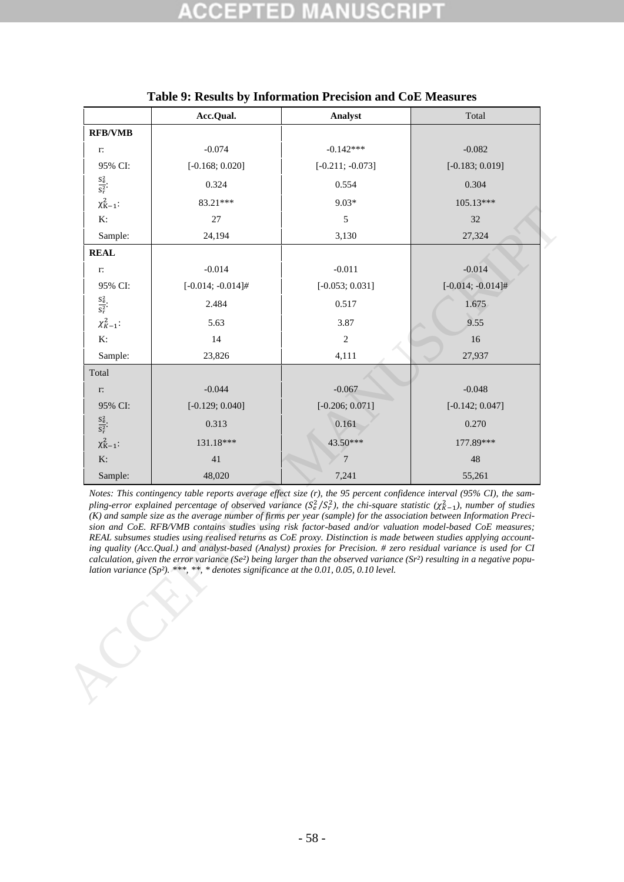<span id="page-60-0"></span>

|                         | Acc.Qual.                                                                                                                                                                                                                                                                                                                                                                                                                                                                                                                                                                                                                                                                                                                                                                                                                                                                                                                                                                                        | Analyst            | Total                |
|-------------------------|--------------------------------------------------------------------------------------------------------------------------------------------------------------------------------------------------------------------------------------------------------------------------------------------------------------------------------------------------------------------------------------------------------------------------------------------------------------------------------------------------------------------------------------------------------------------------------------------------------------------------------------------------------------------------------------------------------------------------------------------------------------------------------------------------------------------------------------------------------------------------------------------------------------------------------------------------------------------------------------------------|--------------------|----------------------|
| <b>RFB/VMB</b>          |                                                                                                                                                                                                                                                                                                                                                                                                                                                                                                                                                                                                                                                                                                                                                                                                                                                                                                                                                                                                  |                    |                      |
| $\Gamma.$               | $-0.074$                                                                                                                                                                                                                                                                                                                                                                                                                                                                                                                                                                                                                                                                                                                                                                                                                                                                                                                                                                                         | $-0.142***$        | $-0.082$             |
| 95% CI:                 | $[-0.168; 0.020]$                                                                                                                                                                                                                                                                                                                                                                                                                                                                                                                                                                                                                                                                                                                                                                                                                                                                                                                                                                                | $[-0.211; -0.073]$ | $[-0.183; 0.019]$    |
| $\frac{S_e^2}{S_r^2}$ . | 0.324                                                                                                                                                                                                                                                                                                                                                                                                                                                                                                                                                                                                                                                                                                                                                                                                                                                                                                                                                                                            | 0.554              | 0.304                |
| $\chi^2_{K-1}$ :        | 83.21***                                                                                                                                                                                                                                                                                                                                                                                                                                                                                                                                                                                                                                                                                                                                                                                                                                                                                                                                                                                         | $9.03*$            | 105.13***            |
| K:                      | 27                                                                                                                                                                                                                                                                                                                                                                                                                                                                                                                                                                                                                                                                                                                                                                                                                                                                                                                                                                                               | $\sqrt{5}$         | 32                   |
| Sample:                 | 24,194                                                                                                                                                                                                                                                                                                                                                                                                                                                                                                                                                                                                                                                                                                                                                                                                                                                                                                                                                                                           | 3,130              | 27,324               |
| <b>REAL</b>             |                                                                                                                                                                                                                                                                                                                                                                                                                                                                                                                                                                                                                                                                                                                                                                                                                                                                                                                                                                                                  |                    |                      |
| r:                      | $-0.014$                                                                                                                                                                                                                                                                                                                                                                                                                                                                                                                                                                                                                                                                                                                                                                                                                                                                                                                                                                                         | $-0.011$           | $-0.014$             |
| 95% CI:                 | $[-0.014; -0.014]$ #                                                                                                                                                                                                                                                                                                                                                                                                                                                                                                                                                                                                                                                                                                                                                                                                                                                                                                                                                                             | $[-0.053; 0.031]$  | $[-0.014; -0.014]$ # |
| $\frac{S_e^2}{S_r^2}$ . | 2.484                                                                                                                                                                                                                                                                                                                                                                                                                                                                                                                                                                                                                                                                                                                                                                                                                                                                                                                                                                                            | 0.517              | 1.675                |
| $\chi^2_{K-1}$ :        | 5.63                                                                                                                                                                                                                                                                                                                                                                                                                                                                                                                                                                                                                                                                                                                                                                                                                                                                                                                                                                                             | 3.87               | 9.55                 |
| K:                      | 14                                                                                                                                                                                                                                                                                                                                                                                                                                                                                                                                                                                                                                                                                                                                                                                                                                                                                                                                                                                               | $\overline{2}$     | 16                   |
| Sample:                 | 23,826                                                                                                                                                                                                                                                                                                                                                                                                                                                                                                                                                                                                                                                                                                                                                                                                                                                                                                                                                                                           | 4,111              | 27,937               |
| Total                   |                                                                                                                                                                                                                                                                                                                                                                                                                                                                                                                                                                                                                                                                                                                                                                                                                                                                                                                                                                                                  |                    |                      |
| $\Gamma\colon$          | $-0.044$                                                                                                                                                                                                                                                                                                                                                                                                                                                                                                                                                                                                                                                                                                                                                                                                                                                                                                                                                                                         | $-0.067$           | $-0.048$             |
| 95% CI:                 | $[-0.129; 0.040]$                                                                                                                                                                                                                                                                                                                                                                                                                                                                                                                                                                                                                                                                                                                                                                                                                                                                                                                                                                                | $[-0.206; 0.071]$  | $[-0.142; 0.047]$    |
| $\frac{S_e^2}{S_r^2}$   | 0.313                                                                                                                                                                                                                                                                                                                                                                                                                                                                                                                                                                                                                                                                                                                                                                                                                                                                                                                                                                                            | 0.161              | 0.270                |
| $\chi^2_{K-1}$ :        | 131.18***                                                                                                                                                                                                                                                                                                                                                                                                                                                                                                                                                                                                                                                                                                                                                                                                                                                                                                                                                                                        | 43.50***           | 177.89***            |
| K:                      | 41                                                                                                                                                                                                                                                                                                                                                                                                                                                                                                                                                                                                                                                                                                                                                                                                                                                                                                                                                                                               | $\overline{7}$     | 48                   |
| Sample:                 | 48,020                                                                                                                                                                                                                                                                                                                                                                                                                                                                                                                                                                                                                                                                                                                                                                                                                                                                                                                                                                                           | 7,241              | 55,261               |
|                         | Notes: This contingency table reports average effect size $(r)$ , the 95 percent confidence interval (95% CI), the sam-<br>pling-error explained percentage of observed variance $(S_e^2/S_r^2)$ , the chi-square statistic $(\chi_{K-1}^2)$ , number of studies<br>(K) and sample size as the average number of firms per year (sample) for the association between Information Preci-<br>sion and CoE. RFB/VMB contains studies using risk factor-based and/or valuation model-based CoE measures;<br>REAL subsumes studies using realised returns as CoE proxy. Distinction is made between studies applying account-<br>ing quality (Acc.Qual.) and analyst-based (Analyst) proxies for Precision. # zero residual variance is used for CI<br>calculation, given the error variance (Se <sup>2</sup> ) being larger than the observed variance (Sr <sup>2</sup> ) resulting in a negative popu-<br>lation variance $(Sp^2)$ , ***, **, * denotes significance at the 0.01, 0.05, 0.10 level. |                    |                      |
|                         |                                                                                                                                                                                                                                                                                                                                                                                                                                                                                                                                                                                                                                                                                                                                                                                                                                                                                                                                                                                                  |                    |                      |

## **Table 9: Results by Information Precision and CoE Measures**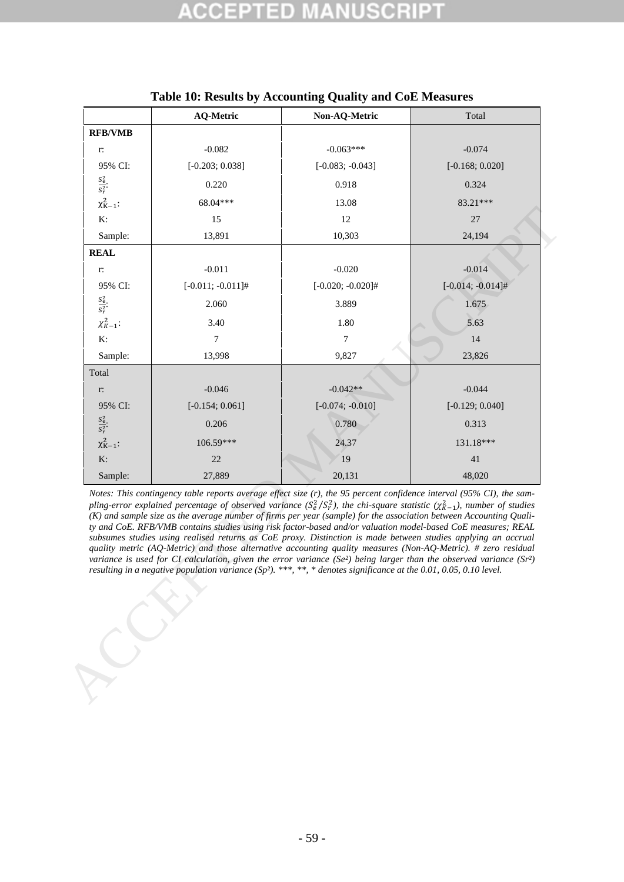<span id="page-61-0"></span>

|                         | <b>AQ-Metric</b>                                                                                                                                                                                                                                                                                                                                                                                                                                                                                                                                                                                                                                                                                                                                                                                                                                                                                                                                                                                                 | Non-AQ-Metric        | Total                |
|-------------------------|------------------------------------------------------------------------------------------------------------------------------------------------------------------------------------------------------------------------------------------------------------------------------------------------------------------------------------------------------------------------------------------------------------------------------------------------------------------------------------------------------------------------------------------------------------------------------------------------------------------------------------------------------------------------------------------------------------------------------------------------------------------------------------------------------------------------------------------------------------------------------------------------------------------------------------------------------------------------------------------------------------------|----------------------|----------------------|
| <b>RFB/VMB</b>          |                                                                                                                                                                                                                                                                                                                                                                                                                                                                                                                                                                                                                                                                                                                                                                                                                                                                                                                                                                                                                  |                      |                      |
| r:                      | $-0.082$                                                                                                                                                                                                                                                                                                                                                                                                                                                                                                                                                                                                                                                                                                                                                                                                                                                                                                                                                                                                         | $-0.063***$          | $-0.074$             |
| 95% CI:                 | $[-0.203; 0.038]$                                                                                                                                                                                                                                                                                                                                                                                                                                                                                                                                                                                                                                                                                                                                                                                                                                                                                                                                                                                                | $[-0.083; -0.043]$   | $[-0.168; 0.020]$    |
| $\frac{S_e^2}{S_r^2}$   | 0.220                                                                                                                                                                                                                                                                                                                                                                                                                                                                                                                                                                                                                                                                                                                                                                                                                                                                                                                                                                                                            | 0.918                | 0.324                |
| $\chi^2_{K-1}$ :        | 68.04***                                                                                                                                                                                                                                                                                                                                                                                                                                                                                                                                                                                                                                                                                                                                                                                                                                                                                                                                                                                                         | 13.08                | 83.21***             |
| K:                      | 15                                                                                                                                                                                                                                                                                                                                                                                                                                                                                                                                                                                                                                                                                                                                                                                                                                                                                                                                                                                                               | 12                   | 27                   |
| Sample:                 | 13,891                                                                                                                                                                                                                                                                                                                                                                                                                                                                                                                                                                                                                                                                                                                                                                                                                                                                                                                                                                                                           | 10,303               | 24,194               |
| <b>REAL</b>             |                                                                                                                                                                                                                                                                                                                                                                                                                                                                                                                                                                                                                                                                                                                                                                                                                                                                                                                                                                                                                  |                      |                      |
| r:                      | $-0.011$                                                                                                                                                                                                                                                                                                                                                                                                                                                                                                                                                                                                                                                                                                                                                                                                                                                                                                                                                                                                         | $-0.020$             | $-0.014$             |
| 95% CI:                 | $[-0.011; -0.011]$ #                                                                                                                                                                                                                                                                                                                                                                                                                                                                                                                                                                                                                                                                                                                                                                                                                                                                                                                                                                                             | $[-0.020; -0.020]$ # | $[-0.014; -0.014]$ # |
| $\frac{S_e^2}{S_r^2}$ . | 2.060                                                                                                                                                                                                                                                                                                                                                                                                                                                                                                                                                                                                                                                                                                                                                                                                                                                                                                                                                                                                            | 3.889                | 1.675                |
| $\chi^2_{K-1}$ :        | 3.40                                                                                                                                                                                                                                                                                                                                                                                                                                                                                                                                                                                                                                                                                                                                                                                                                                                                                                                                                                                                             | 1.80                 | 5.63                 |
| K:                      | $\overline{7}$                                                                                                                                                                                                                                                                                                                                                                                                                                                                                                                                                                                                                                                                                                                                                                                                                                                                                                                                                                                                   | $\overline{7}$       | 14                   |
| Sample:                 | 13,998                                                                                                                                                                                                                                                                                                                                                                                                                                                                                                                                                                                                                                                                                                                                                                                                                                                                                                                                                                                                           | 9,827                | 23,826               |
| Total                   |                                                                                                                                                                                                                                                                                                                                                                                                                                                                                                                                                                                                                                                                                                                                                                                                                                                                                                                                                                                                                  |                      |                      |
| r:                      | $-0.046$                                                                                                                                                                                                                                                                                                                                                                                                                                                                                                                                                                                                                                                                                                                                                                                                                                                                                                                                                                                                         | $-0.042**$           | $-0.044$             |
| 95% CI:                 | $[-0.154; 0.061]$                                                                                                                                                                                                                                                                                                                                                                                                                                                                                                                                                                                                                                                                                                                                                                                                                                                                                                                                                                                                | $[-0.074; -0.010]$   | $[-0.129; 0.040]$    |
| $\frac{S_e^2}{S_r^2}$   | 0.206                                                                                                                                                                                                                                                                                                                                                                                                                                                                                                                                                                                                                                                                                                                                                                                                                                                                                                                                                                                                            | 0.780                | 0.313                |
| $\chi^2_{K-1}$ :        | 106.59***                                                                                                                                                                                                                                                                                                                                                                                                                                                                                                                                                                                                                                                                                                                                                                                                                                                                                                                                                                                                        | 24.37                | 131.18***            |
| K:                      | 22                                                                                                                                                                                                                                                                                                                                                                                                                                                                                                                                                                                                                                                                                                                                                                                                                                                                                                                                                                                                               | 19                   | $41\,$               |
| Sample:                 | 27,889                                                                                                                                                                                                                                                                                                                                                                                                                                                                                                                                                                                                                                                                                                                                                                                                                                                                                                                                                                                                           | 20,131               | 48,020               |
|                         | Notes: This contingency table reports average effect size $(r)$ , the 95 percent confidence interval (95% CI), the sam-<br>pling-error explained percentage of observed variance $(S_e^2/S_r^2)$ , the chi-square statistic $(\chi_{K-1}^2)$ , number of studies<br>(K) and sample size as the average number of firms per year (sample) for the association between Accounting Quali-<br>ty and CoE. RFB/VMB contains studies using risk factor-based and/or valuation model-based CoE measures; REAL<br>subsumes studies using realised returns as CoE proxy. Distinction is made between studies applying an accrual<br>quality metric (AQ-Metric) and those alternative accounting quality measures (Non-AQ-Metric). # zero residual<br>variance is used for CI calculation, given the error variance (Se <sup>2</sup> ) being larger than the observed variance (Sr <sup>2</sup> )<br>resulting in a negative population variance $(Sp^2)$ . ***, **, * denotes significance at the 0.01, 0.05, 0.10 level. |                      |                      |
|                         |                                                                                                                                                                                                                                                                                                                                                                                                                                                                                                                                                                                                                                                                                                                                                                                                                                                                                                                                                                                                                  |                      |                      |

## **Table 10: Results by Accounting Quality and CoE Measures**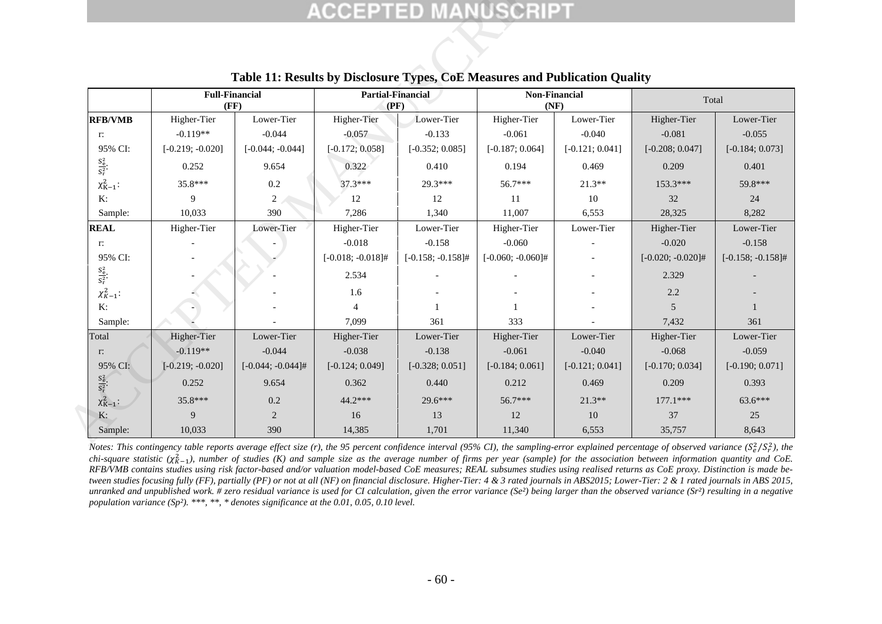|                         |                               |                      |                                                                                                                 |                      | <b>ACCEPTED MANUSCRIPT</b> |                   |                      |                      |
|-------------------------|-------------------------------|----------------------|-----------------------------------------------------------------------------------------------------------------|----------------------|----------------------------|-------------------|----------------------|----------------------|
|                         |                               |                      |                                                                                                                 |                      |                            |                   |                      |                      |
|                         | <b>Full-Financial</b><br>(FF) |                      | Table 11: Results by Disclosure Types, CoE Measures and Publication Quality<br><b>Partial-Financial</b><br>(PF) |                      | Non-Financial<br>(NF)      |                   | Total                |                      |
| <b>RFB/VMB</b>          | Higher-Tier                   | Lower-Tier           | Higher-Tier                                                                                                     | Lower-Tier           | Higher-Tier                | Lower-Tier        | Higher-Tier          | Lower-Tier           |
| r:                      | $-0.119**$                    | $-0.044$             | $-0.057$                                                                                                        | $-0.133$             | $-0.061$                   | $-0.040$          | $-0.081$             | $-0.055$             |
| 95% CI:                 | $[-0.219; -0.020]$            | $[-0.044; -0.044]$   | $[-0.172; 0.058]$                                                                                               | $[-0.352; 0.085]$    | $[-0.187; 0.064]$          | $[-0.121; 0.041]$ | $[-0.208; 0.047]$    | $[-0.184; 0.073]$    |
| $\frac{S_e^2}{S_r^2}$   | 0.252                         | 9.654                | 0.322                                                                                                           | 0.410                | 0.194                      | 0.469             | 0.209                | 0.401                |
| $\chi^2_{K-1}$ :        | 35.8***                       | $0.2\,$              | $37.3***$                                                                                                       | 29.3***              | 56.7***                    | $21.3**$          | 153.3***             | 59.8***              |
| K:                      | 9                             | 2                    | 12                                                                                                              | 12                   | 11                         | 10                | 32                   | 24                   |
| Sample:                 | 10,033                        | 390                  | 7,286                                                                                                           | 1,340                | 11,007                     | 6,553             | 28,325               | 8,282                |
| <b>REAL</b>             | Higher-Tier                   | Lower-Tier           | Higher-Tier                                                                                                     | Lower-Tier           | Higher-Tier                | Lower-Tier        | Higher-Tier          | Lower-Tier           |
| r:                      |                               |                      | $-0.018$                                                                                                        | $-0.158$             | $-0.060$                   |                   | $-0.020$             | $-0.158$             |
| 95% CI:                 |                               |                      | $[-0.018; -0.018]$ #                                                                                            | $[-0.158; -0.158]$ # | $[-0.060; -0.060]$ #       |                   | $[-0.020; -0.020]$ # | $[-0.158; -0.158]$ # |
| $\frac{S_e^2}{S_r^2}$   |                               |                      | 2.534                                                                                                           |                      |                            |                   | 2.329                |                      |
| $\chi^2_{K-1}$ :        |                               |                      | 1.6                                                                                                             |                      |                            |                   | 2.2                  |                      |
| K:                      |                               |                      | $\overline{4}$                                                                                                  |                      | $\mathbf{1}$               |                   | 5                    |                      |
| Sample:                 |                               |                      | 7,099                                                                                                           | 361                  | 333                        |                   | 7,432                | 361                  |
| Total                   | Higher-Tier                   | Lower-Tier           | Higher-Tier                                                                                                     | Lower-Tier           | Higher-Tier                | Lower-Tier        | Higher-Tier          | Lower-Tier           |
| $\Gamma$ :              | $-0.119**$                    | $-0.044$             | $-0.038$                                                                                                        | $-0.138$             | $-0.061$                   | $-0.040$          | $-0.068$             | $-0.059$             |
| 95% CI:                 | $[-0.219; -0.020]$            | $[-0.044; -0.044]$ # | $[-0.124; 0.049]$                                                                                               | $[-0.328; 0.051]$    | $[-0.184; 0.061]$          | $[-0.121; 0.041]$ | $[-0.170; 0.034]$    | $[-0.190; 0.071]$    |
| $\frac{S_e^2}{S_r^2}$ . | 0.252                         | 9.654                | 0.362                                                                                                           | 0.440                | 0.212                      | 0.469             | 0.209                | 0.393                |
| $\chi^2_{K-1}$ :        | 35.8***                       | 0.2                  | 44.2***                                                                                                         | 29.6***              | 56.7***                    | $21.3**$          | $177.1***$           | 63.6***              |
| K:                      | $\overline{9}$                | 2                    | 16                                                                                                              | 13                   | 12                         | 10                | 37                   | 25                   |
| Sample:                 | 10,033                        | 390                  | 14,385                                                                                                          | 1,701                | 11,340                     | 6,553             | 35,757               | 8,643                |

## **Table 11: Results by Disclosure Types, CoE Measures and Publication Quality**

<span id="page-62-0"></span>Notes: This contingency table reports average effect size (r), the 95 percent confidence interval (95% CI), the sampling-error explained percentage of observed variance ( $S_e^2/S_r^2$ ), the  $chi$ -square statistic ( $\chi^2_{K-1}$ ), number of studies (K) and sample size as the average number of firms per year (sample) for the association between information quantity and CoE. *RFB/VMB contains studies using risk factor-based and/or valuation model-based CoE measures; REAL subsumes studies using realised returns as CoE proxy. Distinction is made between studies focusing fully (FF), partially (PF) or not at all (NF) on financial disclosure. Higher-Tier: 4 & 3 rated journals in ABS2015; Lower-Tier: 2 & 1 rated journals in ABS 2015, unranked and unpublished work. # zero residual variance is used for CI calculation, given the error variance (Se²) being larger than the observed variance (Sr²) resulting in a negative population variance (Sp²). \*\*\*, \*\*, \* denotes significance at the 0.01, 0.05, 0.10 level.*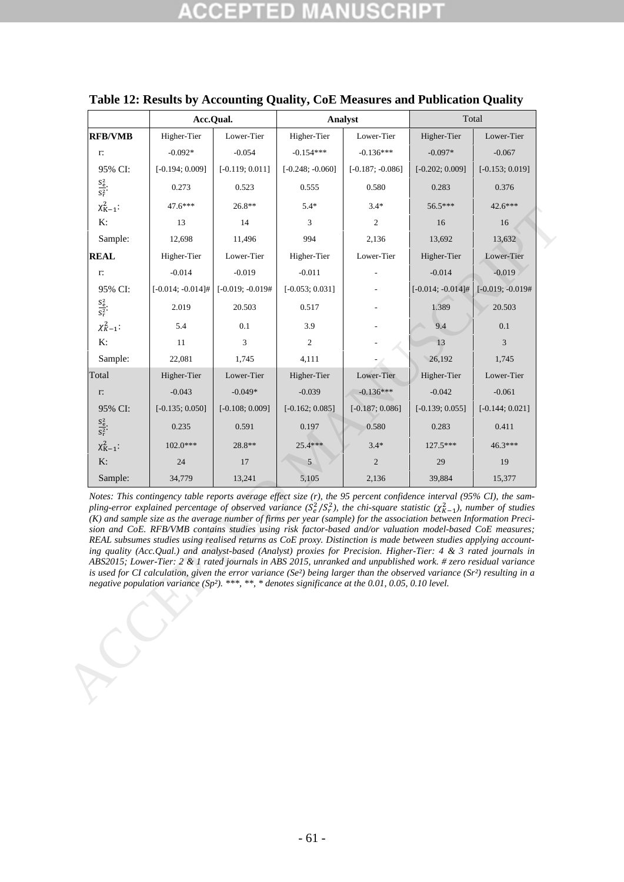| <b>RFB/VMB</b><br>r:<br>95% CI:<br>$\frac{S_e^2}{S_r^2}$<br>$\chi^2_{K-1}$ :<br>K:<br>Sample:<br><b>REAL</b><br>r:<br>95% CI:<br>$\frac{S_e^2}{S_r^2}$<br>$\chi^2_{K-1}$ :<br>K:<br>Sample:<br>Total<br>$\Gamma$<br>95% CI:<br>$\frac{S_e^2}{S_r^2}$ .<br>$\chi^2_{K-1}$ :<br>K:<br>Sample:<br>Notes: This contingency table reports average effect size (r), the 95 percent confidence interval (95% CI), the sam-<br>pling-error explained percentage of observed variance $(S_e^2/S_r^2)$ , the chi-square statistic $(\chi_{K-1}^2)$ , number of studies                                                                                                                                                                               | Higher-Tier<br>$-0.092*$<br>$[-0.194; 0.009]$<br>0.273<br>47.6***<br>13<br>12,698<br>Higher-Tier<br>$-0.014$<br>$[-0.014; -0.014]$ #<br>2.019<br>5.4<br>11<br>22,081<br>Higher-Tier<br>$-0.043$<br>$[-0.135; 0.050]$<br>0.235 | Lower-Tier<br>$-0.054$<br>$[-0.119; 0.011]$<br>0.523<br>$26.8**$<br>14<br>11,496<br>Lower-Tier<br>$-0.019$<br>$[-0.019; -0.019]$<br>20.503<br>0.1<br>3<br>1,745<br>Lower-Tier<br>$-0.049*$<br>$[-0.108; 0.009]$ | Higher-Tier<br>$-0.154***$<br>$[-0.248; -0.060]$<br>0.555<br>$5.4*$<br>3<br>994<br>Higher-Tier<br>$-0.011$<br>$[-0.053; 0.031]$<br>0.517<br>3.9<br>$\boldsymbol{2}$<br>4,111<br>Higher-Tier<br>$-0.039$ | Lower-Tier<br>$-0.136***$<br>$[-0.187; -0.086]$<br>0.580<br>$3.4*$<br>$\mathbf{2}$<br>2,136<br>Lower-Tier<br>Lower-Tier<br>$-0.136***$ | Higher-Tier<br>$-0.097*$<br>$[-0.202; 0.009]$<br>0.283<br>56.5***<br>16<br>13,692<br>Higher-Tier<br>$-0.014$<br>$[-0.014; -0.014]$ #<br>1.389<br>9.4<br>13<br>26,192<br>Higher-Tier<br>$-0.042$ | Lower-Tier<br>$-0.067$<br>$[-0.153; 0.019]$<br>0.376<br>42.6***<br>16<br>13,632<br>Lower-Tier<br>$-0.019$<br>$[-0.019; -0.019]$<br>20.503<br>0.1<br>3<br>1,745<br>Lower-Tier |
|--------------------------------------------------------------------------------------------------------------------------------------------------------------------------------------------------------------------------------------------------------------------------------------------------------------------------------------------------------------------------------------------------------------------------------------------------------------------------------------------------------------------------------------------------------------------------------------------------------------------------------------------------------------------------------------------------------------------------------------------|-------------------------------------------------------------------------------------------------------------------------------------------------------------------------------------------------------------------------------|-----------------------------------------------------------------------------------------------------------------------------------------------------------------------------------------------------------------|---------------------------------------------------------------------------------------------------------------------------------------------------------------------------------------------------------|----------------------------------------------------------------------------------------------------------------------------------------|-------------------------------------------------------------------------------------------------------------------------------------------------------------------------------------------------|------------------------------------------------------------------------------------------------------------------------------------------------------------------------------|
|                                                                                                                                                                                                                                                                                                                                                                                                                                                                                                                                                                                                                                                                                                                                            |                                                                                                                                                                                                                               |                                                                                                                                                                                                                 |                                                                                                                                                                                                         |                                                                                                                                        |                                                                                                                                                                                                 |                                                                                                                                                                              |
|                                                                                                                                                                                                                                                                                                                                                                                                                                                                                                                                                                                                                                                                                                                                            |                                                                                                                                                                                                                               |                                                                                                                                                                                                                 |                                                                                                                                                                                                         |                                                                                                                                        |                                                                                                                                                                                                 |                                                                                                                                                                              |
|                                                                                                                                                                                                                                                                                                                                                                                                                                                                                                                                                                                                                                                                                                                                            |                                                                                                                                                                                                                               |                                                                                                                                                                                                                 |                                                                                                                                                                                                         |                                                                                                                                        |                                                                                                                                                                                                 |                                                                                                                                                                              |
|                                                                                                                                                                                                                                                                                                                                                                                                                                                                                                                                                                                                                                                                                                                                            |                                                                                                                                                                                                                               |                                                                                                                                                                                                                 |                                                                                                                                                                                                         |                                                                                                                                        |                                                                                                                                                                                                 |                                                                                                                                                                              |
|                                                                                                                                                                                                                                                                                                                                                                                                                                                                                                                                                                                                                                                                                                                                            |                                                                                                                                                                                                                               |                                                                                                                                                                                                                 |                                                                                                                                                                                                         |                                                                                                                                        |                                                                                                                                                                                                 |                                                                                                                                                                              |
|                                                                                                                                                                                                                                                                                                                                                                                                                                                                                                                                                                                                                                                                                                                                            |                                                                                                                                                                                                                               |                                                                                                                                                                                                                 |                                                                                                                                                                                                         |                                                                                                                                        |                                                                                                                                                                                                 |                                                                                                                                                                              |
|                                                                                                                                                                                                                                                                                                                                                                                                                                                                                                                                                                                                                                                                                                                                            |                                                                                                                                                                                                                               |                                                                                                                                                                                                                 |                                                                                                                                                                                                         |                                                                                                                                        |                                                                                                                                                                                                 |                                                                                                                                                                              |
|                                                                                                                                                                                                                                                                                                                                                                                                                                                                                                                                                                                                                                                                                                                                            |                                                                                                                                                                                                                               |                                                                                                                                                                                                                 |                                                                                                                                                                                                         |                                                                                                                                        |                                                                                                                                                                                                 |                                                                                                                                                                              |
|                                                                                                                                                                                                                                                                                                                                                                                                                                                                                                                                                                                                                                                                                                                                            |                                                                                                                                                                                                                               |                                                                                                                                                                                                                 |                                                                                                                                                                                                         |                                                                                                                                        |                                                                                                                                                                                                 |                                                                                                                                                                              |
|                                                                                                                                                                                                                                                                                                                                                                                                                                                                                                                                                                                                                                                                                                                                            |                                                                                                                                                                                                                               |                                                                                                                                                                                                                 |                                                                                                                                                                                                         |                                                                                                                                        |                                                                                                                                                                                                 |                                                                                                                                                                              |
|                                                                                                                                                                                                                                                                                                                                                                                                                                                                                                                                                                                                                                                                                                                                            |                                                                                                                                                                                                                               |                                                                                                                                                                                                                 |                                                                                                                                                                                                         |                                                                                                                                        |                                                                                                                                                                                                 |                                                                                                                                                                              |
|                                                                                                                                                                                                                                                                                                                                                                                                                                                                                                                                                                                                                                                                                                                                            |                                                                                                                                                                                                                               |                                                                                                                                                                                                                 |                                                                                                                                                                                                         |                                                                                                                                        |                                                                                                                                                                                                 |                                                                                                                                                                              |
|                                                                                                                                                                                                                                                                                                                                                                                                                                                                                                                                                                                                                                                                                                                                            |                                                                                                                                                                                                                               |                                                                                                                                                                                                                 |                                                                                                                                                                                                         |                                                                                                                                        |                                                                                                                                                                                                 |                                                                                                                                                                              |
|                                                                                                                                                                                                                                                                                                                                                                                                                                                                                                                                                                                                                                                                                                                                            |                                                                                                                                                                                                                               |                                                                                                                                                                                                                 |                                                                                                                                                                                                         |                                                                                                                                        |                                                                                                                                                                                                 |                                                                                                                                                                              |
|                                                                                                                                                                                                                                                                                                                                                                                                                                                                                                                                                                                                                                                                                                                                            |                                                                                                                                                                                                                               |                                                                                                                                                                                                                 |                                                                                                                                                                                                         |                                                                                                                                        |                                                                                                                                                                                                 |                                                                                                                                                                              |
|                                                                                                                                                                                                                                                                                                                                                                                                                                                                                                                                                                                                                                                                                                                                            |                                                                                                                                                                                                                               |                                                                                                                                                                                                                 |                                                                                                                                                                                                         |                                                                                                                                        |                                                                                                                                                                                                 | $-0.061$                                                                                                                                                                     |
|                                                                                                                                                                                                                                                                                                                                                                                                                                                                                                                                                                                                                                                                                                                                            |                                                                                                                                                                                                                               |                                                                                                                                                                                                                 | $[-0.162; 0.085]$                                                                                                                                                                                       | $[-0.187; 0.086]$                                                                                                                      | $[-0.139; 0.055]$                                                                                                                                                                               | $[-0.144; 0.021]$                                                                                                                                                            |
|                                                                                                                                                                                                                                                                                                                                                                                                                                                                                                                                                                                                                                                                                                                                            |                                                                                                                                                                                                                               | 0.591                                                                                                                                                                                                           | 0.197                                                                                                                                                                                                   | 0.580                                                                                                                                  | 0.283                                                                                                                                                                                           | 0.411                                                                                                                                                                        |
|                                                                                                                                                                                                                                                                                                                                                                                                                                                                                                                                                                                                                                                                                                                                            | 102.0***                                                                                                                                                                                                                      | 28.8**                                                                                                                                                                                                          | 25.4***                                                                                                                                                                                                 | $3.4*$                                                                                                                                 | 127.5***                                                                                                                                                                                        | 46.3***                                                                                                                                                                      |
|                                                                                                                                                                                                                                                                                                                                                                                                                                                                                                                                                                                                                                                                                                                                            | 24                                                                                                                                                                                                                            | 17                                                                                                                                                                                                              | 5                                                                                                                                                                                                       | $\overline{c}$                                                                                                                         | 29                                                                                                                                                                                              | 19                                                                                                                                                                           |
|                                                                                                                                                                                                                                                                                                                                                                                                                                                                                                                                                                                                                                                                                                                                            | 34,779                                                                                                                                                                                                                        | 13,241                                                                                                                                                                                                          | 5,105                                                                                                                                                                                                   | 2,136                                                                                                                                  | 39,884                                                                                                                                                                                          | 15,377                                                                                                                                                                       |
| sion and CoE. RFB/VMB contains studies using risk factor-based and/or valuation model-based CoE measures;<br>REAL subsumes studies using realised returns as CoE proxy. Distinction is made between studies applying account-<br>ing quality (Acc.Qual.) and analyst-based (Analyst) proxies for Precision. Higher-Tier: 4 & 3 rated journals in<br>ABS2015; Lower-Tier: 2 & 1 rated journals in ABS 2015, unranked and unpublished work. # zero residual variance<br>is used for CI calculation, given the error variance (Se <sup>2</sup> ) being larger than the observed variance (Sr <sup>2</sup> ) resulting in a<br>negative population variance (Sp <sup>2</sup> ). ***, **, * denotes significance at the 0.01, 0.05, 0.10 level. |                                                                                                                                                                                                                               |                                                                                                                                                                                                                 |                                                                                                                                                                                                         | (K) and sample size as the average number of firms per year (sample) for the association between Information Preci-                    |                                                                                                                                                                                                 |                                                                                                                                                                              |

## <span id="page-63-0"></span>**Table 12: Results by Accounting Quality, CoE Measures and Publication Quality**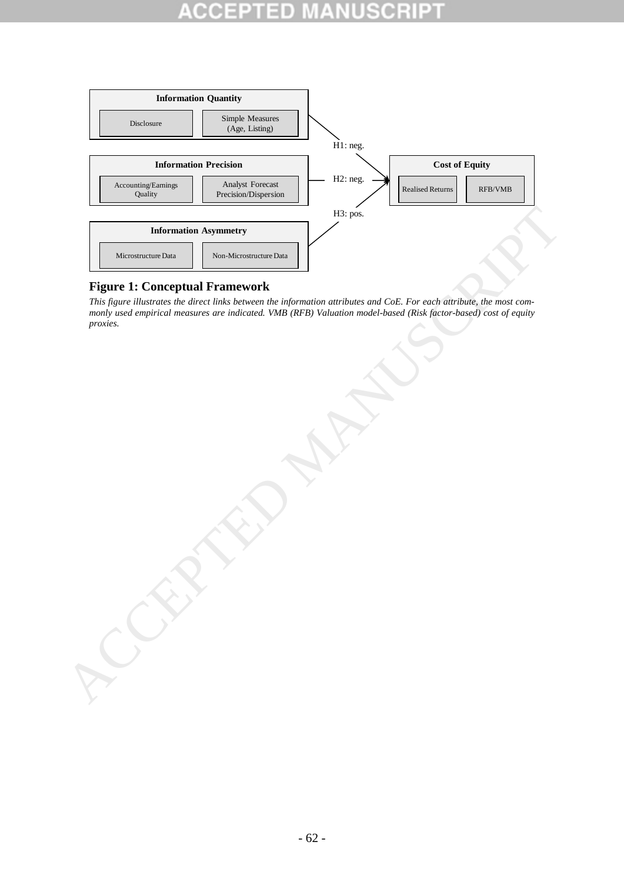# П



## <span id="page-64-0"></span>**Figure 1: Conceptual Framework**

*This figure illustrates the direct links between the information attributes and CoE. For each attribute, the most commonly used empirical measures are indicated. VMB (RFB) Valuation model-based (Risk factor-based) cost of equity proxies.*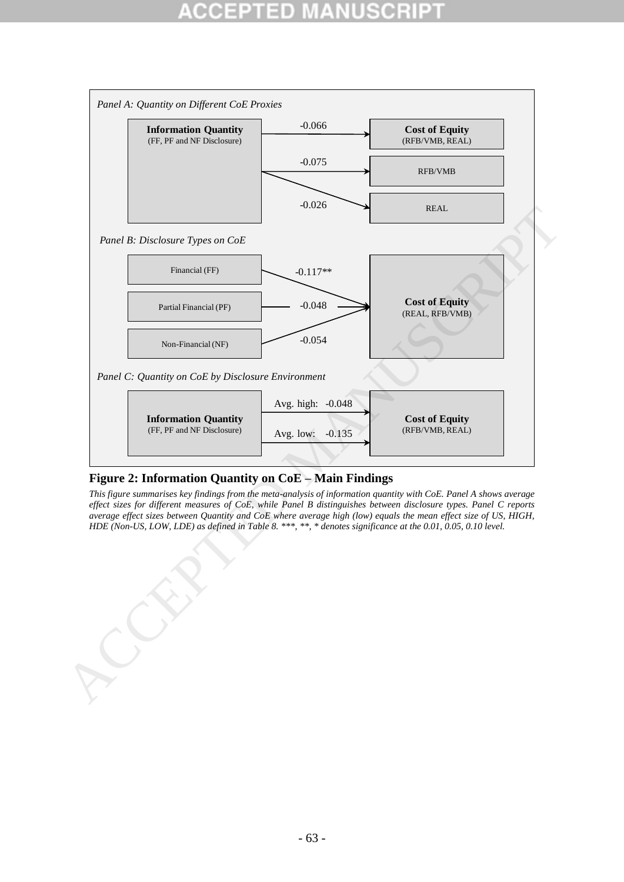

## <span id="page-65-0"></span>**Figure 2: Information Quantity on CoE – Main Findings**

*This figure summarises key findings from the meta-analysis of information quantity with CoE. Panel A shows average effect sizes for different measures of CoE, while Panel B distinguishes between disclosure types. Panel C reports average effect sizes between Quantity and CoE where average high (low) equals the mean effect size of US, HIGH, HDE (Non-US, LOW, LDE) as defined in Table 8. \*\*\*, \*\*, \* denotes significance at the 0.01, 0.05, 0.10 level.*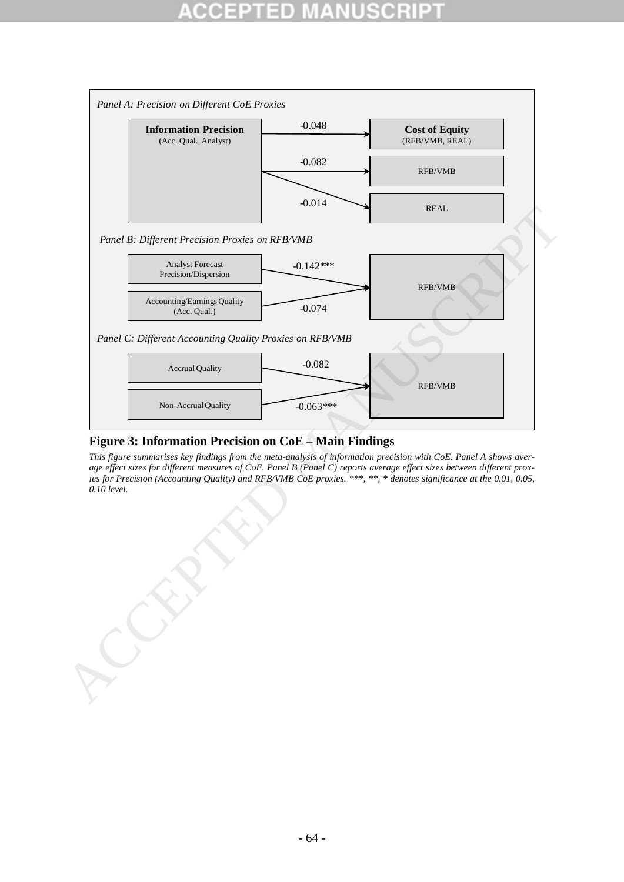# D



## <span id="page-66-0"></span>**Figure 3: Information Precision on CoE – Main Findings**

*This figure summarises key findings from the meta-analysis of information precision with CoE. Panel A shows average effect sizes for different measures of CoE. Panel B (Panel C) reports average effect sizes between different proxies for Precision (Accounting Quality) and RFB/VMB CoE proxies. \*\*\*, \*\*, \* denotes significance at the 0.01, 0.05, 0.10 level.*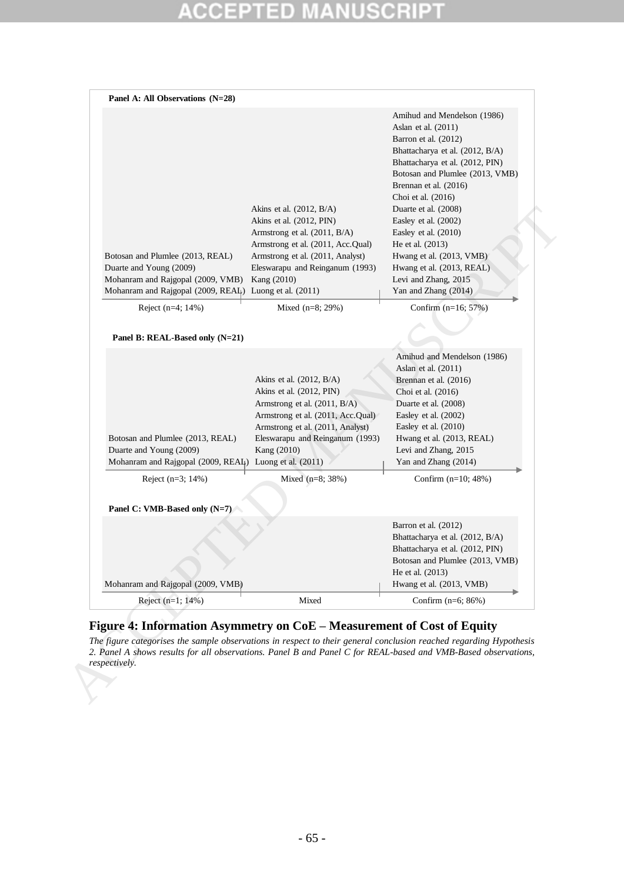### D m ۸ u O IC.

| Akins et al. $(2012, B/A)$<br>Akins et al. (2012, PIN)<br>Armstrong et al. (2011, B/A)<br>Armstrong et al. (2011, Acc.Qual)<br>Armstrong et al. (2011, Analyst)<br>Eleswarapu and Reinganum (1993)<br>Kang (2010)                          | Amihud and Mendelson (1986)<br>Aslan et al. (2011)<br>Barron et al. (2012)<br>Bhattacharya et al. (2012, B/A)<br>Bhattacharya et al. (2012, PIN)<br>Botosan and Plumlee (2013, VMB)<br>Brennan et al. (2016)<br>Choi et al. (2016)<br>Duarte et al. (2008)<br>Easley et al. (2002)<br>Easley et al. (2010)<br>He et al. (2013)<br>Hwang et al. (2013, VMB)<br>Hwang et al. (2013, REAL)<br>Levi and Zhang, 2015<br>Yan and Zhang (2014) |
|--------------------------------------------------------------------------------------------------------------------------------------------------------------------------------------------------------------------------------------------|-----------------------------------------------------------------------------------------------------------------------------------------------------------------------------------------------------------------------------------------------------------------------------------------------------------------------------------------------------------------------------------------------------------------------------------------|
| Mixed $(n=8; 29%)$                                                                                                                                                                                                                         | Confirm $(n=16; 57%)$                                                                                                                                                                                                                                                                                                                                                                                                                   |
|                                                                                                                                                                                                                                            |                                                                                                                                                                                                                                                                                                                                                                                                                                         |
| Akins et al. $(2012, B/A)$<br>Akins et al. (2012, PIN)<br>Armstrong et al. (2011, B/A)<br>Armstrong et al. (2011, Acc.Qual)<br>Armstrong et al. (2011, Analyst)<br>Eleswarapu and Reinganum (1993)<br>Kang (2010)<br>Luong et al. $(2011)$ | Amihud and Mendelson (1986)<br>Aslan et al. (2011)<br>Brennan et al. (2016)<br>Choi et al. (2016)<br>Duarte et al. (2008)<br>Easley et al. (2002)<br>Easley et al. (2010)<br>Hwang et al. (2013, REAL)<br>Levi and Zhang, 2015<br>Yan and Zhang (2014)                                                                                                                                                                                  |
| Mixed (n=8; 38%)                                                                                                                                                                                                                           | Confirm $(n=10; 48%)$                                                                                                                                                                                                                                                                                                                                                                                                                   |
|                                                                                                                                                                                                                                            |                                                                                                                                                                                                                                                                                                                                                                                                                                         |
|                                                                                                                                                                                                                                            | Barron et al. (2012)<br>Bhattacharya et al. (2012, B/A)<br>Bhattacharya et al. (2012, PIN)<br>Botosan and Plumlee (2013, VMB)<br>He et al. (2013)<br>Hwang et al. (2013, VMB)                                                                                                                                                                                                                                                           |
|                                                                                                                                                                                                                                            |                                                                                                                                                                                                                                                                                                                                                                                                                                         |
| Mohanram and Rajgopal (2009, VMB)                                                                                                                                                                                                          | Mohanram and Rajgopal (2009, REAL) Luong et al. (2011)<br>Mohanram and Rajgopal (2009, REAL)                                                                                                                                                                                                                                                                                                                                            |

## <span id="page-67-0"></span>**Figure 4: Information Asymmetry on CoE – Measurement of Cost of Equity**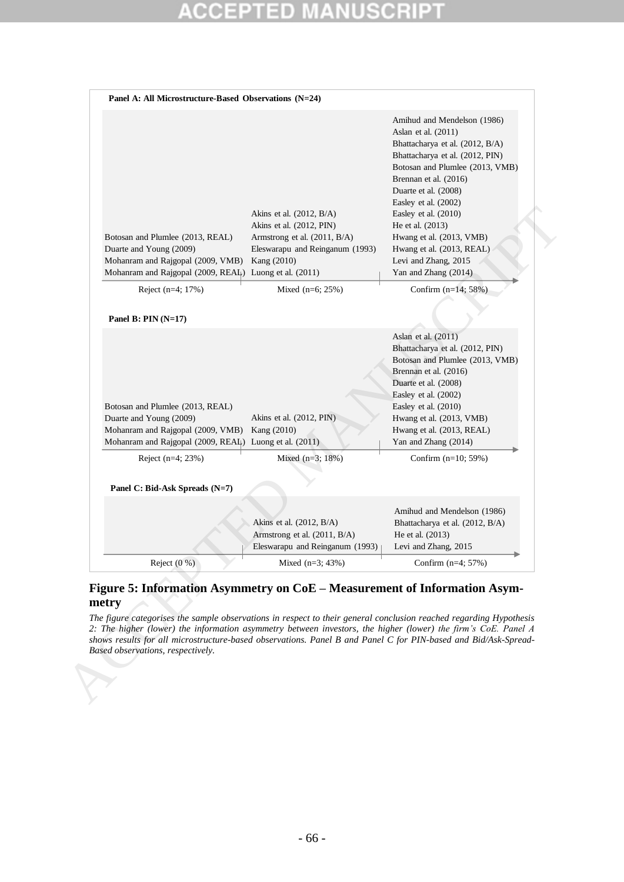# D

| Botosan and Plumlee (2013, REAL)<br>Duarte and Young (2009)<br>Mohanram and Rajgopal (2009, VMB)<br>Mohanram and Rajgopal (2009, REAL) Luong et al. (2011)                                                                                                                                                                                                                                                                                                                       | Akins et al. $(2012, B/A)$<br>Akins et al. (2012, PIN)<br>Armstrong et al. (2011, B/A)<br>Eleswarapu and Reinganum (1993)<br>Kang (2010) | Amihud and Mendelson (1986)<br>Aslan et al. (2011)<br>Bhattacharya et al. (2012, B/A)<br>Bhattacharya et al. (2012, PIN)<br>Botosan and Plumlee (2013, VMB)<br>Brennan et al. (2016)<br>Duarte et al. (2008)<br>Easley et al. (2002)<br>Easley et al. (2010)<br>He et al. (2013)<br>Hwang et al. (2013, VMB)<br>Hwang et al. (2013, REAL)<br>Levi and Zhang, 2015<br>Yan and Zhang (2014) |
|----------------------------------------------------------------------------------------------------------------------------------------------------------------------------------------------------------------------------------------------------------------------------------------------------------------------------------------------------------------------------------------------------------------------------------------------------------------------------------|------------------------------------------------------------------------------------------------------------------------------------------|-------------------------------------------------------------------------------------------------------------------------------------------------------------------------------------------------------------------------------------------------------------------------------------------------------------------------------------------------------------------------------------------|
| Reject (n=4; 17%)                                                                                                                                                                                                                                                                                                                                                                                                                                                                | Mixed $(n=6; 25%)$                                                                                                                       | Confirm $(n=14; 58%)$                                                                                                                                                                                                                                                                                                                                                                     |
| Panel B: $PIN (N=17)$                                                                                                                                                                                                                                                                                                                                                                                                                                                            |                                                                                                                                          |                                                                                                                                                                                                                                                                                                                                                                                           |
| Botosan and Plumlee (2013, REAL)<br>Duarte and Young (2009)<br>Mohanram and Rajgopal (2009, VMB)<br>Mohanram and Rajgopal (2009, REAL) Luong et al. (2011)<br>Reject (n=4; 23%)                                                                                                                                                                                                                                                                                                  | Akins et al. (2012, PIN)<br>Kang (2010)<br>Mixed $(n=3; 18%)$                                                                            | Aslan et al. (2011)<br>Bhattacharya et al. (2012, PIN)<br>Botosan and Plumlee (2013, VMB)<br>Brennan et al. (2016)<br>Duarte et al. (2008)<br>Easley et al. (2002)<br>Easley et al. (2010)<br>Hwang et al. (2013, VMB)<br>Hwang et al. (2013, REAL)<br>Yan and Zhang (2014)<br>Confirm $(n=10; 59%)$                                                                                      |
|                                                                                                                                                                                                                                                                                                                                                                                                                                                                                  |                                                                                                                                          |                                                                                                                                                                                                                                                                                                                                                                                           |
| Panel C: Bid-Ask Spreads (N=7)                                                                                                                                                                                                                                                                                                                                                                                                                                                   |                                                                                                                                          |                                                                                                                                                                                                                                                                                                                                                                                           |
|                                                                                                                                                                                                                                                                                                                                                                                                                                                                                  | Akins et al. (2012, B/A)<br>Armstrong et al. (2011, B/A)<br>Eleswarapu and Reinganum (1993)                                              | Amihud and Mendelson (1986)<br>Bhattacharya et al. (2012, B/A)<br>He et al. (2013)<br>Levi and Zhang, 2015                                                                                                                                                                                                                                                                                |
| Reject $(0, % )$                                                                                                                                                                                                                                                                                                                                                                                                                                                                 | Mixed $(n=3; 43%)$                                                                                                                       | Confirm (n=4; 57%)                                                                                                                                                                                                                                                                                                                                                                        |
| Figure 5: Information Asymmetry on CoE - Measurement of Information Asym-<br>metry<br>The figure categorises the sample observations in respect to their general conclusion reached regarding Hypothesis<br>2: The higher (lower) the information asymmetry between investors, the higher (lower) the firm's CoE. Panel A<br>shows results for all microstructure-based observations. Panel B and Panel C for PIN-based and Bid/Ask-Spread-<br>Based observations, respectively. |                                                                                                                                          |                                                                                                                                                                                                                                                                                                                                                                                           |

## <span id="page-68-0"></span>**Figure 5: Information Asymmetry on CoE – Measurement of Information Asymmetry**